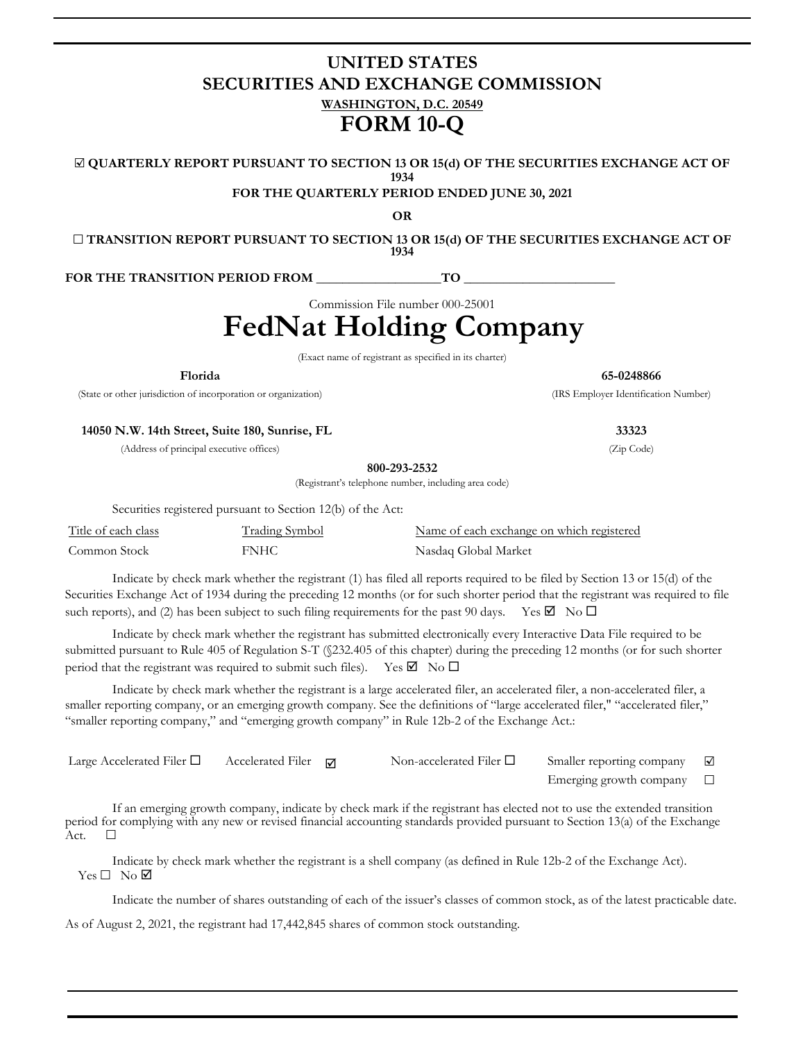## **UNITED STATES SECURITIES AND EXCHANGE COMMISSION WASHINGTON, D.C. 20549 FORM 10-Q**

☑ **QUARTERLY REPORT PURSUANT TO SECTION 13 OR 15(d) OF THE SECURITIES EXCHANGE ACT OF 1934**

**FOR THE QUARTERLY PERIOD ENDED JUNE 30, 2021**

**OR**

☐ **TRANSITION REPORT PURSUANT TO SECTION 13 OR 15(d) OF THE SECURITIES EXCHANGE ACT OF 1934**

FOR THE TRANSITION PERIOD FROM TO

Commission File number 000-25001

## **FedNat Holding Company**

(Exact name of registrant as specified in its charter)

**Florida 65-0248866**

(State or other jurisdiction of incorporation or organization) (IRS Employer Identification Number)

**14050 N.W. 14th Street, Suite 180, Sunrise, FL 33323**

(Address of principal executive offices) (Zip Code)

**800-293-2532**

(Registrant's telephone number, including area code)

Securities registered pursuant to Section 12(b) of the Act:

| Title of each class | <b>Trading Symbol</b> | Name of each exchange on which registered |
|---------------------|-----------------------|-------------------------------------------|
| Common Stock        | FNHC                  | Nasdaq Global Market                      |

Indicate by check mark whether the registrant (1) has filed all reports required to be filed by Section 13 or 15(d) of the Securities Exchange Act of 1934 during the preceding 12 months (or for such shorter period that the registrant was required to file such reports), and (2) has been subject to such filing requirements for the past 90 days. Yes  $\Box$  No  $\Box$ 

Indicate by check mark whether the registrant has submitted electronically every Interactive Data File required to be submitted pursuant to Rule 405 of Regulation S-T (§232.405 of this chapter) during the preceding 12 months (or for such shorter period that the registrant was required to submit such files). Yes  $\boxtimes$  No  $\Box$ 

Indicate by check mark whether the registrant is a large accelerated filer, an accelerated filer, a non-accelerated filer, a smaller reporting company, or an emerging growth company. See the definitions of "large accelerated filer," "accelerated filer," "smaller reporting company," and "emerging growth company" in Rule 12b-2 of the Exchange Act.:

| Large Accelerated Filer $\Box$ | Accelerated Filer $\Box$ | Non-accelerated Filer $\Box$ | Smaller reporting company | $\blacktriangledown$ |
|--------------------------------|--------------------------|------------------------------|---------------------------|----------------------|
|                                |                          |                              | Emerging growth company   |                      |

If an emerging growth company, indicate by check mark if the registrant has elected not to use the extended transition period for complying with any new or revised financial accounting standards provided pursuant to Section 13(a) of the Exchange Act.  $\Box$ 

Indicate by check mark whether the registrant is a shell company (as defined in Rule 12b-2 of the Exchange Act). Yes □ No Ø

Indicate the number of shares outstanding of each of the issuer's classes of common stock, as of the latest practicable date.

As of August 2, 2021, the registrant had 17,442,845 shares of common stock outstanding.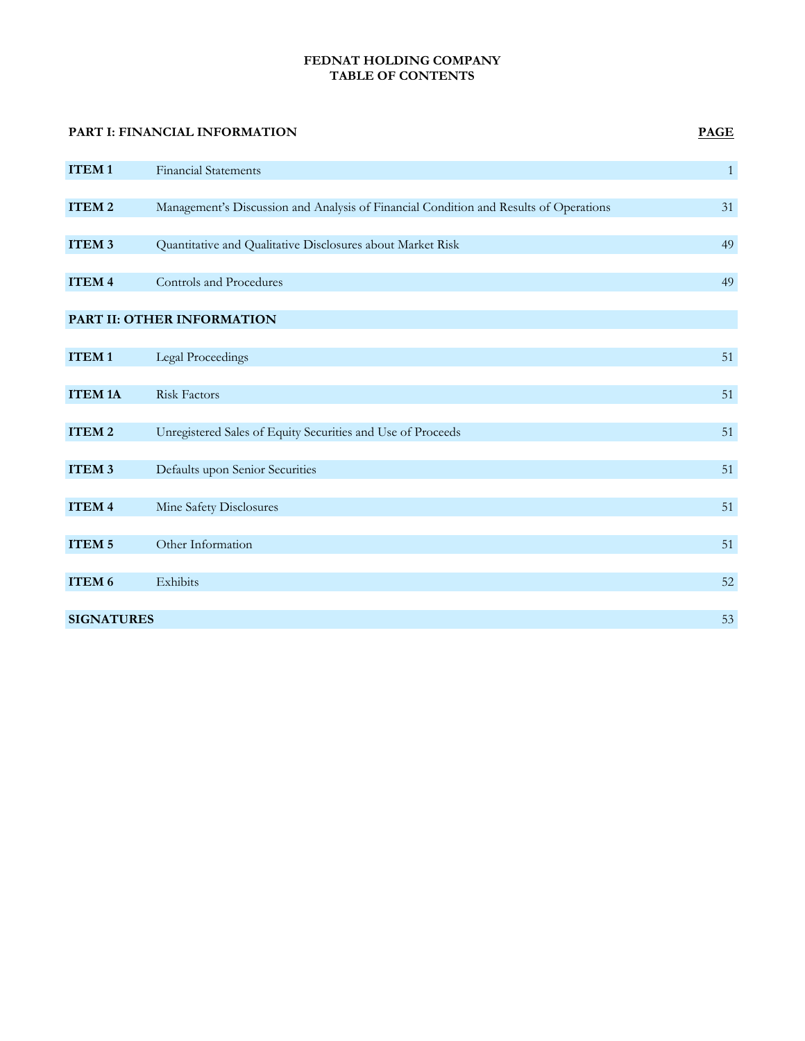## **FEDNAT HOLDING COMPANY TABLE OF CONTENTS**

# **PART I: FINANCIAL INFORMATION PAGE ITEM 1** Financial Statements **1 ITEM 2** Management's Discussion and Analysis of Financial Condition and Results of Operations 31 **ITEM 3** Quantitative and Qualitative Disclosures about Market Risk 49 **ITEM 4** Controls and Procedures 49 **PART II: OTHER INFORMATION ITEM 1** Legal Proceedings 51 **ITEM 1A** Risk Factors 51 **ITEM 2** Unregistered Sales of Equity Securities and Use of Proceeds 51 **ITEM 3** Defaults upon Senior Securities 51 **ITEM 4** Mine Safety Disclosures 51 **ITEM 5** Other Information 51 **ITEM 6** Exhibits 52 **SIGNATURES** 53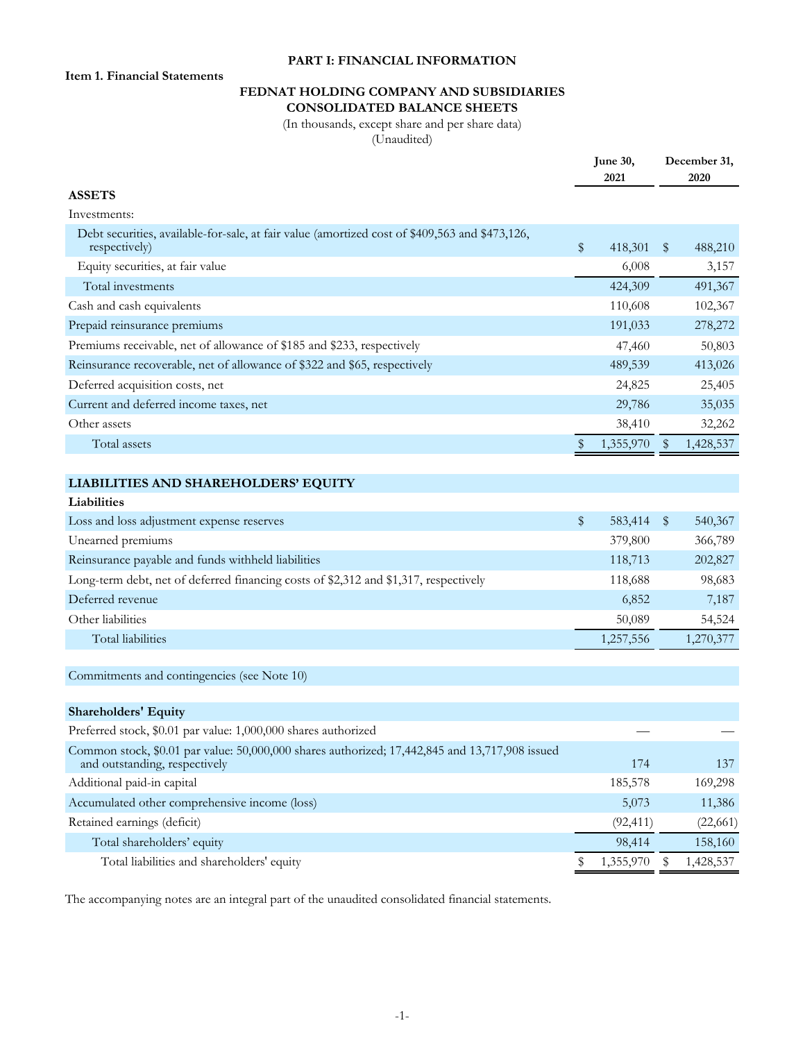## **PART I: FINANCIAL INFORMATION**

**Item 1. Financial Statements**

## **FEDNAT HOLDING COMPANY AND SUBSIDIARIES CONSOLIDATED BALANCE SHEETS**

(In thousands, except share and per share data) (Unaudited)

|                                                                                                                                 | June 30,<br>2021 |      | December 31,<br>2020 |
|---------------------------------------------------------------------------------------------------------------------------------|------------------|------|----------------------|
| <b>ASSETS</b>                                                                                                                   |                  |      |                      |
| Investments:                                                                                                                    |                  |      |                      |
| Debt securities, available-for-sale, at fair value (amortized cost of \$409,563 and \$473,126,<br>respectively)                 | \$<br>418,301    | \$   | 488,210              |
| Equity securities, at fair value                                                                                                | 6,008            |      | 3,157                |
| Total investments                                                                                                               | 424,309          |      | 491,367              |
| Cash and cash equivalents                                                                                                       | 110,608          |      | 102,367              |
| Prepaid reinsurance premiums                                                                                                    | 191,033          |      | 278,272              |
| Premiums receivable, net of allowance of \$185 and \$233, respectively                                                          | 47,460           |      | 50,803               |
| Reinsurance recoverable, net of allowance of \$322 and \$65, respectively                                                       | 489,539          |      | 413,026              |
| Deferred acquisition costs, net                                                                                                 | 24,825           |      | 25,405               |
| Current and deferred income taxes, net                                                                                          | 29,786           |      | 35,035               |
| Other assets                                                                                                                    | 38,410           |      | 32,262               |
| Total assets                                                                                                                    | \$<br>1,355,970  | - \$ | 1,428,537            |
|                                                                                                                                 |                  |      |                      |
| LIABILITIES AND SHAREHOLDERS' EQUITY                                                                                            |                  |      |                      |
| Liabilities                                                                                                                     |                  |      |                      |
| Loss and loss adjustment expense reserves                                                                                       | \$<br>583,414    | \$   | 540,367              |
| Unearned premiums                                                                                                               | 379,800          |      | 366,789              |
| Reinsurance payable and funds withheld liabilities                                                                              | 118,713          |      | 202,827              |
| Long-term debt, net of deferred financing costs of \$2,312 and \$1,317, respectively                                            | 118,688          |      | 98,683               |
| Deferred revenue                                                                                                                | 6,852            |      | 7,187                |
| Other liabilities                                                                                                               | 50,089           |      | 54,524               |
| Total liabilities                                                                                                               | 1,257,556        |      | 1,270,377            |
|                                                                                                                                 |                  |      |                      |
| Commitments and contingencies (see Note 10)                                                                                     |                  |      |                      |
| <b>Shareholders' Equity</b>                                                                                                     |                  |      |                      |
| Preferred stock, \$0.01 par value: 1,000,000 shares authorized                                                                  |                  |      |                      |
| Common stock, \$0.01 par value: 50,000,000 shares authorized; 17,442,845 and 13,717,908 issued<br>and outstanding, respectively | 174              |      | 137                  |
| Additional paid-in capital                                                                                                      | 185,578          |      | 169,298              |
| Accumulated other comprehensive income (loss)                                                                                   | 5,073            |      | 11,386               |
| Retained earnings (deficit)                                                                                                     | (92, 411)        |      | (22, 661)            |
| Total shareholders' equity                                                                                                      | 98,414           |      | 158,160              |
| Total liabilities and shareholders' equity                                                                                      | \$<br>1,355,970  | \$   | 1,428,537            |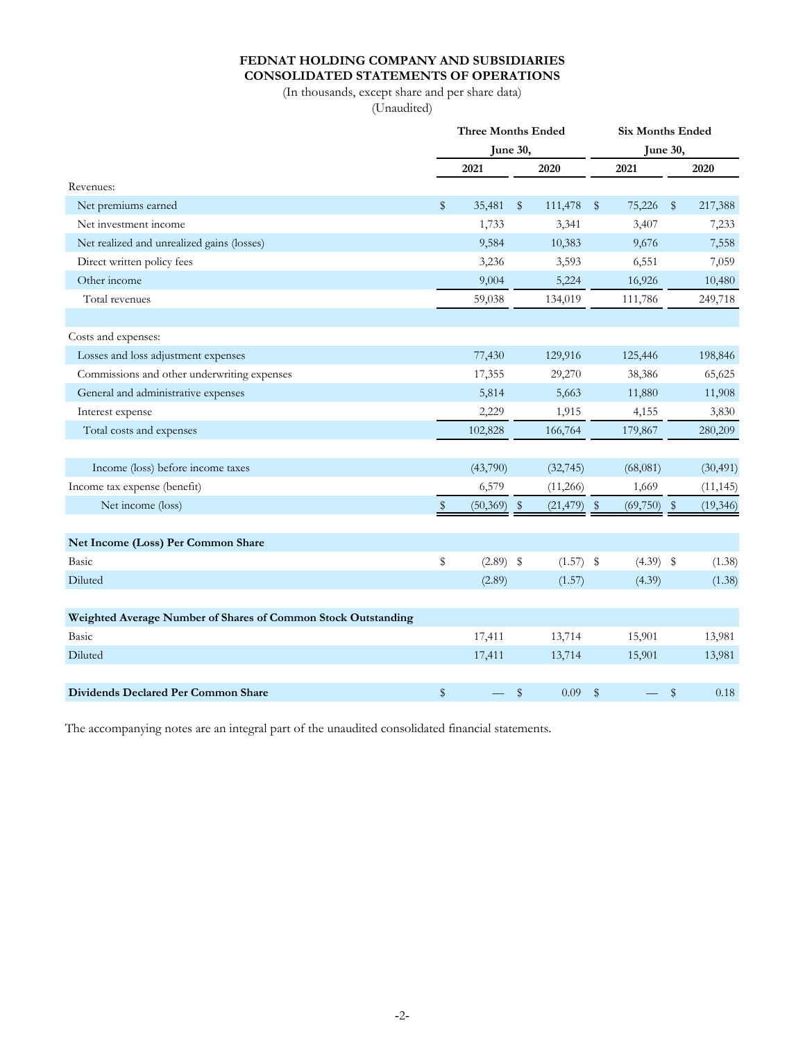## **FEDNAT HOLDING COMPANY AND SUBSIDIARIES CONSOLIDATED STATEMENTS OF OPERATIONS**

(In thousands, except share and per share data) (Unaudited)

|                                                               |                         | <b>Three Months Ended</b> |                         |             | <b>Six Months Ended</b> |             |            |           |  |  |  |  |  |  |  |
|---------------------------------------------------------------|-------------------------|---------------------------|-------------------------|-------------|-------------------------|-------------|------------|-----------|--|--|--|--|--|--|--|
|                                                               |                         |                           | June 30,                |             |                         | June 30,    |            |           |  |  |  |  |  |  |  |
|                                                               |                         | 2021                      |                         | 2020        |                         | 2021        |            | 2020      |  |  |  |  |  |  |  |
| Revenues:                                                     |                         |                           |                         |             |                         |             |            |           |  |  |  |  |  |  |  |
| Net premiums earned                                           | \$                      | 35,481                    | $\sqrt[6]{\frac{1}{2}}$ | 111,478     | $\mathbb{S}$            | 75,226      | $\sqrt{3}$ | 217,388   |  |  |  |  |  |  |  |
| Net investment income                                         |                         | 1,733                     |                         | 3,341       |                         | 3,407       |            | 7,233     |  |  |  |  |  |  |  |
| Net realized and unrealized gains (losses)                    |                         | 9,584                     |                         | 10,383      |                         | 9,676       |            | 7,558     |  |  |  |  |  |  |  |
| Direct written policy fees                                    |                         | 3,236                     |                         | 3,593       |                         | 6,551       |            | 7,059     |  |  |  |  |  |  |  |
| Other income                                                  |                         | 9,004                     |                         | 5,224       |                         | 16,926      |            | 10,480    |  |  |  |  |  |  |  |
| Total revenues                                                |                         | 59,038                    |                         | 134,019     |                         | 111,786     |            | 249,718   |  |  |  |  |  |  |  |
|                                                               |                         |                           |                         |             |                         |             |            |           |  |  |  |  |  |  |  |
| Costs and expenses:                                           |                         |                           |                         |             |                         |             |            |           |  |  |  |  |  |  |  |
| Losses and loss adjustment expenses                           |                         | 77,430                    |                         | 129,916     |                         | 125,446     |            | 198,846   |  |  |  |  |  |  |  |
| Commissions and other underwriting expenses                   |                         | 17,355                    |                         | 29,270      |                         | 38,386      |            | 65,625    |  |  |  |  |  |  |  |
| General and administrative expenses                           |                         | 5,814                     |                         | 5,663       |                         | 11,880      |            | 11,908    |  |  |  |  |  |  |  |
| Interest expense                                              |                         | 2,229                     |                         | 1,915       |                         | 4,155       |            | 3,830     |  |  |  |  |  |  |  |
| Total costs and expenses                                      |                         | 102,828                   |                         | 166,764     |                         | 179,867     |            | 280,209   |  |  |  |  |  |  |  |
|                                                               |                         |                           |                         |             |                         |             |            |           |  |  |  |  |  |  |  |
| Income (loss) before income taxes                             |                         | (43,790)                  |                         | (32, 745)   |                         | (68,081)    |            | (30, 491) |  |  |  |  |  |  |  |
| Income tax expense (benefit)                                  |                         | 6,579                     |                         | (11,266)    |                         | 1,669       |            | (11, 145) |  |  |  |  |  |  |  |
| Net income (loss)                                             | $\sqrt[6]{\frac{1}{2}}$ | (50, 369)                 | $\sqrt{3}$              | (21, 479)   | $\frac{1}{2}$           | (69, 750)   | $\sqrt{3}$ | (19, 346) |  |  |  |  |  |  |  |
|                                                               |                         |                           |                         |             |                         |             |            |           |  |  |  |  |  |  |  |
| Net Income (Loss) Per Common Share                            |                         |                           |                         |             |                         |             |            |           |  |  |  |  |  |  |  |
| Basic                                                         | \$                      | $(2.89)$ \$               |                         | $(1.57)$ \$ |                         | $(4.39)$ \$ |            | (1.38)    |  |  |  |  |  |  |  |
| Diluted                                                       |                         | (2.89)                    |                         | (1.57)      |                         | (4.39)      |            | (1.38)    |  |  |  |  |  |  |  |
|                                                               |                         |                           |                         |             |                         |             |            |           |  |  |  |  |  |  |  |
| Weighted Average Number of Shares of Common Stock Outstanding |                         |                           |                         |             |                         |             |            |           |  |  |  |  |  |  |  |
| Basic                                                         |                         | 17,411                    |                         | 13,714      |                         | 15,901      |            | 13,981    |  |  |  |  |  |  |  |
| Diluted                                                       |                         | 17,411                    |                         | 13,714      |                         | 15,901      |            | 13,981    |  |  |  |  |  |  |  |
|                                                               |                         |                           |                         |             |                         |             |            |           |  |  |  |  |  |  |  |
| Dividends Declared Per Common Share                           | \$                      |                           | \$                      | 0.09        | \$                      |             | \$         | 0.18      |  |  |  |  |  |  |  |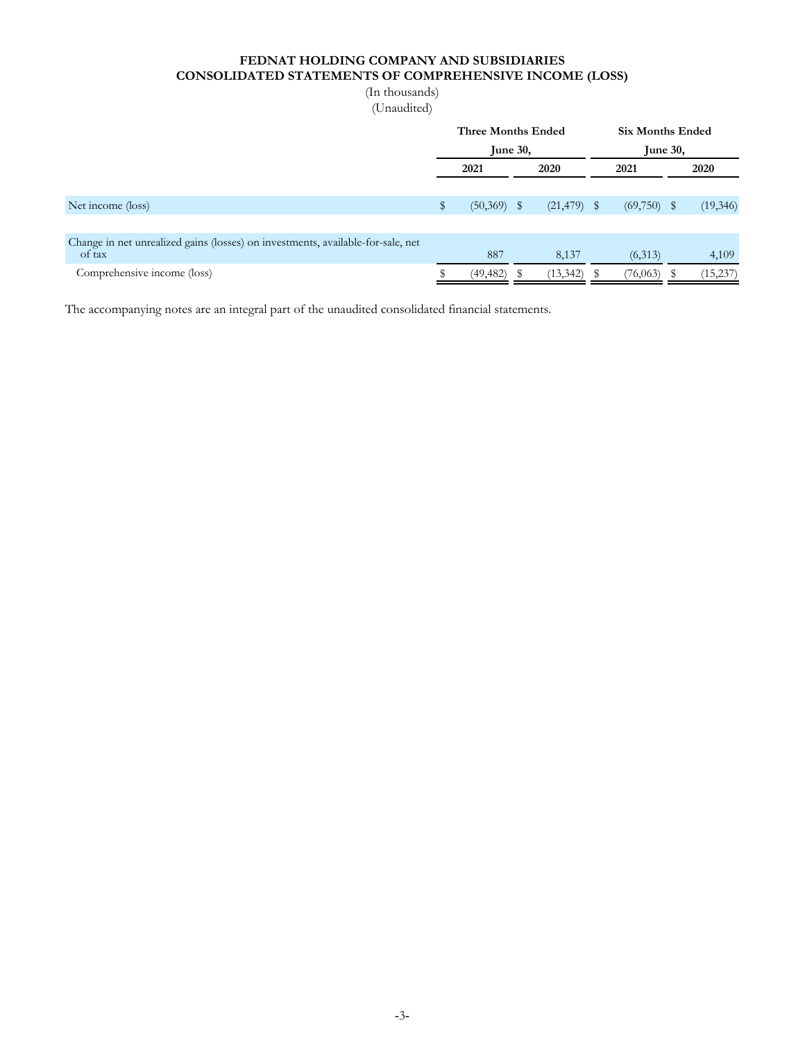## **FEDNAT HOLDING COMPANY AND SUBSIDIARIES CONSOLIDATED STATEMENTS OF COMPREHENSIVE INCOME (LOSS)**

| (In thousands) |  |
|----------------|--|
| (Unaudited)    |  |

|                                                                                 |              | <b>Three Months Ended</b> |  |                | <b>Six Months Ended</b> |           |  |          |  |  |  |  |  |
|---------------------------------------------------------------------------------|--------------|---------------------------|--|----------------|-------------------------|-----------|--|----------|--|--|--|--|--|
|                                                                                 |              | June $30$ ,               |  |                | June $30$ ,             |           |  |          |  |  |  |  |  |
|                                                                                 | 2021         |                           |  | 2020           |                         | 2021      |  | 2020     |  |  |  |  |  |
|                                                                                 |              |                           |  |                |                         |           |  |          |  |  |  |  |  |
| Net income (loss)                                                               | $\mathbb{S}$ | $(50,369)$ \$             |  | $(21, 479)$ \$ |                         | (69,750)  |  | (19,346) |  |  |  |  |  |
|                                                                                 |              |                           |  |                |                         |           |  |          |  |  |  |  |  |
| Change in net unrealized gains (losses) on investments, available-for-sale, net |              |                           |  |                |                         |           |  |          |  |  |  |  |  |
| of tax                                                                          |              | 887                       |  | 8,137          |                         | (6,313)   |  | 4,109    |  |  |  |  |  |
| Comprehensive income (loss)                                                     |              | (49, 482)                 |  | (13, 342)      |                         | (76, 063) |  | (15,237) |  |  |  |  |  |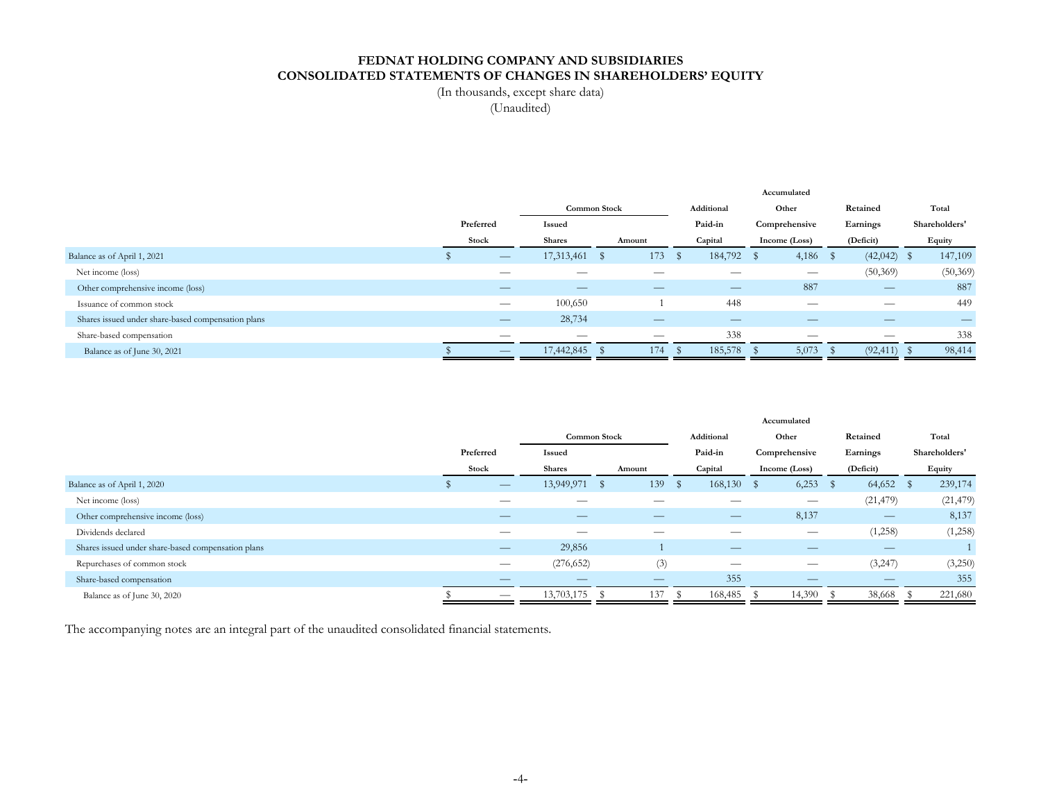## **FEDNAT HOLDING COMPANY AND SUBSIDIARIES CONSOLIDATED STATEMENTS OF CHANGES IN SHAREHOLDERS' EQUITY**

(In thousands, except share data)

(Unaudited)

|                                                    |           |                     |  |            |              |            |  | Accumulated   |               |               |
|----------------------------------------------------|-----------|---------------------|--|------------|--------------|------------|--|---------------|---------------|---------------|
|                                                    |           | <b>Common Stock</b> |  | Additional |              | Other      |  | Retained      | Total         |               |
|                                                    | Preferred | Issued              |  |            |              | Paid-in    |  | Comprehensive | Earnings      | Shareholders' |
|                                                    | Stock     | <b>Shares</b>       |  | Amount     |              | Capital    |  | Income (Loss) | (Deficit)     | Equity        |
| Balance as of April 1, 2021                        |           | 17,313,461          |  | 173        | $\mathbf{h}$ | 184,792 \$ |  | 4,186         | $(42,042)$ \$ | 147,109       |
| Net income (loss)                                  |           |                     |  |            |              |            |  |               | (50, 369)     | (50, 369)     |
| Other comprehensive income (loss)                  |           |                     |  |            |              | –          |  | 887           |               | 887           |
| Issuance of common stock                           |           | 100,650             |  |            |              | 448        |  |               |               | 449           |
| Shares issued under share-based compensation plans |           | 28,734              |  |            |              | _          |  |               | _             | –             |
| Share-based compensation                           |           |                     |  | __         |              | 338        |  |               | __            | 338           |
| Balance as of June 30, 2021                        |           | 17,442,845          |  | 174        |              | 185,578    |  | 5,073         | (92, 411)     | 98,414        |

|                                                    |                          |                     |     |        |   |                               | Accumulated                     |    |                          |     |               |
|----------------------------------------------------|--------------------------|---------------------|-----|--------|---|-------------------------------|---------------------------------|----|--------------------------|-----|---------------|
|                                                    |                          | <b>Common Stock</b> |     |        |   | Additional                    | Other                           |    | Retained                 |     | Total         |
|                                                    | Preferred                | Issued              |     |        |   | Paid-in                       | Comprehensive                   |    | Earnings                 |     | Shareholders' |
|                                                    | Stock                    | <b>Shares</b>       |     | Amount |   | Capital                       | Income (Loss)                   |    | (Deficit)                |     | Equity        |
| Balance as of April 1, 2020                        |                          | 13,949,971          | - 5 | 139    | S | $168,130$ \$                  | 6,253                           | -8 | 64,652                   | - S | 239,174       |
| Net income (loss)                                  |                          |                     |     |        |   |                               |                                 |    | (21, 479)                |     | (21, 479)     |
| Other comprehensive income (loss)                  |                          |                     |     |        |   |                               | 8,137                           |    | $\overline{\phantom{m}}$ |     | 8,137         |
| Dividends declared                                 |                          |                     |     | --     |   | __                            | $\hspace{0.1mm}-\hspace{0.1mm}$ |    | (1,258)                  |     | (1,258)       |
| Shares issued under share-based compensation plans |                          | 29,856              |     |        |   |                               |                                 |    |                          |     |               |
| Repurchases of common stock                        |                          | (276, 652)          |     | (3)    |   | $\overbrace{\phantom{aaaaa}}$ | $\hspace{0.1mm}-\hspace{0.1mm}$ |    | (3,247)                  |     | (3,250)       |
| Share-based compensation                           |                          |                     |     |        |   | 355                           |                                 |    | _                        |     | 355           |
| Balance as of June 30, 2020                        | $\overline{\phantom{m}}$ | 13,703,175          |     | 137    |   | 168,485                       | 14,390                          |    | 38,668                   |     | 221,680       |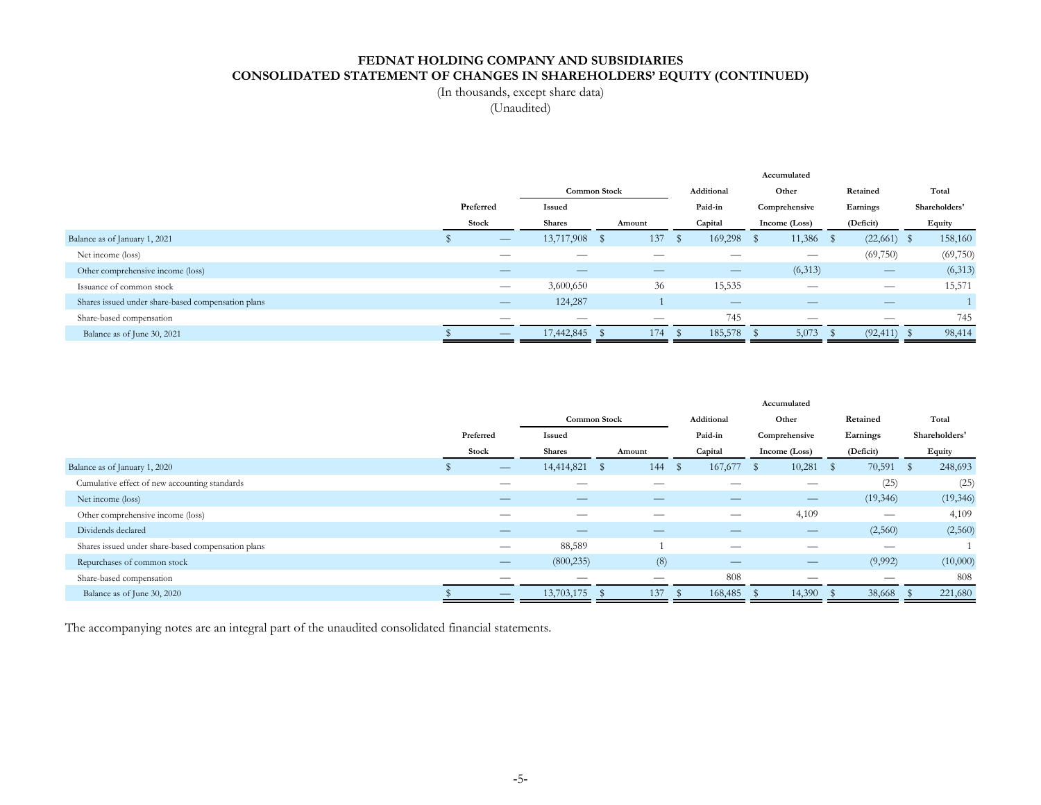## **FEDNAT HOLDING COMPANY AND SUBSIDIARIES CONSOLIDATED STATEMENT OF CHANGES IN SHAREHOLDERS' EQUITY (CONTINUED)**

(In thousands, except share data)

(Unaudited)

|                                                    |                               |                                |     |        |            |                          |       | Accumulated                   |          |                               |               |
|----------------------------------------------------|-------------------------------|--------------------------------|-----|--------|------------|--------------------------|-------|-------------------------------|----------|-------------------------------|---------------|
|                                                    |                               | <b>Common Stock</b>            |     |        | Additional |                          | Other |                               | Retained |                               | Total         |
|                                                    | Preferred                     | Issued                         |     |        |            | Paid-in                  |       | Comprehensive                 |          | Earnings                      | Shareholders' |
|                                                    | Stock                         | <b>Shares</b>                  |     | Amount |            | Capital                  |       | Income (Loss)                 |          | (Deficit)                     | Equity        |
| Balance as of January 1, 2021                      | $\overline{\phantom{m}}$      | 13,717,908                     | - S | 137    | S          | 169,298                  | - \$  | 11,386                        | - 5      | $(22,661)$ \$                 | 158,160       |
| Net income (loss)                                  |                               |                                |     |        |            |                          |       | $\overbrace{\phantom{aaaaa}}$ |          | (69,750)                      | (69,750)      |
| Other comprehensive income (loss)                  |                               |                                |     |        |            |                          |       | (6,313)                       |          | $\overline{\phantom{0}}$      | (6,313)       |
| Issuance of common stock                           | $\overbrace{\phantom{aaaaa}}$ | 3,600,650                      |     | 36     |            | 15,535                   |       | __                            |          |                               | 15,571        |
| Shares issued under share-based compensation plans |                               | 124,287                        |     |        |            | $\overline{\phantom{m}}$ |       |                               |          | $\overbrace{\phantom{aaaaa}}$ |               |
| Share-based compensation                           | __                            | $\overbrace{\hspace{25mm}}^{}$ |     | –      |            | 745                      |       |                               |          | –                             | 745           |
| Balance as of June 30, 2021                        | —                             | 17,442,845                     |     | 174    |            | 185,578                  |       | 5,073                         |          | (92, 411)                     | 98,414        |

|                                                    |                          |               |        |     |               |      | Accumulated              |              |                                |      |               |
|----------------------------------------------------|--------------------------|---------------|--------|-----|---------------|------|--------------------------|--------------|--------------------------------|------|---------------|
|                                                    | Common Stock             |               |        |     | Additional    |      | Other                    |              | Retained                       |      | Total         |
|                                                    | Preferred                | <b>Issued</b> |        |     | Paid-in       |      | Comprehensive            |              | Earnings                       |      | Shareholders' |
|                                                    | Stock                    | <b>Shares</b> | Amount |     | Capital       |      | Income (Loss)            |              | (Deficit)                      |      | Equity        |
| Balance as of January 1, 2020                      |                          | 14,414,821    | - \$   | 144 | 167,677<br>s. | - SS | 10,281                   | $\mathbf{s}$ | 70,591                         | - \$ | 248,693       |
| Cumulative effect of new accounting standards      | __                       |               |        |     |               |      |                          |              | (25)                           |      | (25)          |
| Net income (loss)                                  |                          |               |        | _   | _             |      | $\overline{\phantom{m}}$ |              | (19,346)                       |      | (19, 346)     |
| Other comprehensive income (loss)                  | __                       |               |        |     | __            |      | 4,109                    |              | $\overbrace{\hspace{25mm}}^{}$ |      | 4,109         |
| Dividends declared                                 | —                        | —             |        | _   | _             |      | $\overline{\phantom{m}}$ |              | (2,560)                        |      | (2,560)       |
| Shares issued under share-based compensation plans |                          | 88,589        |        |     | __            |      | __                       |              | $\overbrace{\hspace{25mm}}^{}$ |      |               |
| Repurchases of common stock                        |                          | (800, 235)    |        | (8) | _             |      |                          |              | (9,992)                        |      | (10,000)      |
| Share-based compensation                           |                          |               |        | __  | 808           |      |                          |              |                                |      | 808           |
| Balance as of June 30, 2020                        | $\overline{\phantom{m}}$ | 13,703,175    |        | 137 | 168,485       |      | 14,390                   |              | 38,668                         |      | 221,680       |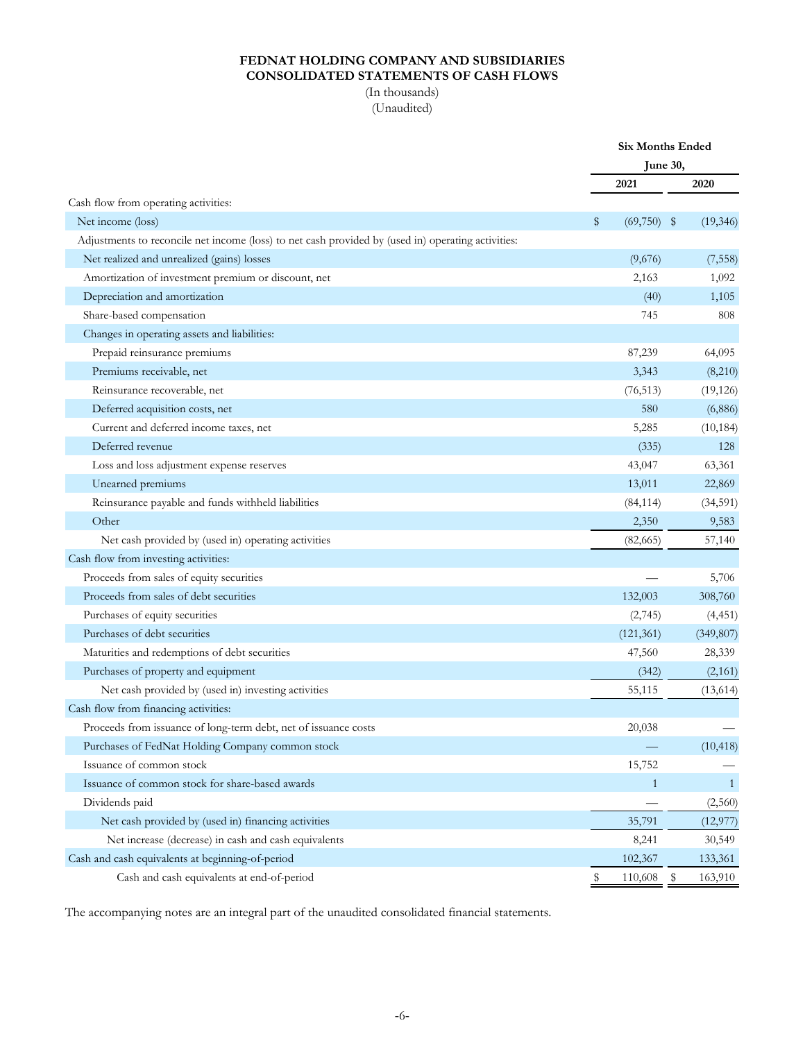## **FEDNAT HOLDING COMPANY AND SUBSIDIARIES CONSOLIDATED STATEMENTS OF CASH FLOWS**

(In thousands) (Unaudited)

|                                                                                                    |                     | <b>Six Months Ended</b> |
|----------------------------------------------------------------------------------------------------|---------------------|-------------------------|
|                                                                                                    |                     | June 30,                |
|                                                                                                    | 2021                | 2020                    |
| Cash flow from operating activities:                                                               |                     |                         |
| Net income (loss)                                                                                  | \$<br>$(69,750)$ \$ | (19, 346)               |
| Adjustments to reconcile net income (loss) to net cash provided by (used in) operating activities: |                     |                         |
| Net realized and unrealized (gains) losses                                                         | (9,676)             | (7, 558)                |
| Amortization of investment premium or discount, net                                                | 2,163               | 1,092                   |
| Depreciation and amortization                                                                      | (40)                | 1,105                   |
| Share-based compensation                                                                           | 745                 | 808                     |
| Changes in operating assets and liabilities:                                                       |                     |                         |
| Prepaid reinsurance premiums                                                                       | 87,239              | 64,095                  |
| Premiums receivable, net                                                                           | 3,343               | (8,210)                 |
| Reinsurance recoverable, net                                                                       | (76, 513)           | (19, 126)               |
| Deferred acquisition costs, net                                                                    | 580                 | (6,886)                 |
| Current and deferred income taxes, net                                                             | 5,285               | (10, 184)               |
| Deferred revenue                                                                                   | (335)               | 128                     |
| Loss and loss adjustment expense reserves                                                          | 43,047              | 63,361                  |
| Unearned premiums                                                                                  | 13,011              | 22,869                  |
| Reinsurance payable and funds withheld liabilities                                                 | (84, 114)           | (34, 591)               |
| Other                                                                                              | 2,350               | 9,583                   |
| Net cash provided by (used in) operating activities                                                | (82,665)            | 57,140                  |
| Cash flow from investing activities:                                                               |                     |                         |
| Proceeds from sales of equity securities                                                           |                     | 5,706                   |
| Proceeds from sales of debt securities                                                             | 132,003             | 308,760                 |
| Purchases of equity securities                                                                     | (2,745)             | (4, 451)                |
| Purchases of debt securities                                                                       | (121, 361)          | (349, 807)              |
| Maturities and redemptions of debt securities                                                      | 47,560              | 28,339                  |
| Purchases of property and equipment                                                                | (342)               | (2,161)                 |
| Net cash provided by (used in) investing activities                                                | 55,115              | (13, 614)               |
| Cash flow from financing activities:                                                               |                     |                         |
| Proceeds from issuance of long-term debt, net of issuance costs                                    | 20,038              |                         |
| Purchases of FedNat Holding Company common stock                                                   |                     | (10, 418)               |
| Issuance of common stock                                                                           | 15,752              |                         |
| Issuance of common stock for share-based awards                                                    | $\mathbf{1}$        | $\mathbf{1}$            |
| Dividends paid                                                                                     |                     | (2,560)                 |
| Net cash provided by (used in) financing activities                                                | 35,791              | (12, 977)               |
| Net increase (decrease) in cash and cash equivalents                                               | 8,241               | 30,549                  |
| Cash and cash equivalents at beginning-of-period                                                   | 102,367             | 133,361                 |
| Cash and cash equivalents at end-of-period                                                         | \$<br>110,608       | \$<br>163,910           |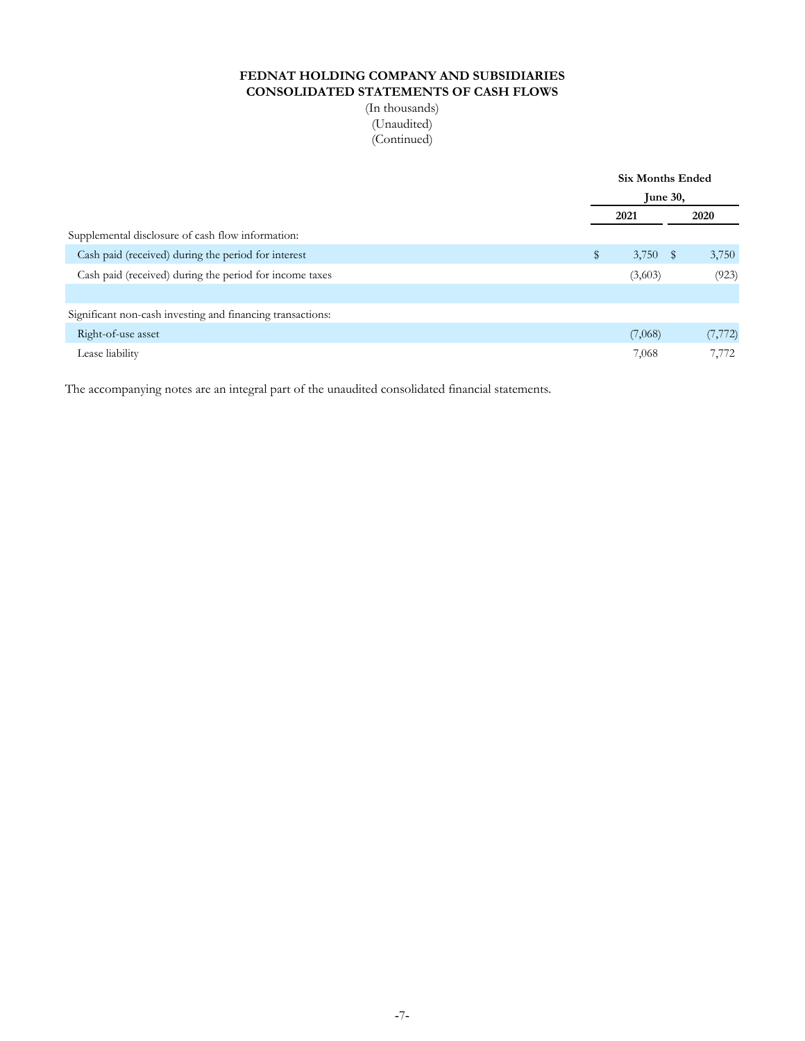## **FEDNAT HOLDING COMPANY AND SUBSIDIARIES CONSOLIDATED STATEMENTS OF CASH FLOWS**

(In thousands) (Unaudited) (Continued)

|                                                            | <b>Six Months Ended</b> |            |  |          |  |  |  |
|------------------------------------------------------------|-------------------------|------------|--|----------|--|--|--|
|                                                            | June 30,                |            |  |          |  |  |  |
|                                                            |                         | 2021       |  | 2020     |  |  |  |
| Supplemental disclosure of cash flow information:          |                         |            |  |          |  |  |  |
| Cash paid (received) during the period for interest        | \$                      | $3,750$ \$ |  | 3,750    |  |  |  |
| Cash paid (received) during the period for income taxes    |                         | (3,603)    |  | (923)    |  |  |  |
|                                                            |                         |            |  |          |  |  |  |
| Significant non-cash investing and financing transactions: |                         |            |  |          |  |  |  |
| Right-of-use asset                                         |                         | (7,068)    |  | (7, 772) |  |  |  |
| Lease liability                                            |                         | 7,068      |  | 7,772    |  |  |  |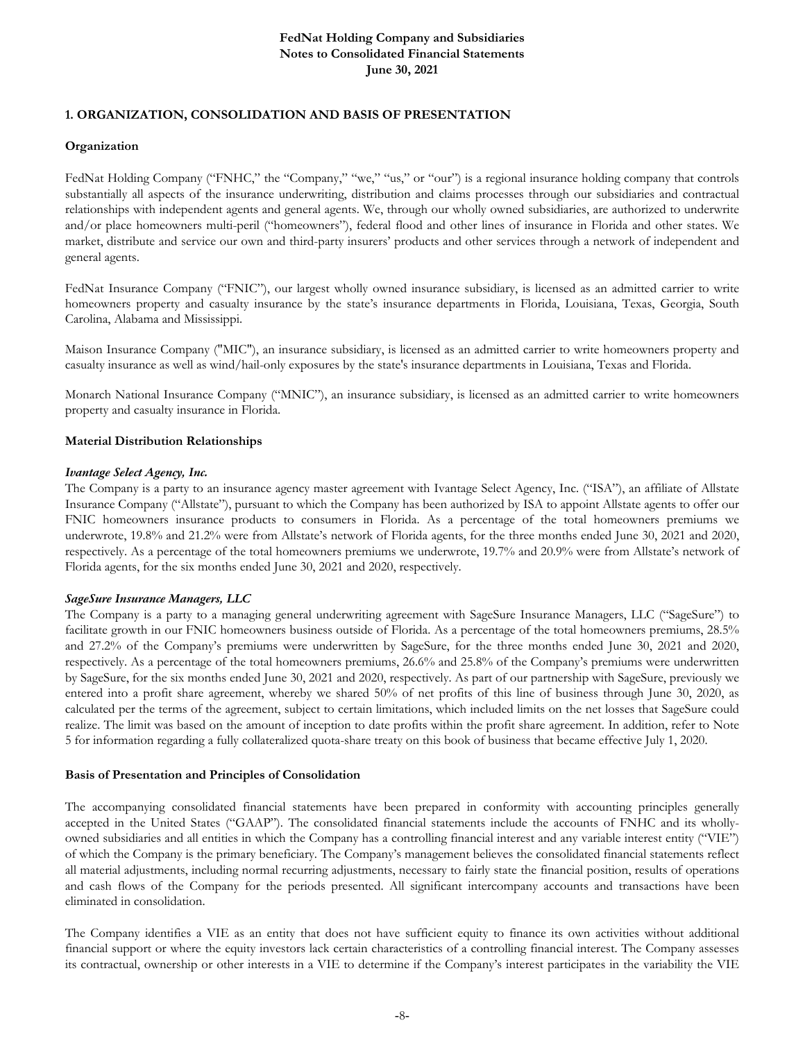## **1. ORGANIZATION, CONSOLIDATION AND BASIS OF PRESENTATION**

#### **Organization**

FedNat Holding Company ("FNHC," the "Company," "we," "us," or "our") is a regional insurance holding company that controls substantially all aspects of the insurance underwriting, distribution and claims processes through our subsidiaries and contractual relationships with independent agents and general agents. We, through our wholly owned subsidiaries, are authorized to underwrite and/or place homeowners multi-peril ("homeowners"), federal flood and other lines of insurance in Florida and other states. We market, distribute and service our own and third-party insurers' products and other services through a network of independent and general agents.

FedNat Insurance Company ("FNIC"), our largest wholly owned insurance subsidiary, is licensed as an admitted carrier to write homeowners property and casualty insurance by the state's insurance departments in Florida, Louisiana, Texas, Georgia, South Carolina, Alabama and Mississippi.

Maison Insurance Company ("MIC"), an insurance subsidiary, is licensed as an admitted carrier to write homeowners property and casualty insurance as well as wind/hail-only exposures by the state's insurance departments in Louisiana, Texas and Florida.

Monarch National Insurance Company ("MNIC"), an insurance subsidiary, is licensed as an admitted carrier to write homeowners property and casualty insurance in Florida.

#### **Material Distribution Relationships**

#### *Ivantage Select Agency, Inc.*

The Company is a party to an insurance agency master agreement with Ivantage Select Agency, Inc. ("ISA"), an affiliate of Allstate Insurance Company ("Allstate"), pursuant to which the Company has been authorized by ISA to appoint Allstate agents to offer our FNIC homeowners insurance products to consumers in Florida. As a percentage of the total homeowners premiums we underwrote, 19.8% and 21.2% were from Allstate's network of Florida agents, for the three months ended June 30, 2021 and 2020, respectively. As a percentage of the total homeowners premiums we underwrote, 19.7% and 20.9% were from Allstate's network of Florida agents, for the six months ended June 30, 2021 and 2020, respectively.

#### *SageSure Insurance Managers, LLC*

The Company is a party to a managing general underwriting agreement with SageSure Insurance Managers, LLC ("SageSure") to facilitate growth in our FNIC homeowners business outside of Florida. As a percentage of the total homeowners premiums, 28.5% and 27.2% of the Company's premiums were underwritten by SageSure, for the three months ended June 30, 2021 and 2020, respectively. As a percentage of the total homeowners premiums, 26.6% and 25.8% of the Company's premiums were underwritten by SageSure, for the six months ended June 30, 2021 and 2020, respectively. As part of our partnership with SageSure, previously we entered into a profit share agreement, whereby we shared 50% of net profits of this line of business through June 30, 2020, as calculated per the terms of the agreement, subject to certain limitations, which included limits on the net losses that SageSure could realize. The limit was based on the amount of inception to date profits within the profit share agreement. In addition, refer to Note 5 for information regarding a fully collateralized quota-share treaty on this book of business that became effective July 1, 2020.

#### **Basis of Presentation and Principles of Consolidation**

The accompanying consolidated financial statements have been prepared in conformity with accounting principles generally accepted in the United States ("GAAP"). The consolidated financial statements include the accounts of FNHC and its whollyowned subsidiaries and all entities in which the Company has a controlling financial interest and any variable interest entity ("VIE") of which the Company is the primary beneficiary. The Company's management believes the consolidated financial statements reflect all material adjustments, including normal recurring adjustments, necessary to fairly state the financial position, results of operations and cash flows of the Company for the periods presented. All significant intercompany accounts and transactions have been eliminated in consolidation.

The Company identifies a VIE as an entity that does not have sufficient equity to finance its own activities without additional financial support or where the equity investors lack certain characteristics of a controlling financial interest. The Company assesses its contractual, ownership or other interests in a VIE to determine if the Company's interest participates in the variability the VIE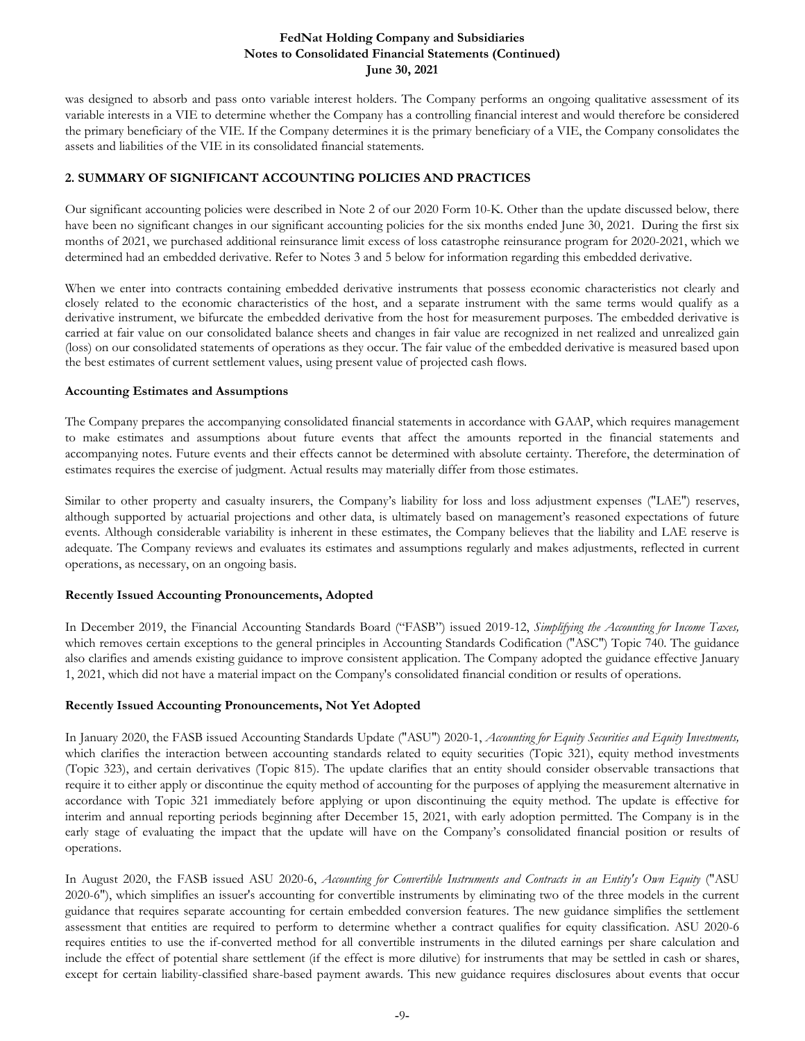was designed to absorb and pass onto variable interest holders. The Company performs an ongoing qualitative assessment of its variable interests in a VIE to determine whether the Company has a controlling financial interest and would therefore be considered the primary beneficiary of the VIE. If the Company determines it is the primary beneficiary of a VIE, the Company consolidates the assets and liabilities of the VIE in its consolidated financial statements.

## **2. SUMMARY OF SIGNIFICANT ACCOUNTING POLICIES AND PRACTICES**

Our significant accounting policies were described in Note 2 of our 2020 Form 10-K. Other than the update discussed below, there have been no significant changes in our significant accounting policies for the six months ended June 30, 2021. During the first six months of 2021, we purchased additional reinsurance limit excess of loss catastrophe reinsurance program for 2020-2021, which we determined had an embedded derivative. Refer to Notes 3 and 5 below for information regarding this embedded derivative.

When we enter into contracts containing embedded derivative instruments that possess economic characteristics not clearly and closely related to the economic characteristics of the host, and a separate instrument with the same terms would qualify as a derivative instrument, we bifurcate the embedded derivative from the host for measurement purposes. The embedded derivative is carried at fair value on our consolidated balance sheets and changes in fair value are recognized in net realized and unrealized gain (loss) on our consolidated statements of operations as they occur. The fair value of the embedded derivative is measured based upon the best estimates of current settlement values, using present value of projected cash flows.

## **Accounting Estimates and Assumptions**

The Company prepares the accompanying consolidated financial statements in accordance with GAAP, which requires management to make estimates and assumptions about future events that affect the amounts reported in the financial statements and accompanying notes. Future events and their effects cannot be determined with absolute certainty. Therefore, the determination of estimates requires the exercise of judgment. Actual results may materially differ from those estimates.

Similar to other property and casualty insurers, the Company's liability for loss and loss adjustment expenses ("LAE") reserves, although supported by actuarial projections and other data, is ultimately based on management's reasoned expectations of future events. Although considerable variability is inherent in these estimates, the Company believes that the liability and LAE reserve is adequate. The Company reviews and evaluates its estimates and assumptions regularly and makes adjustments, reflected in current operations, as necessary, on an ongoing basis.

## **Recently Issued Accounting Pronouncements, Adopted**

In December 2019, the Financial Accounting Standards Board ("FASB") issued 2019-12, *Simplifying the Accounting for Income Taxes,*  which removes certain exceptions to the general principles in Accounting Standards Codification ("ASC") Topic 740. The guidance also clarifies and amends existing guidance to improve consistent application. The Company adopted the guidance effective January 1, 2021, which did not have a material impact on the Company's consolidated financial condition or results of operations.

## **Recently Issued Accounting Pronouncements, Not Yet Adopted**

In January 2020, the FASB issued Accounting Standards Update ("ASU") 2020-1, *Accounting for Equity Securities and Equity Investments,*  which clarifies the interaction between accounting standards related to equity securities (Topic 321), equity method investments (Topic 323), and certain derivatives (Topic 815). The update clarifies that an entity should consider observable transactions that require it to either apply or discontinue the equity method of accounting for the purposes of applying the measurement alternative in accordance with Topic 321 immediately before applying or upon discontinuing the equity method. The update is effective for interim and annual reporting periods beginning after December 15, 2021, with early adoption permitted. The Company is in the early stage of evaluating the impact that the update will have on the Company's consolidated financial position or results of operations.

In August 2020, the FASB issued ASU 2020-6, *Accounting for Convertible Instruments and Contracts in an Entity's Own Equity* ("ASU 2020-6"), which simplifies an issuer's accounting for convertible instruments by eliminating two of the three models in the current guidance that requires separate accounting for certain embedded conversion features. The new guidance simplifies the settlement assessment that entities are required to perform to determine whether a contract qualifies for equity classification. ASU 2020-6 requires entities to use the if-converted method for all convertible instruments in the diluted earnings per share calculation and include the effect of potential share settlement (if the effect is more dilutive) for instruments that may be settled in cash or shares, except for certain liability-classified share-based payment awards. This new guidance requires disclosures about events that occur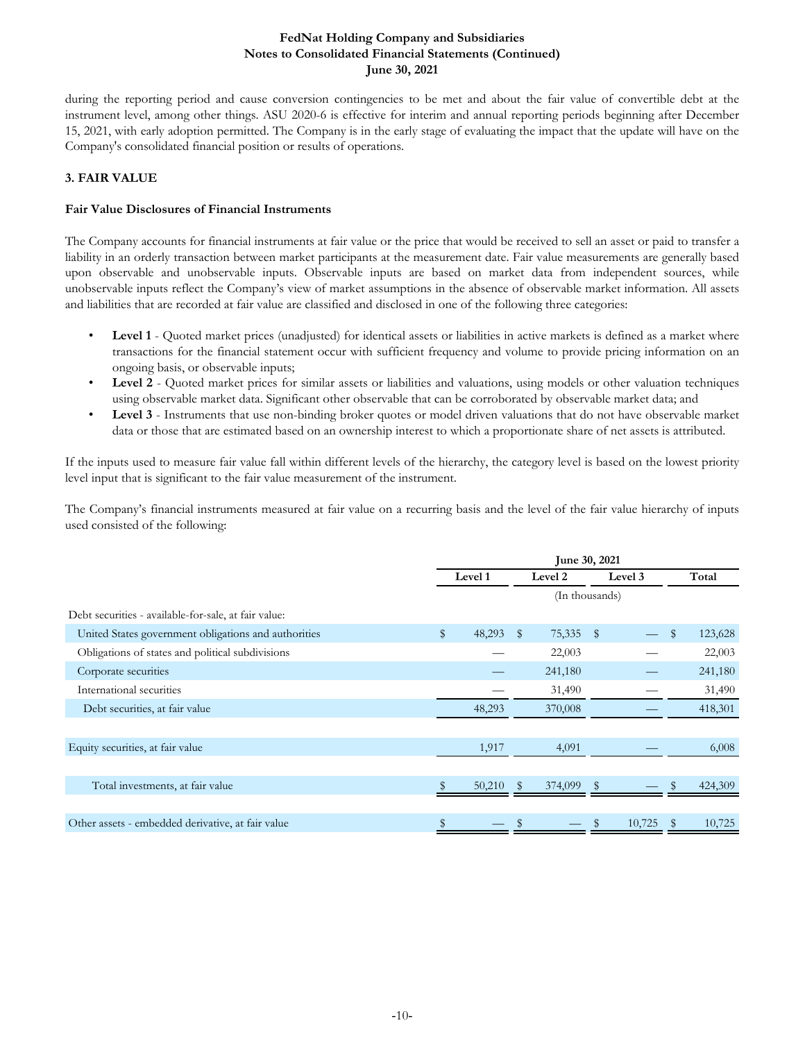during the reporting period and cause conversion contingencies to be met and about the fair value of convertible debt at the instrument level, among other things. ASU 2020-6 is effective for interim and annual reporting periods beginning after December 15, 2021, with early adoption permitted. The Company is in the early stage of evaluating the impact that the update will have on the Company's consolidated financial position or results of operations.

## **3. FAIR VALUE**

## **Fair Value Disclosures of Financial Instruments**

The Company accounts for financial instruments at fair value or the price that would be received to sell an asset or paid to transfer a liability in an orderly transaction between market participants at the measurement date. Fair value measurements are generally based upon observable and unobservable inputs. Observable inputs are based on market data from independent sources, while unobservable inputs reflect the Company's view of market assumptions in the absence of observable market information. All assets and liabilities that are recorded at fair value are classified and disclosed in one of the following three categories:

- Level 1 Quoted market prices (unadjusted) for identical assets or liabilities in active markets is defined as a market where transactions for the financial statement occur with sufficient frequency and volume to provide pricing information on an ongoing basis, or observable inputs;
- **Level 2** Quoted market prices for similar assets or liabilities and valuations, using models or other valuation techniques using observable market data. Significant other observable that can be corroborated by observable market data; and
- **Level 3** Instruments that use non-binding broker quotes or model driven valuations that do not have observable market data or those that are estimated based on an ownership interest to which a proportionate share of net assets is attributed.

If the inputs used to measure fair value fall within different levels of the hierarchy, the category level is based on the lowest priority level input that is significant to the fair value measurement of the instrument.

The Company's financial instruments measured at fair value on a recurring basis and the level of the fair value hierarchy of inputs used consisted of the following:

|                                                      |              |        |              | June 30, 2021  |      |         |               |
|------------------------------------------------------|--------------|--------|--------------|----------------|------|---------|---------------|
|                                                      | Level 1      |        |              | Level 2        |      | Level 3 | Total         |
|                                                      |              |        |              | (In thousands) |      |         |               |
| Debt securities - available-for-sale, at fair value: |              |        |              |                |      |         |               |
| United States government obligations and authorities | $\mathbb{S}$ | 48,293 | $\mathbb{S}$ | 75,335         | - \$ |         | \$<br>123,628 |
| Obligations of states and political subdivisions     |              |        |              | 22,003         |      |         | 22,003        |
| Corporate securities                                 |              |        |              | 241,180        |      |         | 241,180       |
| International securities                             |              |        |              | 31,490         |      |         | 31,490        |
| Debt securities, at fair value                       |              | 48,293 |              | 370,008        |      |         | 418,301       |
|                                                      |              |        |              |                |      |         |               |
| Equity securities, at fair value                     |              | 1,917  |              | 4,091          |      |         | 6,008         |
|                                                      |              |        |              |                |      |         |               |
| Total investments, at fair value                     |              | 50,210 |              | 374,099        |      |         | 424,309       |
|                                                      |              |        |              |                |      |         |               |
| Other assets - embedded derivative, at fair value    | \$           |        |              |                |      | 10,725  | 10,725        |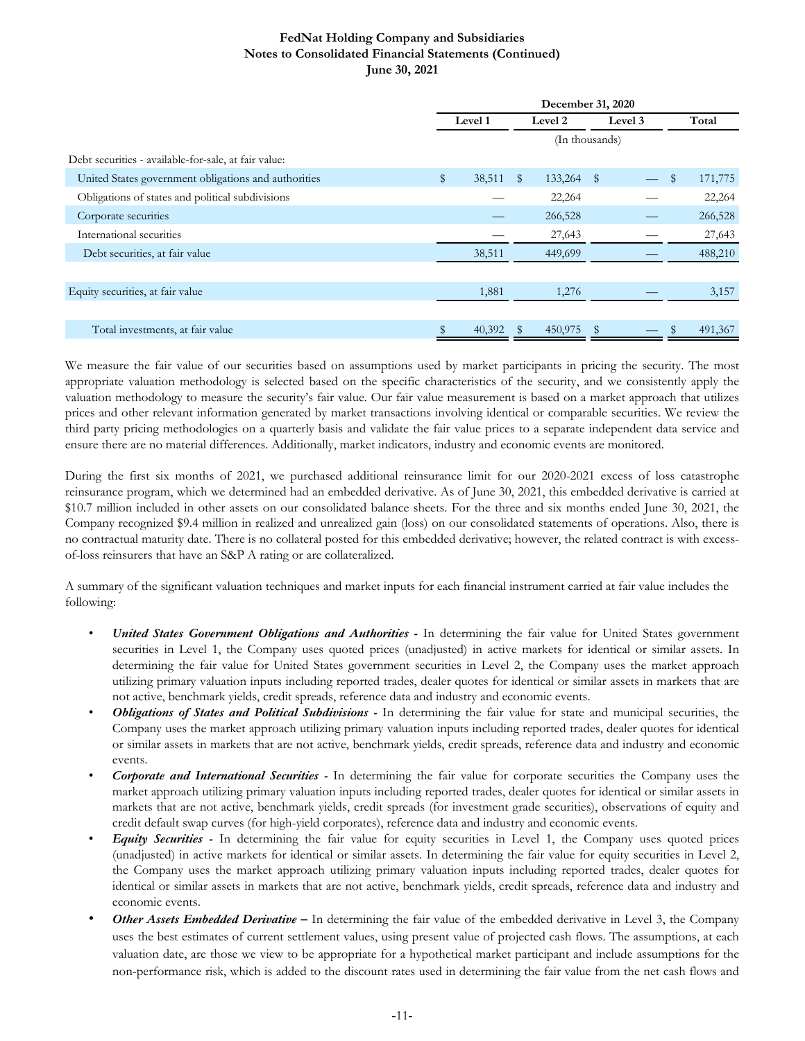|                                                      | December 31, 2020 |        |              |                |            |  |  |         |  |  |
|------------------------------------------------------|-------------------|--------|--------------|----------------|------------|--|--|---------|--|--|
|                                                      | Level 1           |        |              | Level 2        | Level 3    |  |  | Total   |  |  |
|                                                      |                   |        |              | (In thousands) |            |  |  |         |  |  |
| Debt securities - available-for-sale, at fair value: |                   |        |              |                |            |  |  |         |  |  |
| United States government obligations and authorities | \$                | 38,511 | $\mathbb{S}$ | 133,264        | $\sqrt{S}$ |  |  | 171,775 |  |  |
| Obligations of states and political subdivisions     |                   |        |              | 22,264         |            |  |  | 22,264  |  |  |
| Corporate securities                                 |                   |        |              | 266,528        |            |  |  | 266,528 |  |  |
| International securities                             |                   |        |              | 27,643         |            |  |  | 27,643  |  |  |
| Debt securities, at fair value                       |                   | 38,511 |              | 449,699        |            |  |  | 488,210 |  |  |
|                                                      |                   |        |              |                |            |  |  |         |  |  |
| Equity securities, at fair value                     |                   | 1,881  |              | 1,276          |            |  |  | 3,157   |  |  |
|                                                      |                   |        |              |                |            |  |  |         |  |  |
| Total investments, at fair value                     |                   | 40,392 |              | 450,975        |            |  |  | 491,367 |  |  |

We measure the fair value of our securities based on assumptions used by market participants in pricing the security. The most appropriate valuation methodology is selected based on the specific characteristics of the security, and we consistently apply the valuation methodology to measure the security's fair value. Our fair value measurement is based on a market approach that utilizes prices and other relevant information generated by market transactions involving identical or comparable securities. We review the third party pricing methodologies on a quarterly basis and validate the fair value prices to a separate independent data service and ensure there are no material differences. Additionally, market indicators, industry and economic events are monitored.

During the first six months of 2021, we purchased additional reinsurance limit for our 2020-2021 excess of loss catastrophe reinsurance program, which we determined had an embedded derivative. As of June 30, 2021, this embedded derivative is carried at \$10.7 million included in other assets on our consolidated balance sheets. For the three and six months ended June 30, 2021, the Company recognized \$9.4 million in realized and unrealized gain (loss) on our consolidated statements of operations. Also, there is no contractual maturity date. There is no collateral posted for this embedded derivative; however, the related contract is with excessof-loss reinsurers that have an S&P A rating or are collateralized.

A summary of the significant valuation techniques and market inputs for each financial instrument carried at fair value includes the following:

- *United States Government Obligations and Authorities -* In determining the fair value for United States government securities in Level 1, the Company uses quoted prices (unadjusted) in active markets for identical or similar assets. In determining the fair value for United States government securities in Level 2, the Company uses the market approach utilizing primary valuation inputs including reported trades, dealer quotes for identical or similar assets in markets that are not active, benchmark yields, credit spreads, reference data and industry and economic events.
- *Obligations of States and Political Subdivisions -* In determining the fair value for state and municipal securities, the Company uses the market approach utilizing primary valuation inputs including reported trades, dealer quotes for identical or similar assets in markets that are not active, benchmark yields, credit spreads, reference data and industry and economic events.
- *Corporate and International Securities -* In determining the fair value for corporate securities the Company uses the market approach utilizing primary valuation inputs including reported trades, dealer quotes for identical or similar assets in markets that are not active, benchmark yields, credit spreads (for investment grade securities), observations of equity and credit default swap curves (for high-yield corporates), reference data and industry and economic events.
- *Equity Securities -* In determining the fair value for equity securities in Level 1, the Company uses quoted prices (unadjusted) in active markets for identical or similar assets. In determining the fair value for equity securities in Level 2, the Company uses the market approach utilizing primary valuation inputs including reported trades, dealer quotes for identical or similar assets in markets that are not active, benchmark yields, credit spreads, reference data and industry and economic events.
- *Other Assets Embedded Derivative –* In determining the fair value of the embedded derivative in Level 3, the Company uses the best estimates of current settlement values, using present value of projected cash flows. The assumptions, at each valuation date, are those we view to be appropriate for a hypothetical market participant and include assumptions for the non-performance risk, which is added to the discount rates used in determining the fair value from the net cash flows and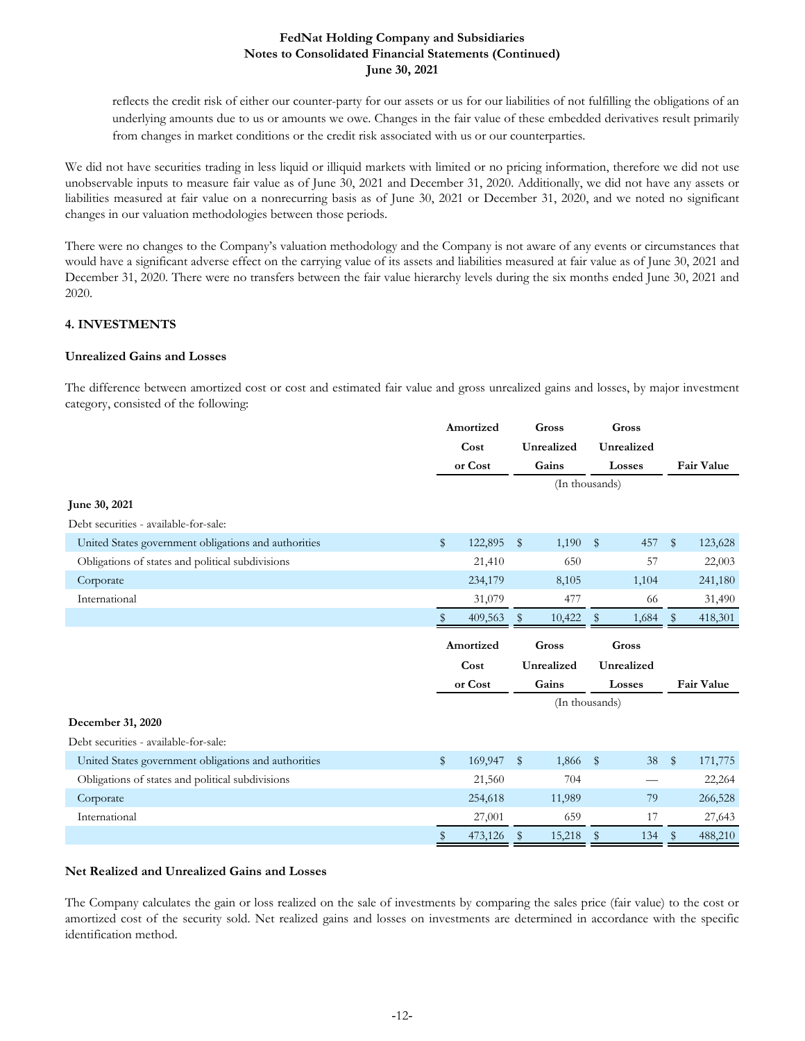reflects the credit risk of either our counter-party for our assets or us for our liabilities of not fulfilling the obligations of an underlying amounts due to us or amounts we owe. Changes in the fair value of these embedded derivatives result primarily from changes in market conditions or the credit risk associated with us or our counterparties.

We did not have securities trading in less liquid or illiquid markets with limited or no pricing information, therefore we did not use unobservable inputs to measure fair value as of June 30, 2021 and December 31, 2020. Additionally, we did not have any assets or liabilities measured at fair value on a nonrecurring basis as of June 30, 2021 or December 31, 2020, and we noted no significant changes in our valuation methodologies between those periods.

There were no changes to the Company's valuation methodology and the Company is not aware of any events or circumstances that would have a significant adverse effect on the carrying value of its assets and liabilities measured at fair value as of June 30, 2021 and December 31, 2020. There were no transfers between the fair value hierarchy levels during the six months ended June 30, 2021 and 2020.

## **4. INVESTMENTS**

## **Unrealized Gains and Losses**

The difference between amortized cost or cost and estimated fair value and gross unrealized gains and losses, by major investment category, consisted of the following:

|                                                      | Amortized    |           | Gross        |                |              | Gross      |              |                   |
|------------------------------------------------------|--------------|-----------|--------------|----------------|--------------|------------|--------------|-------------------|
|                                                      |              | Cost      |              | Unrealized     |              | Unrealized |              |                   |
|                                                      |              | or Cost   |              | Gains          | Losses       |            |              | <b>Fair Value</b> |
|                                                      |              |           |              | (In thousands) |              |            |              |                   |
| June 30, 2021                                        |              |           |              |                |              |            |              |                   |
| Debt securities - available-for-sale:                |              |           |              |                |              |            |              |                   |
| United States government obligations and authorities | $\mathbb{S}$ | 122,895   | $\mathbb{S}$ | 1,190          | $\mathbb{S}$ | 457        | $\mathbb{S}$ | 123,628           |
| Obligations of states and political subdivisions     |              | 21,410    |              | 650            |              | 57         |              | 22,003            |
| Corporate                                            |              | 234,179   |              | 8,105          |              | 1,104      |              | 241,180           |
| International                                        |              | 31,079    |              | 477            |              | 66         |              | 31,490            |
|                                                      |              | 409,563   | -\$          | 10,422         | $\mathbb{S}$ | 1,684      |              | 418,301           |
|                                                      |              | Amortized |              |                |              |            |              |                   |
|                                                      |              |           |              | Gross          |              | Gross      |              |                   |
|                                                      |              | Cost      |              | Unrealized     |              | Unrealized |              |                   |
|                                                      |              | or Cost   |              | Gains          |              | Losses     |              | <b>Fair Value</b> |
|                                                      |              |           |              | (In thousands) |              |            |              |                   |
| December 31, 2020                                    |              |           |              |                |              |            |              |                   |
| Debt securities - available-for-sale:                |              |           |              |                |              |            |              |                   |
| United States government obligations and authorities | \$           | 169,947   | \$           | 1,866          | $\sqrt{3}$   | 38         | $\sqrt{3}$   | 171,775           |
| Obligations of states and political subdivisions     |              | 21,560    |              | 704            |              |            |              | 22,264            |
| Corporate                                            |              | 254,618   |              | 11,989         |              | 79         |              | 266,528           |
| International                                        |              | 27,001    |              | 659            |              | 17         |              | 27,643            |

#### **Net Realized and Unrealized Gains and Losses**

The Company calculates the gain or loss realized on the sale of investments by comparing the sales price (fair value) to the cost or amortized cost of the security sold. Net realized gains and losses on investments are determined in accordance with the specific identification method.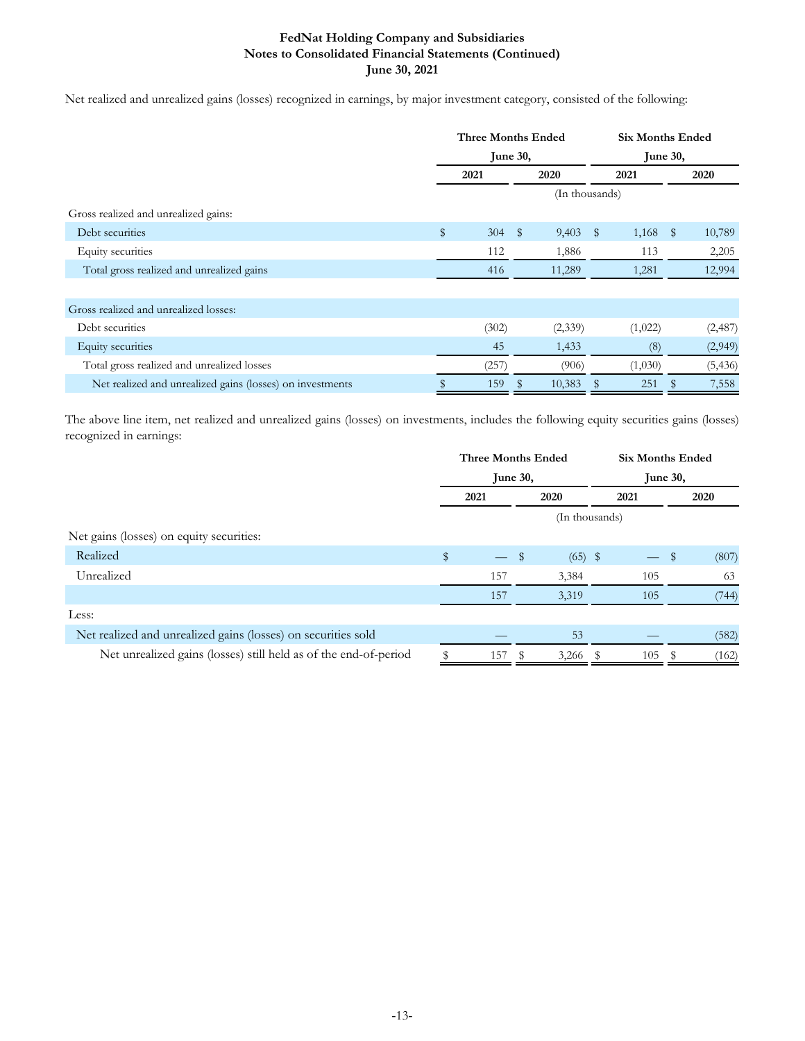Net realized and unrealized gains (losses) recognized in earnings, by major investment category, consisted of the following:

|                                                           | <b>Three Months Ended</b> |       |              | <b>Six Months Ended</b> |              |             |              |          |
|-----------------------------------------------------------|---------------------------|-------|--------------|-------------------------|--------------|-------------|--------------|----------|
|                                                           | <b>June 30,</b>           |       |              |                         |              | June $30$ , |              |          |
|                                                           | 2021                      |       |              | 2020                    |              | 2021        |              | 2020     |
|                                                           |                           |       |              | (In thousands)          |              |             |              |          |
| Gross realized and unrealized gains:                      |                           |       |              |                         |              |             |              |          |
| Debt securities                                           | $\mathbb{S}$              | 304   | $\mathbb{S}$ | 9,403                   | $\mathbb{S}$ | 1,168       | $\mathbb{S}$ | 10,789   |
| Equity securities                                         |                           | 112   |              | 1,886                   |              | 113         |              | 2,205    |
| Total gross realized and unrealized gains                 |                           | 416   |              | 11,289                  |              | 1,281       |              | 12,994   |
|                                                           |                           |       |              |                         |              |             |              |          |
| Gross realized and unrealized losses:                     |                           |       |              |                         |              |             |              |          |
| Debt securities                                           |                           | (302) |              | (2,339)                 |              | (1,022)     |              | (2,487)  |
| Equity securities                                         |                           | 45    |              | 1,433                   |              | (8)         |              | (2,949)  |
| Total gross realized and unrealized losses                |                           | (257) |              | (906)                   |              | (1,030)     |              | (5, 436) |
| Net realized and unrealized gains (losses) on investments |                           | 159   |              | 10,383                  |              | 251         |              | 7,558    |

The above line item, net realized and unrealized gains (losses) on investments, includes the following equity securities gains (losses) recognized in earnings:

|                                                                  | <b>Three Months Ended</b> |                          |    |                |  | <b>Six Months Ended</b> |    |       |  |  |
|------------------------------------------------------------------|---------------------------|--------------------------|----|----------------|--|-------------------------|----|-------|--|--|
|                                                                  | June 30,                  |                          |    |                |  | June 30,                |    |       |  |  |
|                                                                  |                           | 2021                     |    | 2020           |  | 2021                    |    | 2020  |  |  |
|                                                                  |                           |                          |    | (In thousands) |  |                         |    |       |  |  |
| Net gains (losses) on equity securities:                         |                           |                          |    |                |  |                         |    |       |  |  |
| Realized                                                         | \$                        | $\overline{\phantom{0}}$ | \$ | $(65)$ \$      |  |                         | \$ | (807) |  |  |
| Unrealized                                                       |                           | 157                      |    | 3,384          |  | 105                     |    | 63    |  |  |
|                                                                  |                           | 157                      |    | 3,319          |  | 105                     |    | (744) |  |  |
| Less:                                                            |                           |                          |    |                |  |                         |    |       |  |  |
| Net realized and unrealized gains (losses) on securities sold    |                           |                          |    | 53             |  |                         |    | (582) |  |  |
| Net unrealized gains (losses) still held as of the end-of-period |                           | 157                      |    | $3,266$ \$     |  | 105                     |    | (162) |  |  |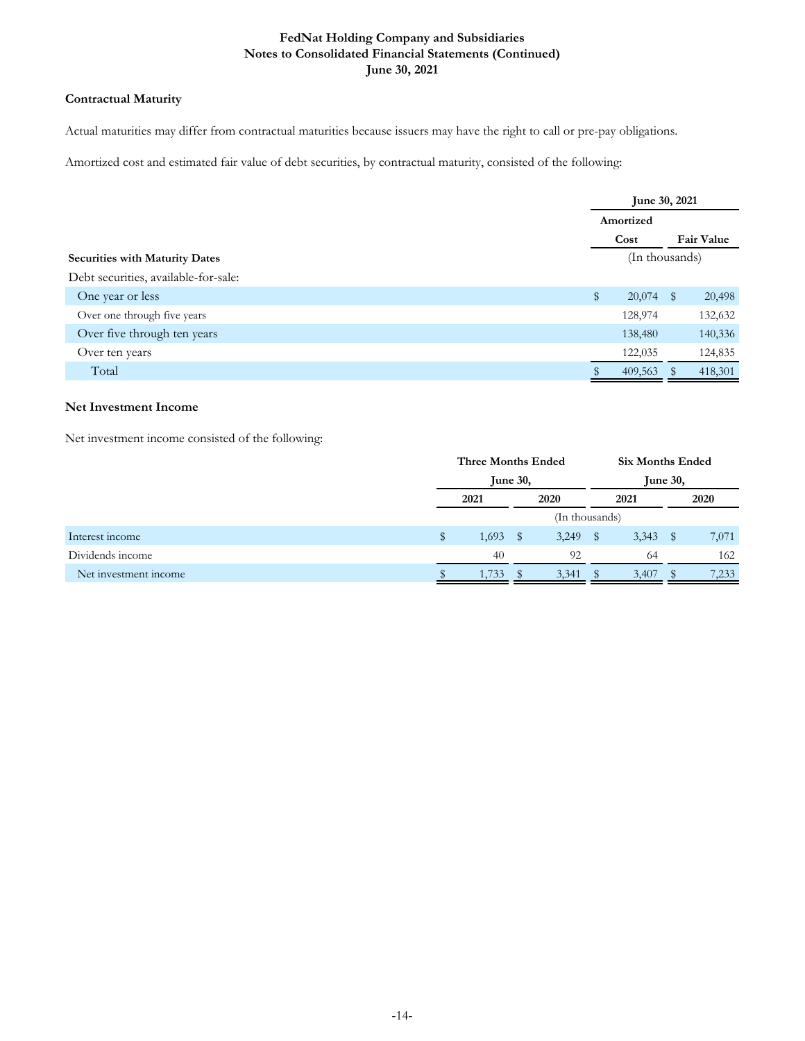## **Contractual Maturity**

Actual maturities may differ from contractual maturities because issuers may have the right to call or pre-pay obligations.

Amortized cost and estimated fair value of debt securities, by contractual maturity, consisted of the following:

|                                       |                | June 30, 2021<br>Amortized<br>Cost |   |                   |  |  |  |  |
|---------------------------------------|----------------|------------------------------------|---|-------------------|--|--|--|--|
|                                       |                |                                    |   |                   |  |  |  |  |
|                                       |                |                                    |   | <b>Fair Value</b> |  |  |  |  |
| <b>Securities with Maturity Dates</b> | (In thousands) |                                    |   |                   |  |  |  |  |
| Debt securities, available-for-sale:  |                |                                    |   |                   |  |  |  |  |
| One year or less                      | $\mathbb{S}$   | 20,074                             | S | 20,498            |  |  |  |  |
| Over one through five years           |                | 128,974                            |   | 132,632           |  |  |  |  |
| Over five through ten years           |                | 138,480                            |   | 140,336           |  |  |  |  |
| Over ten years                        |                | 122,035                            |   | 124,835           |  |  |  |  |
| Total                                 |                | 409,563                            |   | 418,301           |  |  |  |  |

## **Net Investment Income**

Net investment income consisted of the following:

|                       | <b>Three Months Ended</b><br>June $30$ , |       |      |                |                 | <b>Six Months Ended</b> |      |       |
|-----------------------|------------------------------------------|-------|------|----------------|-----------------|-------------------------|------|-------|
|                       |                                          |       |      |                | <b>June 30,</b> |                         |      |       |
|                       | 2021                                     |       |      | 2020           |                 | 2021                    |      | 2020  |
|                       |                                          |       |      | (In thousands) |                 |                         |      |       |
| Interest income       | S                                        | 1,693 | - \$ | 3,249          |                 | 3,343                   | - \$ | 7,071 |
| Dividends income      |                                          | 40    |      | 92             |                 | 64                      |      | 162   |
| Net investment income |                                          | 1,733 |      | 3,341          |                 | 3,407                   |      | 7,233 |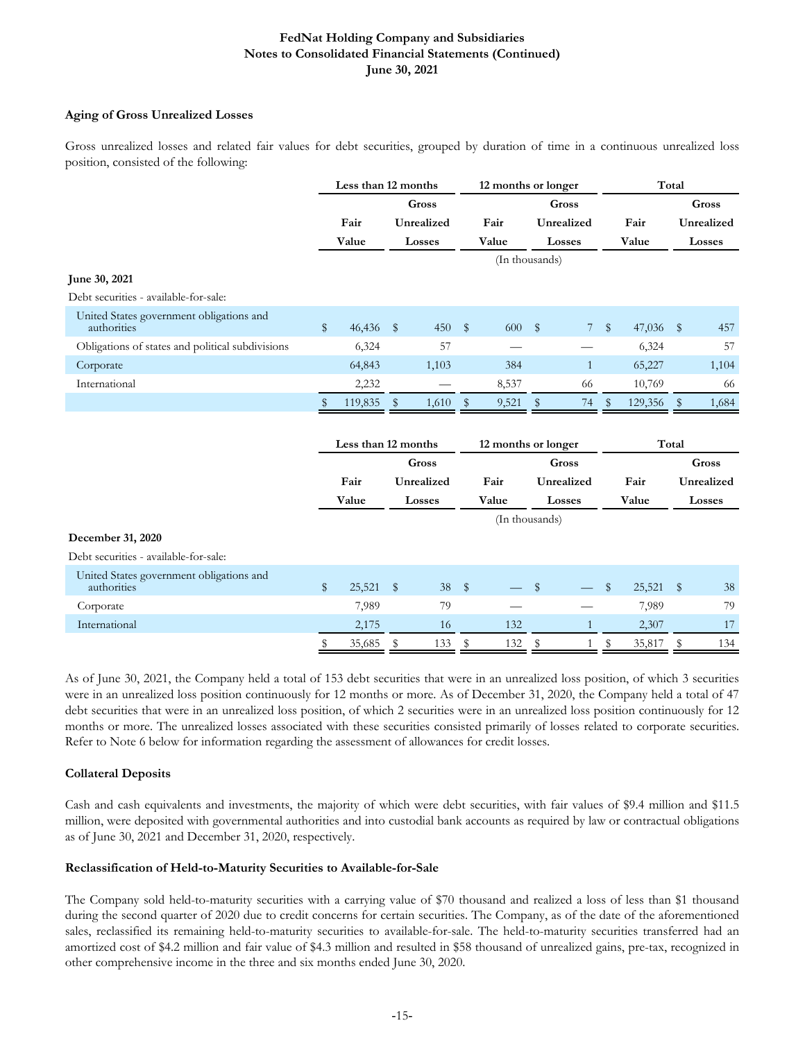## **Aging of Gross Unrealized Losses**

Gross unrealized losses and related fair values for debt securities, grouped by duration of time in a continuous unrealized loss position, consisted of the following:

|                                                         | Less than 12 months     |                     |              |            | 12 months or longer |                     |              |              |              | Total   |            |        |  |
|---------------------------------------------------------|-------------------------|---------------------|--------------|------------|---------------------|---------------------|--------------|--------------|--------------|---------|------------|--------|--|
|                                                         |                         |                     |              | Gross      |                     |                     |              | <b>Gross</b> |              |         |            | Gross  |  |
|                                                         |                         | Fair                |              | Unrealized |                     | Fair                |              | Unrealized   | Fair         |         | Unrealized |        |  |
|                                                         |                         | Value               |              | Losses     |                     | Value               |              | Losses       | Value        |         |            | Losses |  |
|                                                         |                         |                     |              |            |                     | (In thousands)      |              |              |              |         |            |        |  |
| June 30, 2021                                           |                         |                     |              |            |                     |                     |              |              |              |         |            |        |  |
| Debt securities - available-for-sale:                   |                         |                     |              |            |                     |                     |              |              |              |         |            |        |  |
| United States government obligations and<br>authorities | $\mathbb{S}$            | 46,436 \$           |              | 450        | $\mathbb{S}$        | 600                 | $\mathbb{S}$ | 7            | $\mathbb{S}$ | 47,036  | $\sqrt{3}$ | 457    |  |
| Obligations of states and political subdivisions        |                         | 6,324               |              | 57         |                     |                     |              |              |              | 6,324   |            | 57     |  |
| Corporate                                               |                         | 64,843              |              | 1,103      |                     | 384                 |              | $\mathbf{1}$ |              | 65,227  |            | 1,104  |  |
| International                                           |                         | 2,232               |              |            |                     | 8,537               |              | 66           |              | 10,769  |            | 66     |  |
|                                                         | S                       | 119,835             | $\mathbb{S}$ | 1,610      | \$                  | 9,521               | $\mathbb{S}$ | 74           | \$           | 129,356 | \$         | 1,684  |  |
|                                                         |                         | Less than 12 months |              |            |                     | 12 months or longer |              |              |              |         | Total      |        |  |
|                                                         |                         |                     | Gross        |            |                     |                     | Gross        |              |              |         | Gross      |        |  |
|                                                         |                         | Fair                |              | Unrealized | Fair                |                     | Unrealized   |              | Fair         |         | Unrealized |        |  |
|                                                         |                         | Value               |              | Losses     |                     | Value               |              | Losses       |              | Value   |            | Losses |  |
|                                                         |                         |                     |              |            |                     | (In thousands)      |              |              |              |         |            |        |  |
| December 31, 2020                                       |                         |                     |              |            |                     |                     |              |              |              |         |            |        |  |
| Debt securities - available-for-sale:                   |                         |                     |              |            |                     |                     |              |              |              |         |            |        |  |
| United States government obligations and<br>authorities | $\sqrt[6]{\frac{1}{2}}$ | 25,521              | \$           | 38         | \$                  |                     | $\mathbb{S}$ |              | \$           | 25,521  | \$         | 38     |  |
| Corporate                                               |                         | 7,989               |              | 79         |                     |                     |              |              |              | 7,989   |            | 79     |  |
| International                                           |                         | 2,175               |              | 16         |                     | 132                 |              | $\mathbf{1}$ |              | 2,307   |            | 17     |  |

As of June 30, 2021, the Company held a total of 153 debt securities that were in an unrealized loss position, of which 3 securities were in an unrealized loss position continuously for 12 months or more. As of December 31, 2020, the Company held a total of 47 debt securities that were in an unrealized loss position, of which 2 securities were in an unrealized loss position continuously for 12 months or more. The unrealized losses associated with these securities consisted primarily of losses related to corporate securities. Refer to Note 6 below for information regarding the assessment of allowances for credit losses.

\$ 35,685 \$ 133 \$ 132 \$ 1 \$ 35,817 \$ 134

## **Collateral Deposits**

Cash and cash equivalents and investments, the majority of which were debt securities, with fair values of \$9.4 million and \$11.5 million, were deposited with governmental authorities and into custodial bank accounts as required by law or contractual obligations as of June 30, 2021 and December 31, 2020, respectively.

## **Reclassification of Held-to-Maturity Securities to Available-for-Sale**

The Company sold held-to-maturity securities with a carrying value of \$70 thousand and realized a loss of less than \$1 thousand during the second quarter of 2020 due to credit concerns for certain securities. The Company, as of the date of the aforementioned sales, reclassified its remaining held-to-maturity securities to available-for-sale. The held-to-maturity securities transferred had an amortized cost of \$4.2 million and fair value of \$4.3 million and resulted in \$58 thousand of unrealized gains, pre-tax, recognized in other comprehensive income in the three and six months ended June 30, 2020.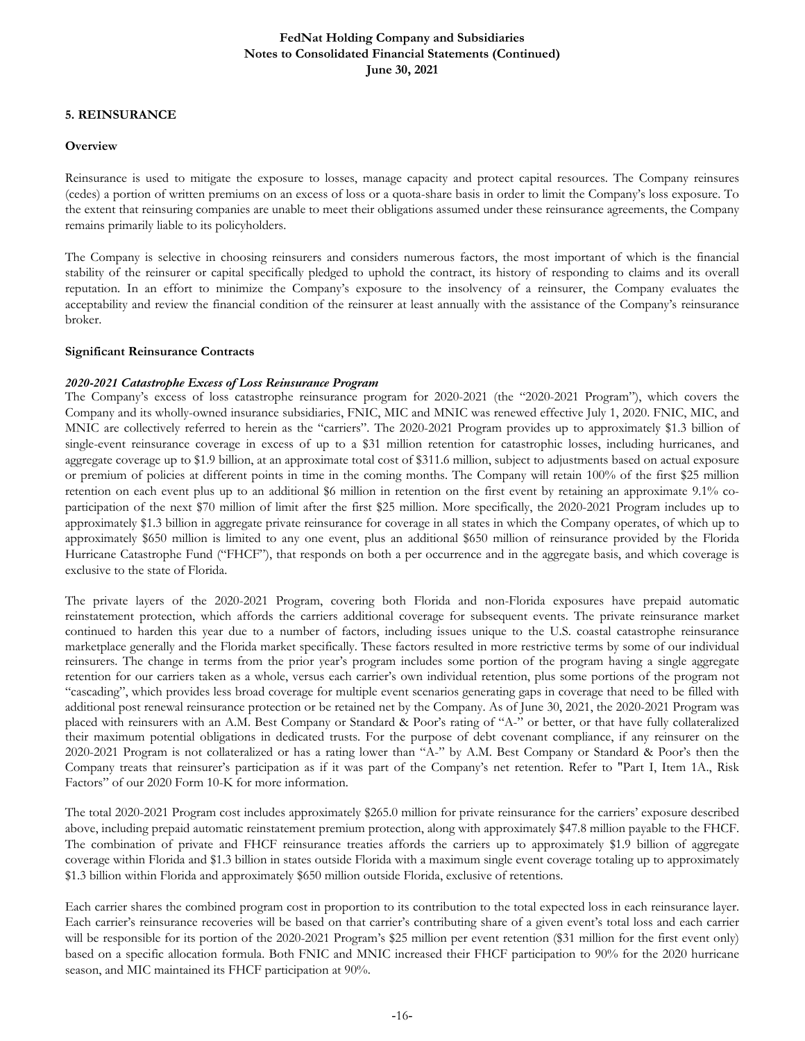## **5. REINSURANCE**

#### **Overview**

Reinsurance is used to mitigate the exposure to losses, manage capacity and protect capital resources. The Company reinsures (cedes) a portion of written premiums on an excess of loss or a quota-share basis in order to limit the Company's loss exposure. To the extent that reinsuring companies are unable to meet their obligations assumed under these reinsurance agreements, the Company remains primarily liable to its policyholders.

The Company is selective in choosing reinsurers and considers numerous factors, the most important of which is the financial stability of the reinsurer or capital specifically pledged to uphold the contract, its history of responding to claims and its overall reputation. In an effort to minimize the Company's exposure to the insolvency of a reinsurer, the Company evaluates the acceptability and review the financial condition of the reinsurer at least annually with the assistance of the Company's reinsurance broker.

## **Significant Reinsurance Contracts**

## *2020-2021 Catastrophe Excess of Loss Reinsurance Program*

The Company's excess of loss catastrophe reinsurance program for 2020-2021 (the "2020-2021 Program"), which covers the Company and its wholly-owned insurance subsidiaries, FNIC, MIC and MNIC was renewed effective July 1, 2020. FNIC, MIC, and MNIC are collectively referred to herein as the "carriers". The 2020-2021 Program provides up to approximately \$1.3 billion of single-event reinsurance coverage in excess of up to a \$31 million retention for catastrophic losses, including hurricanes, and aggregate coverage up to \$1.9 billion, at an approximate total cost of \$311.6 million, subject to adjustments based on actual exposure or premium of policies at different points in time in the coming months. The Company will retain 100% of the first \$25 million retention on each event plus up to an additional \$6 million in retention on the first event by retaining an approximate 9.1% coparticipation of the next \$70 million of limit after the first \$25 million. More specifically, the 2020-2021 Program includes up to approximately \$1.3 billion in aggregate private reinsurance for coverage in all states in which the Company operates, of which up to approximately \$650 million is limited to any one event, plus an additional \$650 million of reinsurance provided by the Florida Hurricane Catastrophe Fund ("FHCF"), that responds on both a per occurrence and in the aggregate basis, and which coverage is exclusive to the state of Florida.

The private layers of the 2020-2021 Program, covering both Florida and non-Florida exposures have prepaid automatic reinstatement protection, which affords the carriers additional coverage for subsequent events. The private reinsurance market continued to harden this year due to a number of factors, including issues unique to the U.S. coastal catastrophe reinsurance marketplace generally and the Florida market specifically. These factors resulted in more restrictive terms by some of our individual reinsurers. The change in terms from the prior year's program includes some portion of the program having a single aggregate retention for our carriers taken as a whole, versus each carrier's own individual retention, plus some portions of the program not "cascading", which provides less broad coverage for multiple event scenarios generating gaps in coverage that need to be filled with additional post renewal reinsurance protection or be retained net by the Company. As of June 30, 2021, the 2020-2021 Program was placed with reinsurers with an A.M. Best Company or Standard & Poor's rating of "A-" or better, or that have fully collateralized their maximum potential obligations in dedicated trusts. For the purpose of debt covenant compliance, if any reinsurer on the 2020-2021 Program is not collateralized or has a rating lower than "A-" by A.M. Best Company or Standard & Poor's then the Company treats that reinsurer's participation as if it was part of the Company's net retention. Refer to "Part I, Item 1A., Risk Factors" of our 2020 Form 10-K for more information.

The total 2020-2021 Program cost includes approximately \$265.0 million for private reinsurance for the carriers' exposure described above, including prepaid automatic reinstatement premium protection, along with approximately \$47.8 million payable to the FHCF. The combination of private and FHCF reinsurance treaties affords the carriers up to approximately \$1.9 billion of aggregate coverage within Florida and \$1.3 billion in states outside Florida with a maximum single event coverage totaling up to approximately \$1.3 billion within Florida and approximately \$650 million outside Florida, exclusive of retentions.

Each carrier shares the combined program cost in proportion to its contribution to the total expected loss in each reinsurance layer. Each carrier's reinsurance recoveries will be based on that carrier's contributing share of a given event's total loss and each carrier will be responsible for its portion of the 2020-2021 Program's \$25 million per event retention (\$31 million for the first event only) based on a specific allocation formula. Both FNIC and MNIC increased their FHCF participation to 90% for the 2020 hurricane season, and MIC maintained its FHCF participation at 90%.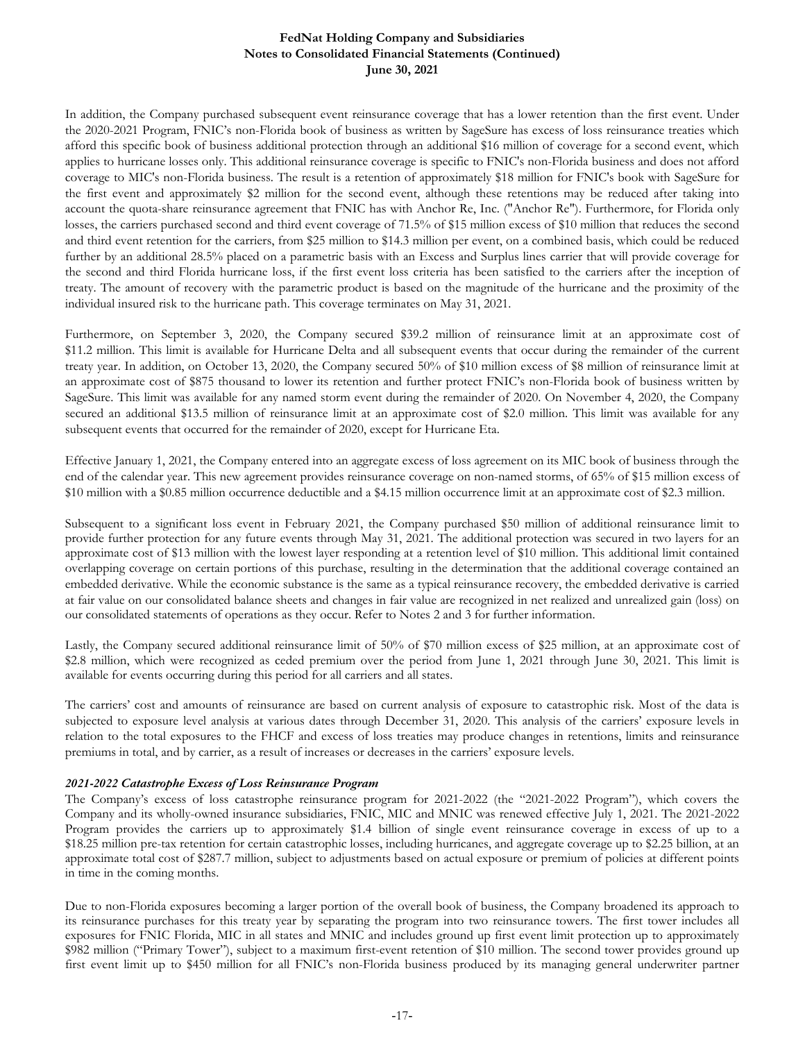In addition, the Company purchased subsequent event reinsurance coverage that has a lower retention than the first event. Under the 2020-2021 Program, FNIC's non-Florida book of business as written by SageSure has excess of loss reinsurance treaties which afford this specific book of business additional protection through an additional \$16 million of coverage for a second event, which applies to hurricane losses only. This additional reinsurance coverage is specific to FNIC's non-Florida business and does not afford coverage to MIC's non-Florida business. The result is a retention of approximately \$18 million for FNIC's book with SageSure for the first event and approximately \$2 million for the second event, although these retentions may be reduced after taking into account the quota-share reinsurance agreement that FNIC has with Anchor Re, Inc. ("Anchor Re"). Furthermore, for Florida only losses, the carriers purchased second and third event coverage of 71.5% of \$15 million excess of \$10 million that reduces the second and third event retention for the carriers, from \$25 million to \$14.3 million per event, on a combined basis, which could be reduced further by an additional 28.5% placed on a parametric basis with an Excess and Surplus lines carrier that will provide coverage for the second and third Florida hurricane loss, if the first event loss criteria has been satisfied to the carriers after the inception of treaty. The amount of recovery with the parametric product is based on the magnitude of the hurricane and the proximity of the individual insured risk to the hurricane path. This coverage terminates on May 31, 2021.

Furthermore, on September 3, 2020, the Company secured \$39.2 million of reinsurance limit at an approximate cost of \$11.2 million. This limit is available for Hurricane Delta and all subsequent events that occur during the remainder of the current treaty year. In addition, on October 13, 2020, the Company secured 50% of \$10 million excess of \$8 million of reinsurance limit at an approximate cost of \$875 thousand to lower its retention and further protect FNIC's non-Florida book of business written by SageSure. This limit was available for any named storm event during the remainder of 2020. On November 4, 2020, the Company secured an additional \$13.5 million of reinsurance limit at an approximate cost of \$2.0 million. This limit was available for any subsequent events that occurred for the remainder of 2020, except for Hurricane Eta.

Effective January 1, 2021, the Company entered into an aggregate excess of loss agreement on its MIC book of business through the end of the calendar year. This new agreement provides reinsurance coverage on non-named storms, of 65% of \$15 million excess of \$10 million with a \$0.85 million occurrence deductible and a \$4.15 million occurrence limit at an approximate cost of \$2.3 million.

Subsequent to a significant loss event in February 2021, the Company purchased \$50 million of additional reinsurance limit to provide further protection for any future events through May 31, 2021. The additional protection was secured in two layers for an approximate cost of \$13 million with the lowest layer responding at a retention level of \$10 million. This additional limit contained overlapping coverage on certain portions of this purchase, resulting in the determination that the additional coverage contained an embedded derivative. While the economic substance is the same as a typical reinsurance recovery, the embedded derivative is carried at fair value on our consolidated balance sheets and changes in fair value are recognized in net realized and unrealized gain (loss) on our consolidated statements of operations as they occur. Refer to Notes 2 and 3 for further information.

Lastly, the Company secured additional reinsurance limit of 50% of \$70 million excess of \$25 million, at an approximate cost of \$2.8 million, which were recognized as ceded premium over the period from June 1, 2021 through June 30, 2021. This limit is available for events occurring during this period for all carriers and all states.

The carriers' cost and amounts of reinsurance are based on current analysis of exposure to catastrophic risk. Most of the data is subjected to exposure level analysis at various dates through December 31, 2020. This analysis of the carriers' exposure levels in relation to the total exposures to the FHCF and excess of loss treaties may produce changes in retentions, limits and reinsurance premiums in total, and by carrier, as a result of increases or decreases in the carriers' exposure levels.

#### *2021-2022 Catastrophe Excess of Loss Reinsurance Program*

The Company's excess of loss catastrophe reinsurance program for 2021-2022 (the "2021-2022 Program"), which covers the Company and its wholly-owned insurance subsidiaries, FNIC, MIC and MNIC was renewed effective July 1, 2021. The 2021-2022 Program provides the carriers up to approximately \$1.4 billion of single event reinsurance coverage in excess of up to a \$18.25 million pre-tax retention for certain catastrophic losses, including hurricanes, and aggregate coverage up to \$2.25 billion, at an approximate total cost of \$287.7 million, subject to adjustments based on actual exposure or premium of policies at different points in time in the coming months.

Due to non-Florida exposures becoming a larger portion of the overall book of business, the Company broadened its approach to its reinsurance purchases for this treaty year by separating the program into two reinsurance towers. The first tower includes all exposures for FNIC Florida, MIC in all states and MNIC and includes ground up first event limit protection up to approximately \$982 million ("Primary Tower"), subject to a maximum first-event retention of \$10 million. The second tower provides ground up first event limit up to \$450 million for all FNIC's non-Florida business produced by its managing general underwriter partner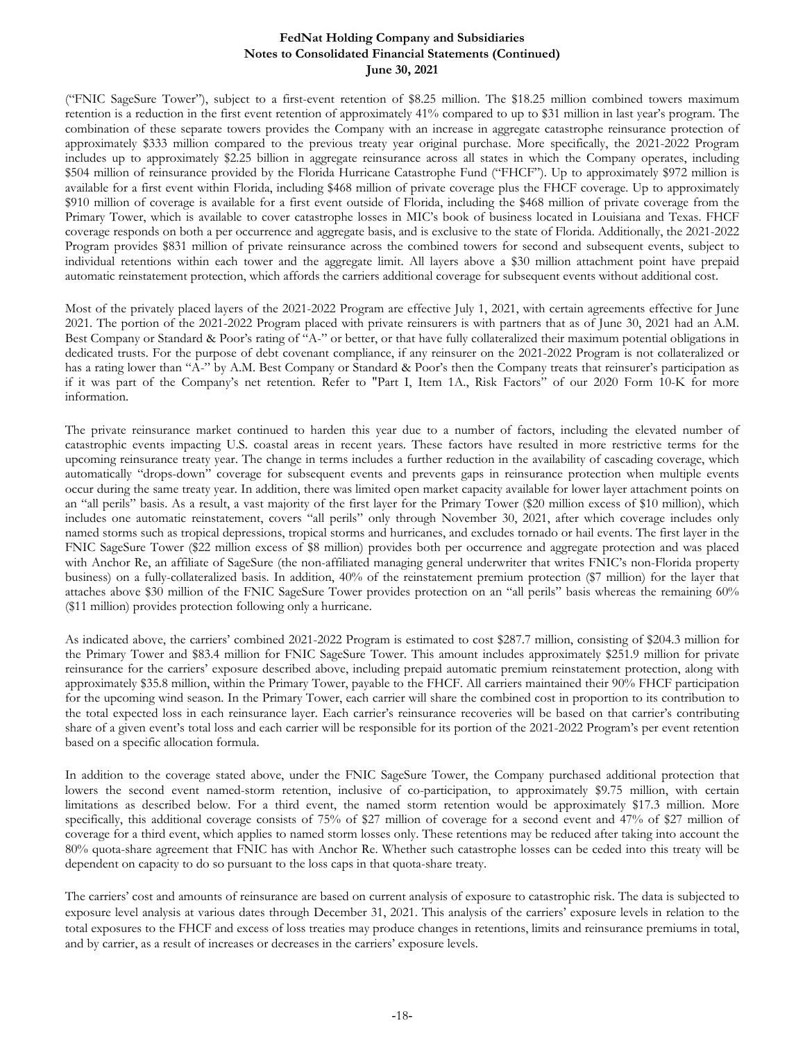("FNIC SageSure Tower"), subject to a first-event retention of \$8.25 million. The \$18.25 million combined towers maximum retention is a reduction in the first event retention of approximately 41% compared to up to \$31 million in last year's program. The combination of these separate towers provides the Company with an increase in aggregate catastrophe reinsurance protection of approximately \$333 million compared to the previous treaty year original purchase. More specifically, the 2021-2022 Program includes up to approximately \$2.25 billion in aggregate reinsurance across all states in which the Company operates, including \$504 million of reinsurance provided by the Florida Hurricane Catastrophe Fund ("FHCF"). Up to approximately \$972 million is available for a first event within Florida, including \$468 million of private coverage plus the FHCF coverage. Up to approximately \$910 million of coverage is available for a first event outside of Florida, including the \$468 million of private coverage from the Primary Tower, which is available to cover catastrophe losses in MIC's book of business located in Louisiana and Texas. FHCF coverage responds on both a per occurrence and aggregate basis, and is exclusive to the state of Florida. Additionally, the 2021-2022 Program provides \$831 million of private reinsurance across the combined towers for second and subsequent events, subject to individual retentions within each tower and the aggregate limit. All layers above a \$30 million attachment point have prepaid automatic reinstatement protection, which affords the carriers additional coverage for subsequent events without additional cost.

Most of the privately placed layers of the 2021-2022 Program are effective July 1, 2021, with certain agreements effective for June 2021. The portion of the 2021-2022 Program placed with private reinsurers is with partners that as of June 30, 2021 had an A.M. Best Company or Standard & Poor's rating of "A-" or better, or that have fully collateralized their maximum potential obligations in dedicated trusts. For the purpose of debt covenant compliance, if any reinsurer on the 2021-2022 Program is not collateralized or has a rating lower than "A-" by A.M. Best Company or Standard & Poor's then the Company treats that reinsurer's participation as if it was part of the Company's net retention. Refer to "Part I, Item 1A., Risk Factors" of our 2020 Form 10-K for more information.

The private reinsurance market continued to harden this year due to a number of factors, including the elevated number of catastrophic events impacting U.S. coastal areas in recent years. These factors have resulted in more restrictive terms for the upcoming reinsurance treaty year. The change in terms includes a further reduction in the availability of cascading coverage, which automatically "drops-down" coverage for subsequent events and prevents gaps in reinsurance protection when multiple events occur during the same treaty year. In addition, there was limited open market capacity available for lower layer attachment points on an "all perils" basis. As a result, a vast majority of the first layer for the Primary Tower (\$20 million excess of \$10 million), which includes one automatic reinstatement, covers "all perils" only through November 30, 2021, after which coverage includes only named storms such as tropical depressions, tropical storms and hurricanes, and excludes tornado or hail events. The first layer in the FNIC SageSure Tower (\$22 million excess of \$8 million) provides both per occurrence and aggregate protection and was placed with Anchor Re, an affiliate of SageSure (the non-affiliated managing general underwriter that writes FNIC's non-Florida property business) on a fully-collateralized basis. In addition, 40% of the reinstatement premium protection (\$7 million) for the layer that attaches above \$30 million of the FNIC SageSure Tower provides protection on an "all perils" basis whereas the remaining 60% (\$11 million) provides protection following only a hurricane.

As indicated above, the carriers' combined 2021-2022 Program is estimated to cost \$287.7 million, consisting of \$204.3 million for the Primary Tower and \$83.4 million for FNIC SageSure Tower. This amount includes approximately \$251.9 million for private reinsurance for the carriers' exposure described above, including prepaid automatic premium reinstatement protection, along with approximately \$35.8 million, within the Primary Tower, payable to the FHCF. All carriers maintained their 90% FHCF participation for the upcoming wind season. In the Primary Tower, each carrier will share the combined cost in proportion to its contribution to the total expected loss in each reinsurance layer. Each carrier's reinsurance recoveries will be based on that carrier's contributing share of a given event's total loss and each carrier will be responsible for its portion of the 2021-2022 Program's per event retention based on a specific allocation formula.

In addition to the coverage stated above, under the FNIC SageSure Tower, the Company purchased additional protection that lowers the second event named-storm retention, inclusive of co-participation, to approximately \$9.75 million, with certain limitations as described below. For a third event, the named storm retention would be approximately \$17.3 million. More specifically, this additional coverage consists of 75% of \$27 million of coverage for a second event and 47% of \$27 million of coverage for a third event, which applies to named storm losses only. These retentions may be reduced after taking into account the 80% quota-share agreement that FNIC has with Anchor Re. Whether such catastrophe losses can be ceded into this treaty will be dependent on capacity to do so pursuant to the loss caps in that quota-share treaty.

The carriers' cost and amounts of reinsurance are based on current analysis of exposure to catastrophic risk. The data is subjected to exposure level analysis at various dates through December 31, 2021. This analysis of the carriers' exposure levels in relation to the total exposures to the FHCF and excess of loss treaties may produce changes in retentions, limits and reinsurance premiums in total, and by carrier, as a result of increases or decreases in the carriers' exposure levels.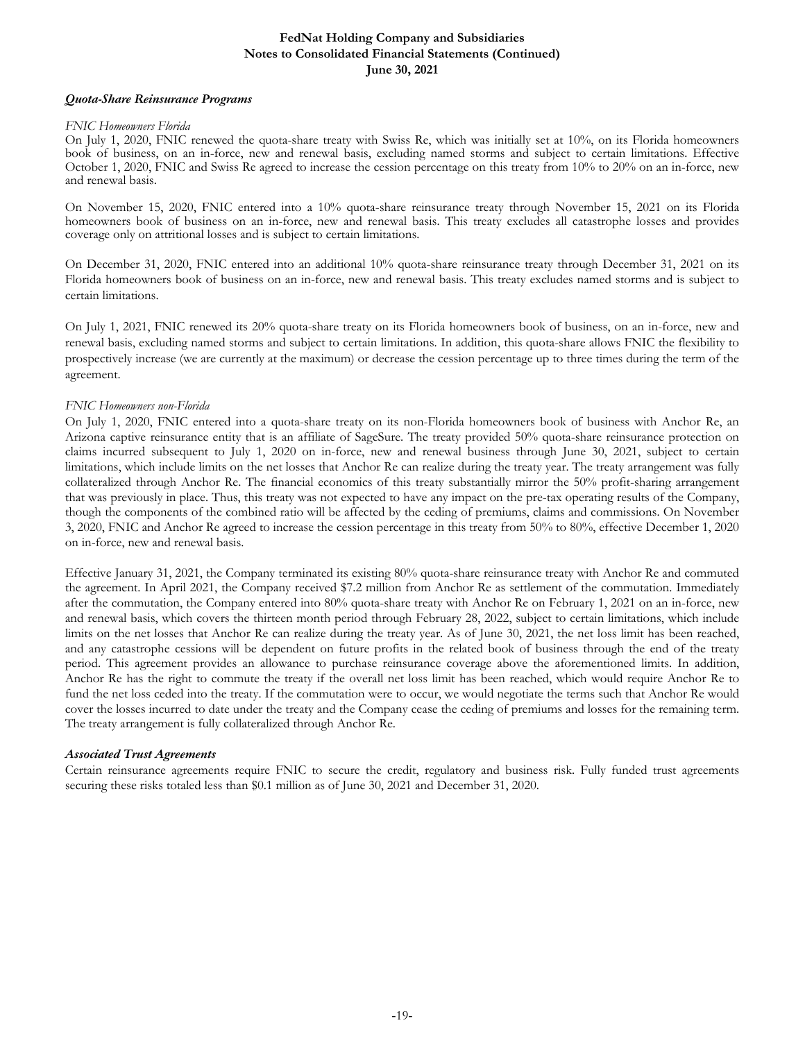#### *Quota-Share Reinsurance Programs*

#### *FNIC Homeowners Florida*

On July 1, 2020, FNIC renewed the quota-share treaty with Swiss Re, which was initially set at 10%, on its Florida homeowners book of business, on an in-force, new and renewal basis, excluding named storms and subject to certain limitations. Effective October 1, 2020, FNIC and Swiss Re agreed to increase the cession percentage on this treaty from 10% to 20% on an in-force, new and renewal basis.

On November 15, 2020, FNIC entered into a 10% quota-share reinsurance treaty through November 15, 2021 on its Florida homeowners book of business on an in-force, new and renewal basis. This treaty excludes all catastrophe losses and provides coverage only on attritional losses and is subject to certain limitations.

On December 31, 2020, FNIC entered into an additional 10% quota-share reinsurance treaty through December 31, 2021 on its Florida homeowners book of business on an in-force, new and renewal basis. This treaty excludes named storms and is subject to certain limitations.

On July 1, 2021, FNIC renewed its 20% quota-share treaty on its Florida homeowners book of business, on an in-force, new and renewal basis, excluding named storms and subject to certain limitations. In addition, this quota-share allows FNIC the flexibility to prospectively increase (we are currently at the maximum) or decrease the cession percentage up to three times during the term of the agreement.

#### *FNIC Homeowners non-Florida*

On July 1, 2020, FNIC entered into a quota-share treaty on its non-Florida homeowners book of business with Anchor Re, an Arizona captive reinsurance entity that is an affiliate of SageSure. The treaty provided 50% quota-share reinsurance protection on claims incurred subsequent to July 1, 2020 on in-force, new and renewal business through June 30, 2021, subject to certain limitations, which include limits on the net losses that Anchor Re can realize during the treaty year. The treaty arrangement was fully collateralized through Anchor Re. The financial economics of this treaty substantially mirror the 50% profit-sharing arrangement that was previously in place. Thus, this treaty was not expected to have any impact on the pre-tax operating results of the Company, though the components of the combined ratio will be affected by the ceding of premiums, claims and commissions. On November 3, 2020, FNIC and Anchor Re agreed to increase the cession percentage in this treaty from 50% to 80%, effective December 1, 2020 on in-force, new and renewal basis.

Effective January 31, 2021, the Company terminated its existing 80% quota-share reinsurance treaty with Anchor Re and commuted the agreement. In April 2021, the Company received \$7.2 million from Anchor Re as settlement of the commutation. Immediately after the commutation, the Company entered into 80% quota-share treaty with Anchor Re on February 1, 2021 on an in-force, new and renewal basis, which covers the thirteen month period through February 28, 2022, subject to certain limitations, which include limits on the net losses that Anchor Re can realize during the treaty year. As of June 30, 2021, the net loss limit has been reached, and any catastrophe cessions will be dependent on future profits in the related book of business through the end of the treaty period. This agreement provides an allowance to purchase reinsurance coverage above the aforementioned limits. In addition, Anchor Re has the right to commute the treaty if the overall net loss limit has been reached, which would require Anchor Re to fund the net loss ceded into the treaty. If the commutation were to occur, we would negotiate the terms such that Anchor Re would cover the losses incurred to date under the treaty and the Company cease the ceding of premiums and losses for the remaining term. The treaty arrangement is fully collateralized through Anchor Re.

#### *Associated Trust Agreements*

Certain reinsurance agreements require FNIC to secure the credit, regulatory and business risk. Fully funded trust agreements securing these risks totaled less than \$0.1 million as of June 30, 2021 and December 31, 2020.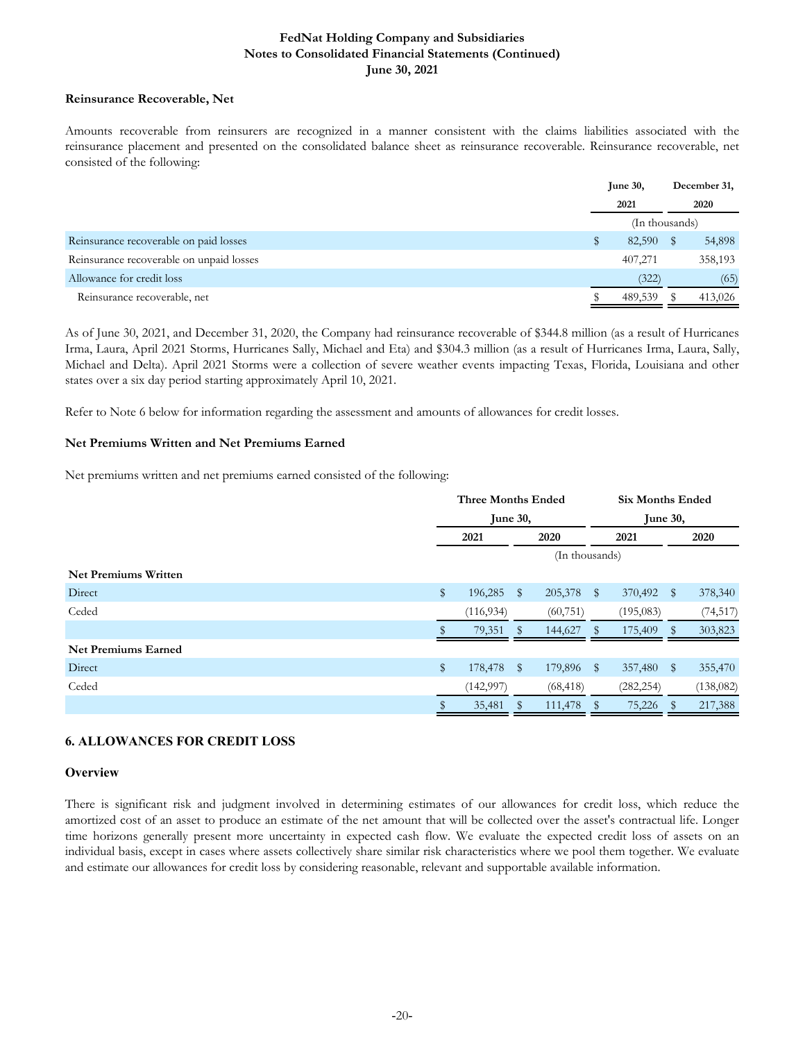#### **Reinsurance Recoverable, Net**

Amounts recoverable from reinsurers are recognized in a manner consistent with the claims liabilities associated with the reinsurance placement and presented on the consolidated balance sheet as reinsurance recoverable. Reinsurance recoverable, net consisted of the following:

|                                          | <b>June 30,</b> | December 31, |
|------------------------------------------|-----------------|--------------|
|                                          | 2021            | 2020         |
|                                          | (In thousands)  |              |
| Reinsurance recoverable on paid losses   | 82,590          | 54,898       |
| Reinsurance recoverable on unpaid losses | 407,271         | 358,193      |
| Allowance for credit loss                | (322)           | (65)         |
| Reinsurance recoverable, net             | 489,539         | 413,026      |

As of June 30, 2021, and December 31, 2020, the Company had reinsurance recoverable of \$344.8 million (as a result of Hurricanes Irma, Laura, April 2021 Storms, Hurricanes Sally, Michael and Eta) and \$304.3 million (as a result of Hurricanes Irma, Laura, Sally, Michael and Delta). April 2021 Storms were a collection of severe weather events impacting Texas, Florida, Louisiana and other states over a six day period starting approximately April 10, 2021.

Refer to Note 6 below for information regarding the assessment and amounts of allowances for credit losses.

## **Net Premiums Written and Net Premiums Earned**

Net premiums written and net premiums earned consisted of the following:

|                             | <b>Three Months Ended</b> |            |              | <b>Six Months Ended</b> |            |                 |           |  |
|-----------------------------|---------------------------|------------|--------------|-------------------------|------------|-----------------|-----------|--|
|                             | June 30,                  |            |              |                         |            | <b>June 30,</b> |           |  |
|                             | 2021                      |            |              | 2020                    | 2021       |                 | 2020      |  |
|                             |                           |            |              | (In thousands)          |            |                 |           |  |
| <b>Net Premiums Written</b> |                           |            |              |                         |            |                 |           |  |
| Direct                      | \$                        | 196,285    | $\mathbb{S}$ | 205,378 \$              | 370,492    | $\mathbb{S}$    | 378,340   |  |
| Ceded                       |                           | (116, 934) |              | (60, 751)               | (195,083)  |                 | (74, 517) |  |
|                             |                           | 79,351     |              | 144,627                 | 175,409    | SS.             | 303,823   |  |
| <b>Net Premiums Earned</b>  |                           |            |              |                         |            |                 |           |  |
| Direct                      | \$                        | 178,478    | $\mathbb{S}$ | 179,896 \$              | 357,480    | $\mathbb{S}$    | 355,470   |  |
| Ceded                       |                           | (142, 997) |              | (68, 418)               | (282, 254) |                 | (138,082) |  |
|                             |                           | 35,481     |              | 111,478                 | 75,226     |                 | 217,388   |  |

## **6. ALLOWANCES FOR CREDIT LOSS**

#### **Overview**

There is significant risk and judgment involved in determining estimates of our allowances for credit loss, which reduce the amortized cost of an asset to produce an estimate of the net amount that will be collected over the asset's contractual life. Longer time horizons generally present more uncertainty in expected cash flow. We evaluate the expected credit loss of assets on an individual basis, except in cases where assets collectively share similar risk characteristics where we pool them together. We evaluate and estimate our allowances for credit loss by considering reasonable, relevant and supportable available information.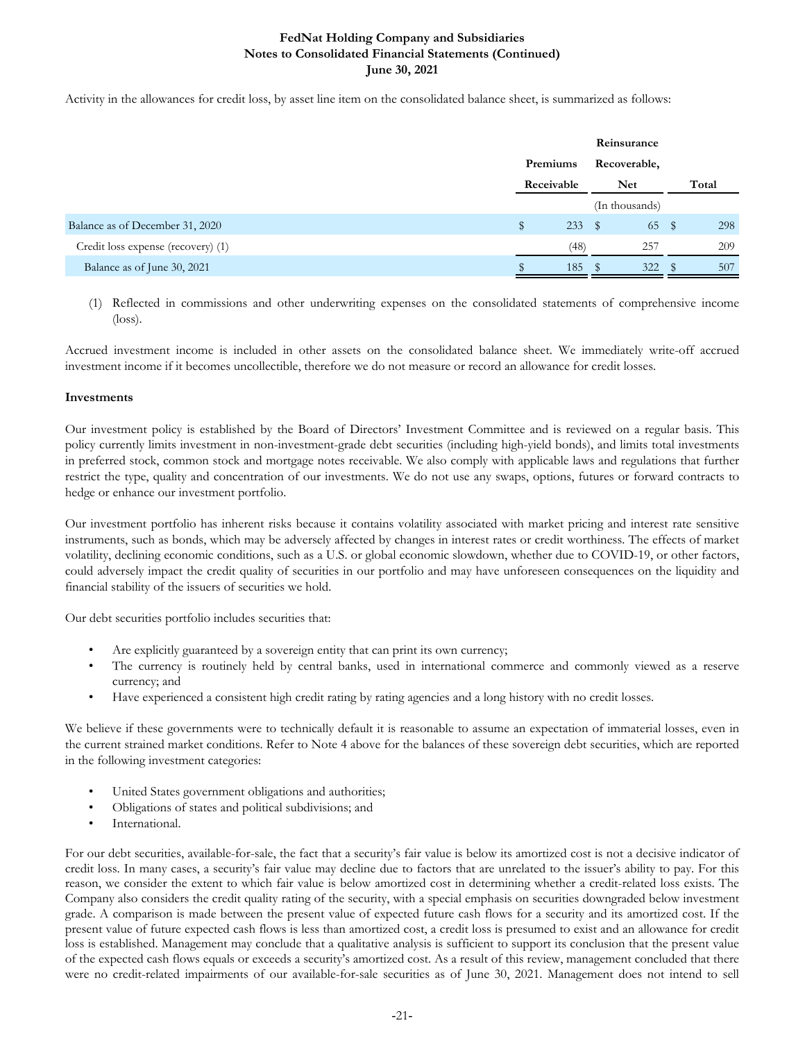Activity in the allowances for credit loss, by asset line item on the consolidated balance sheet, is summarized as follows:

|                                    |            |      | Reinsurance    |   |       |
|------------------------------------|------------|------|----------------|---|-------|
|                                    | Premiums   |      | Recoverable,   |   |       |
|                                    | Receivable |      | Net            |   | Total |
|                                    |            |      | (In thousands) |   |       |
| Balance as of December 31, 2020    | S          | 233  | - \$<br>65     | S | 298   |
| Credit loss expense (recovery) (1) |            | (48) | 257            |   | 209   |
| Balance as of June 30, 2021        |            | 185  | 322            |   | 507   |

(1) Reflected in commissions and other underwriting expenses on the consolidated statements of comprehensive income (loss).

Accrued investment income is included in other assets on the consolidated balance sheet. We immediately write-off accrued investment income if it becomes uncollectible, therefore we do not measure or record an allowance for credit losses.

## **Investments**

Our investment policy is established by the Board of Directors' Investment Committee and is reviewed on a regular basis. This policy currently limits investment in non-investment-grade debt securities (including high-yield bonds), and limits total investments in preferred stock, common stock and mortgage notes receivable. We also comply with applicable laws and regulations that further restrict the type, quality and concentration of our investments. We do not use any swaps, options, futures or forward contracts to hedge or enhance our investment portfolio.

Our investment portfolio has inherent risks because it contains volatility associated with market pricing and interest rate sensitive instruments, such as bonds, which may be adversely affected by changes in interest rates or credit worthiness. The effects of market volatility, declining economic conditions, such as a U.S. or global economic slowdown, whether due to COVID-19, or other factors, could adversely impact the credit quality of securities in our portfolio and may have unforeseen consequences on the liquidity and financial stability of the issuers of securities we hold.

Our debt securities portfolio includes securities that:

- Are explicitly guaranteed by a sovereign entity that can print its own currency;
- The currency is routinely held by central banks, used in international commerce and commonly viewed as a reserve currency; and
- Have experienced a consistent high credit rating by rating agencies and a long history with no credit losses.

We believe if these governments were to technically default it is reasonable to assume an expectation of immaterial losses, even in the current strained market conditions. Refer to Note 4 above for the balances of these sovereign debt securities, which are reported in the following investment categories:

- United States government obligations and authorities;
- Obligations of states and political subdivisions; and
- International.

For our debt securities, available-for-sale, the fact that a security's fair value is below its amortized cost is not a decisive indicator of credit loss. In many cases, a security's fair value may decline due to factors that are unrelated to the issuer's ability to pay. For this reason, we consider the extent to which fair value is below amortized cost in determining whether a credit-related loss exists. The Company also considers the credit quality rating of the security, with a special emphasis on securities downgraded below investment grade. A comparison is made between the present value of expected future cash flows for a security and its amortized cost. If the present value of future expected cash flows is less than amortized cost, a credit loss is presumed to exist and an allowance for credit loss is established. Management may conclude that a qualitative analysis is sufficient to support its conclusion that the present value of the expected cash flows equals or exceeds a security's amortized cost. As a result of this review, management concluded that there were no credit-related impairments of our available-for-sale securities as of June 30, 2021. Management does not intend to sell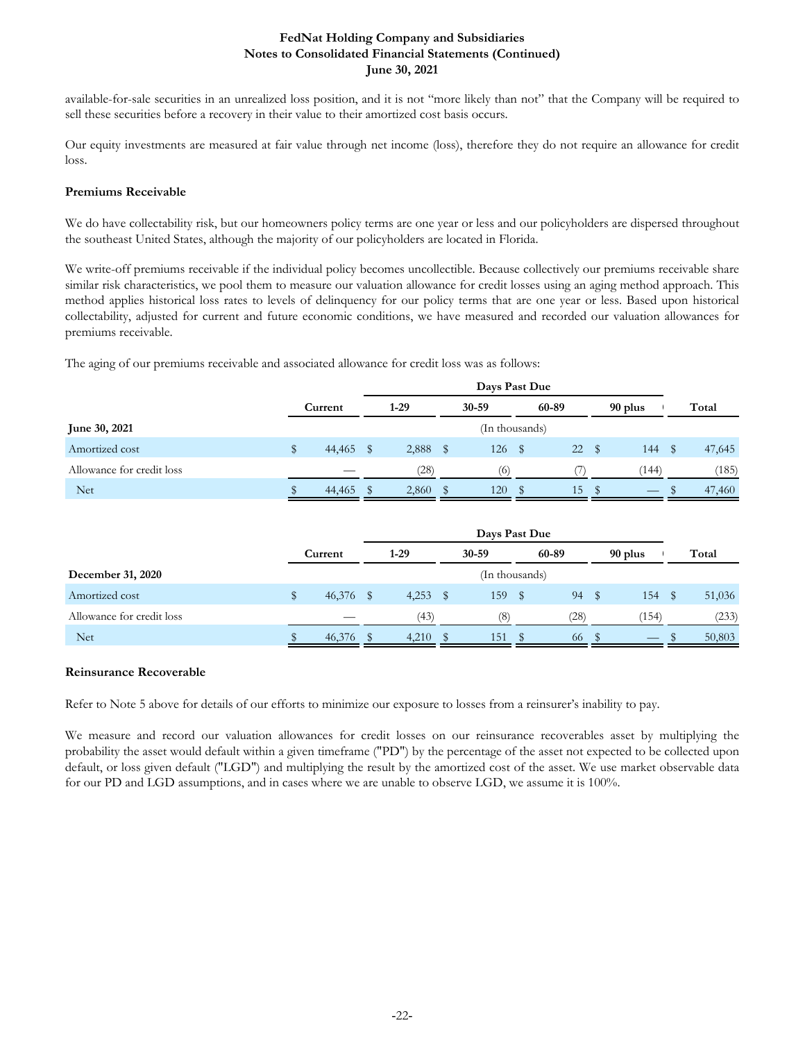available-for-sale securities in an unrealized loss position, and it is not "more likely than not" that the Company will be required to sell these securities before a recovery in their value to their amortized cost basis occurs.

Our equity investments are measured at fair value through net income (loss), therefore they do not require an allowance for credit loss.

## **Premiums Receivable**

We do have collectability risk, but our homeowners policy terms are one year or less and our policyholders are dispersed throughout the southeast United States, although the majority of our policyholders are located in Florida.

We write-off premiums receivable if the individual policy becomes uncollectible. Because collectively our premiums receivable share similar risk characteristics, we pool them to measure our valuation allowance for credit losses using an aging method approach. This method applies historical loss rates to levels of delinquency for our policy terms that are one year or less. Based upon historical collectability, adjusted for current and future economic conditions, we have measured and recorded our valuation allowances for premiums receivable.

The aging of our premiums receivable and associated allowance for credit loss was as follows:

|                           | Current   |  | $1-29$ |   | 30-59          |      | 60-89            |  | 90 plus           |   | Total  |
|---------------------------|-----------|--|--------|---|----------------|------|------------------|--|-------------------|---|--------|
| June 30, 2021             |           |  |        |   | (In thousands) |      |                  |  |                   |   |        |
| Amortized cost            | 44,465 \$ |  | 2,888  | S | 126            | - \$ | 22S              |  | 144               | S | 47,645 |
| Allowance for credit loss |           |  | (28)   |   | (6)            |      | $\left( \right)$ |  | (144)             |   | (185)  |
| <b>Net</b>                | 44,465    |  | 2,860  |   | 120            | S    | 15               |  | $\hspace{0.05cm}$ |   | 47,460 |

|                           | Current   | $1-29$ |   | 30-59          |      | 60-89 | 90 plus                  | Total  |
|---------------------------|-----------|--------|---|----------------|------|-------|--------------------------|--------|
| December 31, 2020         |           |        |   | (In thousands) |      |       |                          |        |
| Amortized cost            | 46,376 \$ | 4,253  | S | 159            | - \$ | 94    | 154                      | 51,036 |
| Allowance for credit loss |           | (43)   |   | (8)            |      | (28)  | (154)                    | (233)  |
| <b>Net</b>                | 46,376    | 4,210  |   | 151            |      | 66    | $\overline{\phantom{a}}$ | 50,803 |

## **Reinsurance Recoverable**

Refer to Note 5 above for details of our efforts to minimize our exposure to losses from a reinsurer's inability to pay.

We measure and record our valuation allowances for credit losses on our reinsurance recoverables asset by multiplying the probability the asset would default within a given timeframe ("PD") by the percentage of the asset not expected to be collected upon default, or loss given default ("LGD") and multiplying the result by the amortized cost of the asset. We use market observable data for our PD and LGD assumptions, and in cases where we are unable to observe LGD, we assume it is 100%.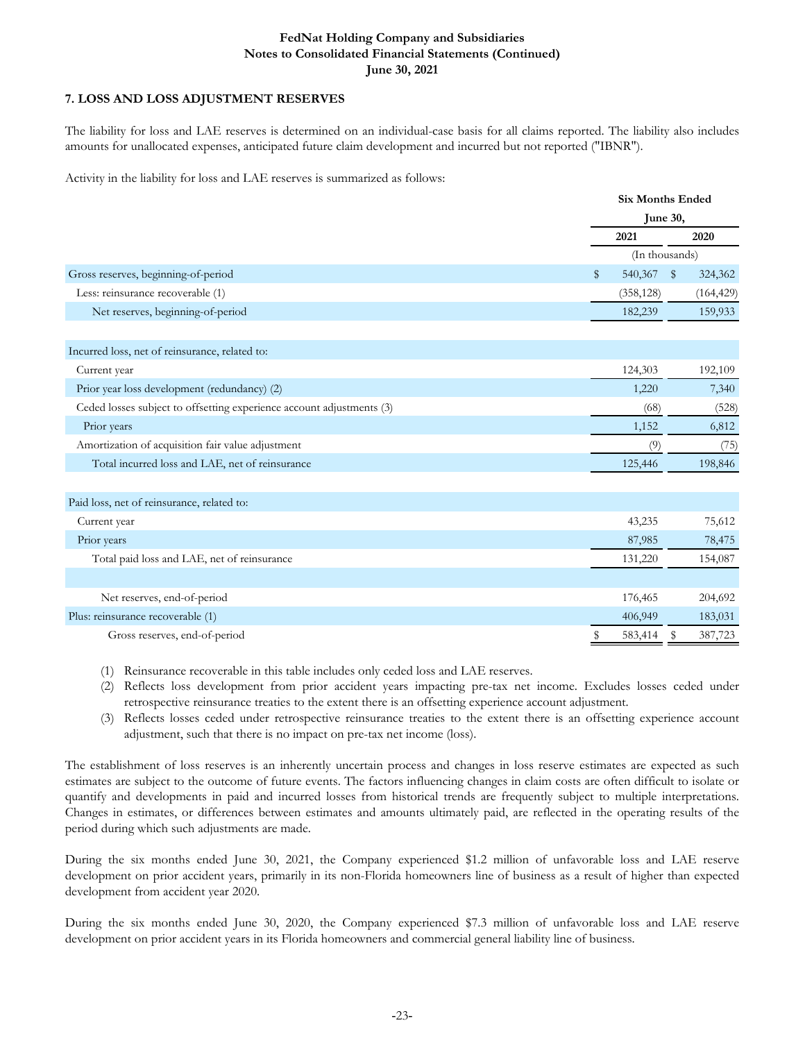## **7. LOSS AND LOSS ADJUSTMENT RESERVES**

The liability for loss and LAE reserves is determined on an individual-case basis for all claims reported. The liability also includes amounts for unallocated expenses, anticipated future claim development and incurred but not reported ("IBNR").

Activity in the liability for loss and LAE reserves is summarized as follows:

|                                                                       |                         | <b>Six Months Ended</b> |  |  |  |  |  |
|-----------------------------------------------------------------------|-------------------------|-------------------------|--|--|--|--|--|
|                                                                       |                         | June 30,                |  |  |  |  |  |
|                                                                       | 2021                    | 2020                    |  |  |  |  |  |
|                                                                       |                         | (In thousands)          |  |  |  |  |  |
| Gross reserves, beginning-of-period                                   | 540,367<br>$\mathbb{S}$ | \$<br>324,362           |  |  |  |  |  |
| Less: reinsurance recoverable (1)                                     | (358, 128)              | (164, 429)              |  |  |  |  |  |
| Net reserves, beginning-of-period                                     | 182,239                 | 159,933                 |  |  |  |  |  |
|                                                                       |                         |                         |  |  |  |  |  |
| Incurred loss, net of reinsurance, related to:                        |                         |                         |  |  |  |  |  |
| Current year                                                          | 124,303                 | 192,109                 |  |  |  |  |  |
| Prior year loss development (redundancy) (2)                          | 1,220                   | 7,340                   |  |  |  |  |  |
| Ceded losses subject to offsetting experience account adjustments (3) | (68)                    | (528)                   |  |  |  |  |  |
| Prior years                                                           | 1,152                   | 6,812                   |  |  |  |  |  |
| Amortization of acquisition fair value adjustment                     | (9)                     | (75)                    |  |  |  |  |  |
| Total incurred loss and LAE, net of reinsurance                       | 125,446                 | 198,846                 |  |  |  |  |  |
|                                                                       |                         |                         |  |  |  |  |  |
| Paid loss, net of reinsurance, related to:                            |                         |                         |  |  |  |  |  |
| Current year                                                          | 43,235                  | 75,612                  |  |  |  |  |  |
| Prior years                                                           | 87,985                  | 78,475                  |  |  |  |  |  |
| Total paid loss and LAE, net of reinsurance                           | 131,220                 | 154,087                 |  |  |  |  |  |
|                                                                       |                         |                         |  |  |  |  |  |
| Net reserves, end-of-period                                           | 176,465                 | 204,692                 |  |  |  |  |  |
| Plus: reinsurance recoverable (1)                                     | 406,949                 | 183,031                 |  |  |  |  |  |
| Gross reserves, end-of-period                                         | 583,414                 | 387,723<br>Ъ            |  |  |  |  |  |
|                                                                       |                         |                         |  |  |  |  |  |

(1) Reinsurance recoverable in this table includes only ceded loss and LAE reserves.

- (2) Reflects loss development from prior accident years impacting pre-tax net income. Excludes losses ceded under retrospective reinsurance treaties to the extent there is an offsetting experience account adjustment.
- (3) Reflects losses ceded under retrospective reinsurance treaties to the extent there is an offsetting experience account adjustment, such that there is no impact on pre-tax net income (loss).

The establishment of loss reserves is an inherently uncertain process and changes in loss reserve estimates are expected as such estimates are subject to the outcome of future events. The factors influencing changes in claim costs are often difficult to isolate or quantify and developments in paid and incurred losses from historical trends are frequently subject to multiple interpretations. Changes in estimates, or differences between estimates and amounts ultimately paid, are reflected in the operating results of the period during which such adjustments are made.

During the six months ended June 30, 2021, the Company experienced \$1.2 million of unfavorable loss and LAE reserve development on prior accident years, primarily in its non-Florida homeowners line of business as a result of higher than expected development from accident year 2020.

During the six months ended June 30, 2020, the Company experienced \$7.3 million of unfavorable loss and LAE reserve development on prior accident years in its Florida homeowners and commercial general liability line of business.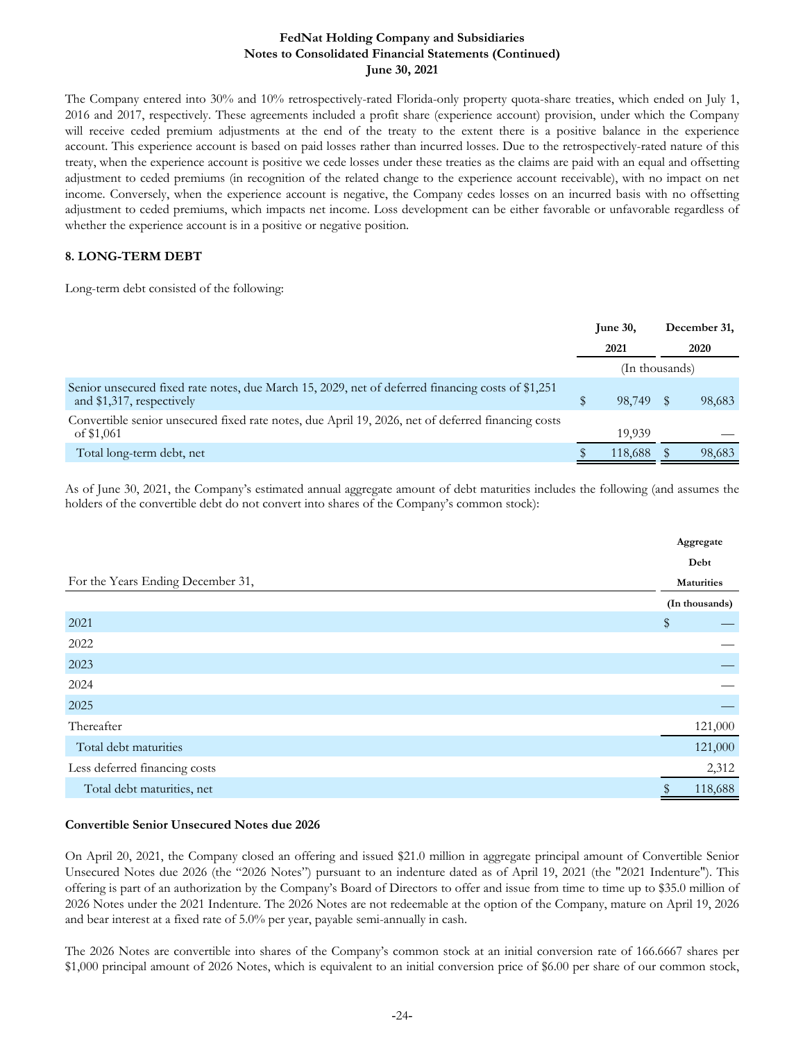The Company entered into 30% and 10% retrospectively-rated Florida-only property quota-share treaties, which ended on July 1, 2016 and 2017, respectively. These agreements included a profit share (experience account) provision, under which the Company will receive ceded premium adjustments at the end of the treaty to the extent there is a positive balance in the experience account. This experience account is based on paid losses rather than incurred losses. Due to the retrospectively-rated nature of this treaty, when the experience account is positive we cede losses under these treaties as the claims are paid with an equal and offsetting adjustment to ceded premiums (in recognition of the related change to the experience account receivable), with no impact on net income. Conversely, when the experience account is negative, the Company cedes losses on an incurred basis with no offsetting adjustment to ceded premiums, which impacts net income. Loss development can be either favorable or unfavorable regardless of whether the experience account is in a positive or negative position.

## **8. LONG-TERM DEBT**

Long-term debt consisted of the following:

|                                                                                                                                | June $30$ , |                | December 31, |
|--------------------------------------------------------------------------------------------------------------------------------|-------------|----------------|--------------|
|                                                                                                                                |             | 2021           | 2020         |
|                                                                                                                                |             | (In thousands) |              |
| Senior unsecured fixed rate notes, due March 15, 2029, net of deferred financing costs of \$1,251<br>and \$1,317, respectively |             | 98.749         | 98,683       |
| Convertible senior unsecured fixed rate notes, due April 19, 2026, net of deferred financing costs<br>of \$1,061               |             | 19.939         |              |
| Total long-term debt, net                                                                                                      |             | 118,688        | 98,683       |

As of June 30, 2021, the Company's estimated annual aggregate amount of debt maturities includes the following (and assumes the holders of the convertible debt do not convert into shares of the Company's common stock):

|                                   | Aggregate      |
|-----------------------------------|----------------|
|                                   | Debt           |
| For the Years Ending December 31, | Maturities     |
|                                   | (In thousands) |
| 2021                              | \$             |
| 2022                              |                |
| 2023                              |                |
| 2024                              |                |
| 2025                              |                |
| Thereafter                        | 121,000        |
| Total debt maturities             | 121,000        |
| Less deferred financing costs     | 2,312          |
| Total debt maturities, net        | 118,688        |

## **Convertible Senior Unsecured Notes due 2026**

On April 20, 2021, the Company closed an offering and issued \$21.0 million in aggregate principal amount of Convertible Senior Unsecured Notes due 2026 (the "2026 Notes") pursuant to an indenture dated as of April 19, 2021 (the "2021 Indenture"). This offering is part of an authorization by the Company's Board of Directors to offer and issue from time to time up to \$35.0 million of 2026 Notes under the 2021 Indenture. The 2026 Notes are not redeemable at the option of the Company, mature on April 19, 2026 and bear interest at a fixed rate of 5.0% per year, payable semi-annually in cash.

The 2026 Notes are convertible into shares of the Company's common stock at an initial conversion rate of 166.6667 shares per \$1,000 principal amount of 2026 Notes, which is equivalent to an initial conversion price of \$6.00 per share of our common stock,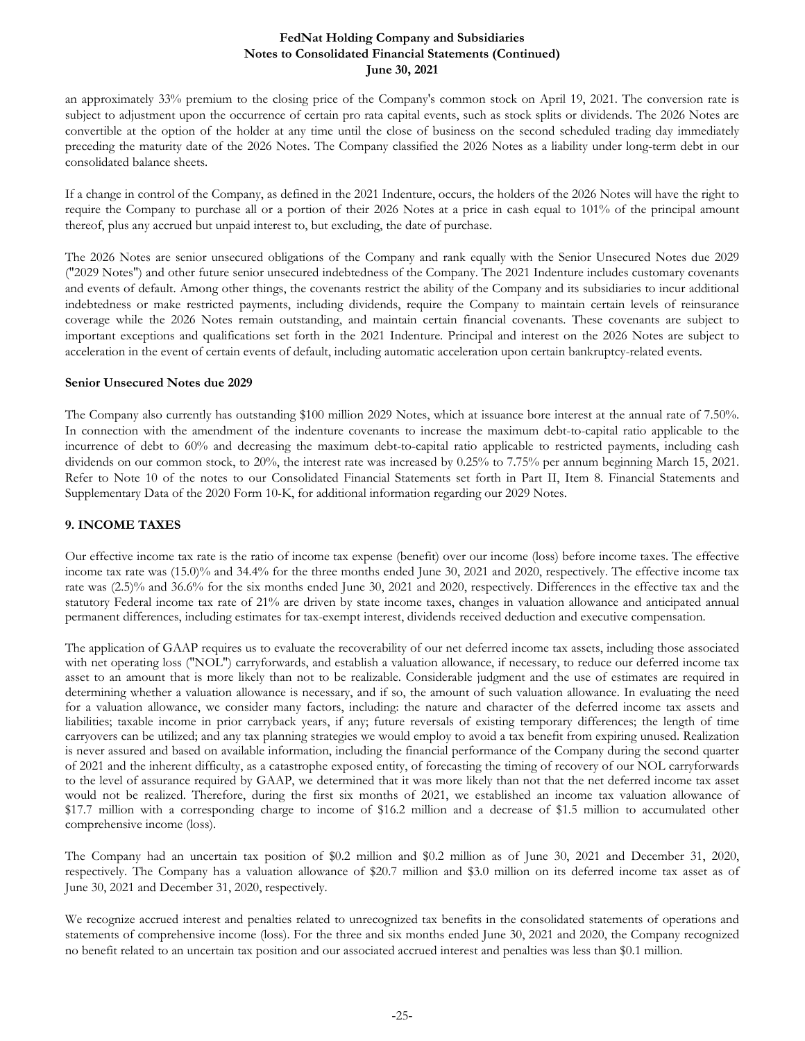an approximately 33% premium to the closing price of the Company's common stock on April 19, 2021. The conversion rate is subject to adjustment upon the occurrence of certain pro rata capital events, such as stock splits or dividends. The 2026 Notes are convertible at the option of the holder at any time until the close of business on the second scheduled trading day immediately preceding the maturity date of the 2026 Notes. The Company classified the 2026 Notes as a liability under long-term debt in our consolidated balance sheets.

If a change in control of the Company, as defined in the 2021 Indenture, occurs, the holders of the 2026 Notes will have the right to require the Company to purchase all or a portion of their 2026 Notes at a price in cash equal to 101% of the principal amount thereof, plus any accrued but unpaid interest to, but excluding, the date of purchase.

The 2026 Notes are senior unsecured obligations of the Company and rank equally with the Senior Unsecured Notes due 2029 ("2029 Notes") and other future senior unsecured indebtedness of the Company. The 2021 Indenture includes customary covenants and events of default. Among other things, the covenants restrict the ability of the Company and its subsidiaries to incur additional indebtedness or make restricted payments, including dividends, require the Company to maintain certain levels of reinsurance coverage while the 2026 Notes remain outstanding, and maintain certain financial covenants. These covenants are subject to important exceptions and qualifications set forth in the 2021 Indenture. Principal and interest on the 2026 Notes are subject to acceleration in the event of certain events of default, including automatic acceleration upon certain bankruptcy-related events.

## **Senior Unsecured Notes due 2029**

The Company also currently has outstanding \$100 million 2029 Notes, which at issuance bore interest at the annual rate of 7.50%. In connection with the amendment of the indenture covenants to increase the maximum debt-to-capital ratio applicable to the incurrence of debt to 60% and decreasing the maximum debt-to-capital ratio applicable to restricted payments, including cash dividends on our common stock, to 20%, the interest rate was increased by 0.25% to 7.75% per annum beginning March 15, 2021. Refer to Note 10 of the notes to our Consolidated Financial Statements set forth in Part II, Item 8. Financial Statements and Supplementary Data of the 2020 Form 10-K, for additional information regarding our 2029 Notes.

## **9. INCOME TAXES**

Our effective income tax rate is the ratio of income tax expense (benefit) over our income (loss) before income taxes. The effective income tax rate was (15.0)% and 34.4% for the three months ended June 30, 2021 and 2020, respectively. The effective income tax rate was (2.5)% and 36.6% for the six months ended June 30, 2021 and 2020, respectively. Differences in the effective tax and the statutory Federal income tax rate of 21% are driven by state income taxes, changes in valuation allowance and anticipated annual permanent differences, including estimates for tax-exempt interest, dividends received deduction and executive compensation.

The application of GAAP requires us to evaluate the recoverability of our net deferred income tax assets, including those associated with net operating loss ("NOL") carryforwards, and establish a valuation allowance, if necessary, to reduce our deferred income tax asset to an amount that is more likely than not to be realizable. Considerable judgment and the use of estimates are required in determining whether a valuation allowance is necessary, and if so, the amount of such valuation allowance. In evaluating the need for a valuation allowance, we consider many factors, including: the nature and character of the deferred income tax assets and liabilities; taxable income in prior carryback years, if any; future reversals of existing temporary differences; the length of time carryovers can be utilized; and any tax planning strategies we would employ to avoid a tax benefit from expiring unused. Realization is never assured and based on available information, including the financial performance of the Company during the second quarter of 2021 and the inherent difficulty, as a catastrophe exposed entity, of forecasting the timing of recovery of our NOL carryforwards to the level of assurance required by GAAP, we determined that it was more likely than not that the net deferred income tax asset would not be realized. Therefore, during the first six months of 2021, we established an income tax valuation allowance of \$17.7 million with a corresponding charge to income of \$16.2 million and a decrease of \$1.5 million to accumulated other comprehensive income (loss).

The Company had an uncertain tax position of \$0.2 million and \$0.2 million as of June 30, 2021 and December 31, 2020, respectively. The Company has a valuation allowance of \$20.7 million and \$3.0 million on its deferred income tax asset as of June 30, 2021 and December 31, 2020, respectively.

We recognize accrued interest and penalties related to unrecognized tax benefits in the consolidated statements of operations and statements of comprehensive income (loss). For the three and six months ended June 30, 2021 and 2020, the Company recognized no benefit related to an uncertain tax position and our associated accrued interest and penalties was less than \$0.1 million.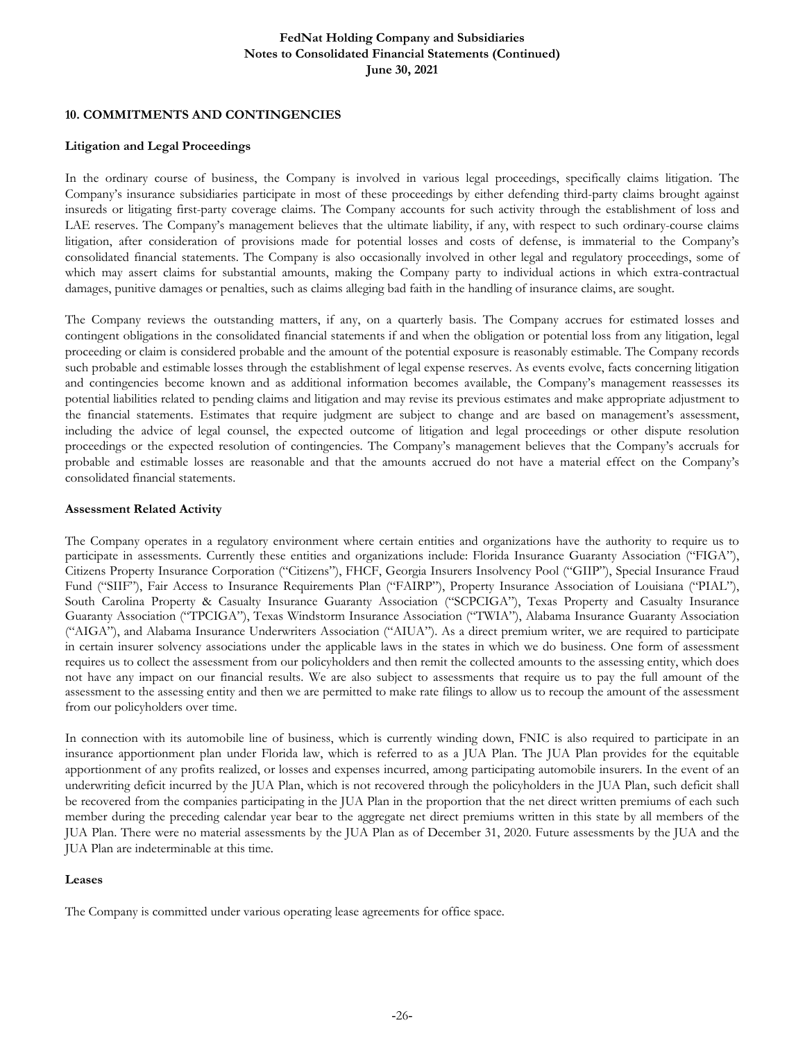#### **10. COMMITMENTS AND CONTINGENCIES**

#### **Litigation and Legal Proceedings**

In the ordinary course of business, the Company is involved in various legal proceedings, specifically claims litigation. The Company's insurance subsidiaries participate in most of these proceedings by either defending third-party claims brought against insureds or litigating first-party coverage claims. The Company accounts for such activity through the establishment of loss and LAE reserves. The Company's management believes that the ultimate liability, if any, with respect to such ordinary-course claims litigation, after consideration of provisions made for potential losses and costs of defense, is immaterial to the Company's consolidated financial statements. The Company is also occasionally involved in other legal and regulatory proceedings, some of which may assert claims for substantial amounts, making the Company party to individual actions in which extra-contractual damages, punitive damages or penalties, such as claims alleging bad faith in the handling of insurance claims, are sought.

The Company reviews the outstanding matters, if any, on a quarterly basis. The Company accrues for estimated losses and contingent obligations in the consolidated financial statements if and when the obligation or potential loss from any litigation, legal proceeding or claim is considered probable and the amount of the potential exposure is reasonably estimable. The Company records such probable and estimable losses through the establishment of legal expense reserves. As events evolve, facts concerning litigation and contingencies become known and as additional information becomes available, the Company's management reassesses its potential liabilities related to pending claims and litigation and may revise its previous estimates and make appropriate adjustment to the financial statements. Estimates that require judgment are subject to change and are based on management's assessment, including the advice of legal counsel, the expected outcome of litigation and legal proceedings or other dispute resolution proceedings or the expected resolution of contingencies. The Company's management believes that the Company's accruals for probable and estimable losses are reasonable and that the amounts accrued do not have a material effect on the Company's consolidated financial statements.

#### **Assessment Related Activity**

The Company operates in a regulatory environment where certain entities and organizations have the authority to require us to participate in assessments. Currently these entities and organizations include: Florida Insurance Guaranty Association ("FIGA"), Citizens Property Insurance Corporation ("Citizens"), FHCF, Georgia Insurers Insolvency Pool ("GIIP"), Special Insurance Fraud Fund ("SIIF"), Fair Access to Insurance Requirements Plan ("FAIRP"), Property Insurance Association of Louisiana ("PIAL"), South Carolina Property & Casualty Insurance Guaranty Association ("SCPCIGA"), Texas Property and Casualty Insurance Guaranty Association ("TPCIGA"), Texas Windstorm Insurance Association ("TWIA"), Alabama Insurance Guaranty Association ("AIGA"), and Alabama Insurance Underwriters Association ("AIUA"). As a direct premium writer, we are required to participate in certain insurer solvency associations under the applicable laws in the states in which we do business. One form of assessment requires us to collect the assessment from our policyholders and then remit the collected amounts to the assessing entity, which does not have any impact on our financial results. We are also subject to assessments that require us to pay the full amount of the assessment to the assessing entity and then we are permitted to make rate filings to allow us to recoup the amount of the assessment from our policyholders over time.

In connection with its automobile line of business, which is currently winding down, FNIC is also required to participate in an insurance apportionment plan under Florida law, which is referred to as a JUA Plan. The JUA Plan provides for the equitable apportionment of any profits realized, or losses and expenses incurred, among participating automobile insurers. In the event of an underwriting deficit incurred by the JUA Plan, which is not recovered through the policyholders in the JUA Plan, such deficit shall be recovered from the companies participating in the JUA Plan in the proportion that the net direct written premiums of each such member during the preceding calendar year bear to the aggregate net direct premiums written in this state by all members of the JUA Plan. There were no material assessments by the JUA Plan as of December 31, 2020. Future assessments by the JUA and the JUA Plan are indeterminable at this time.

#### **Leases**

The Company is committed under various operating lease agreements for office space.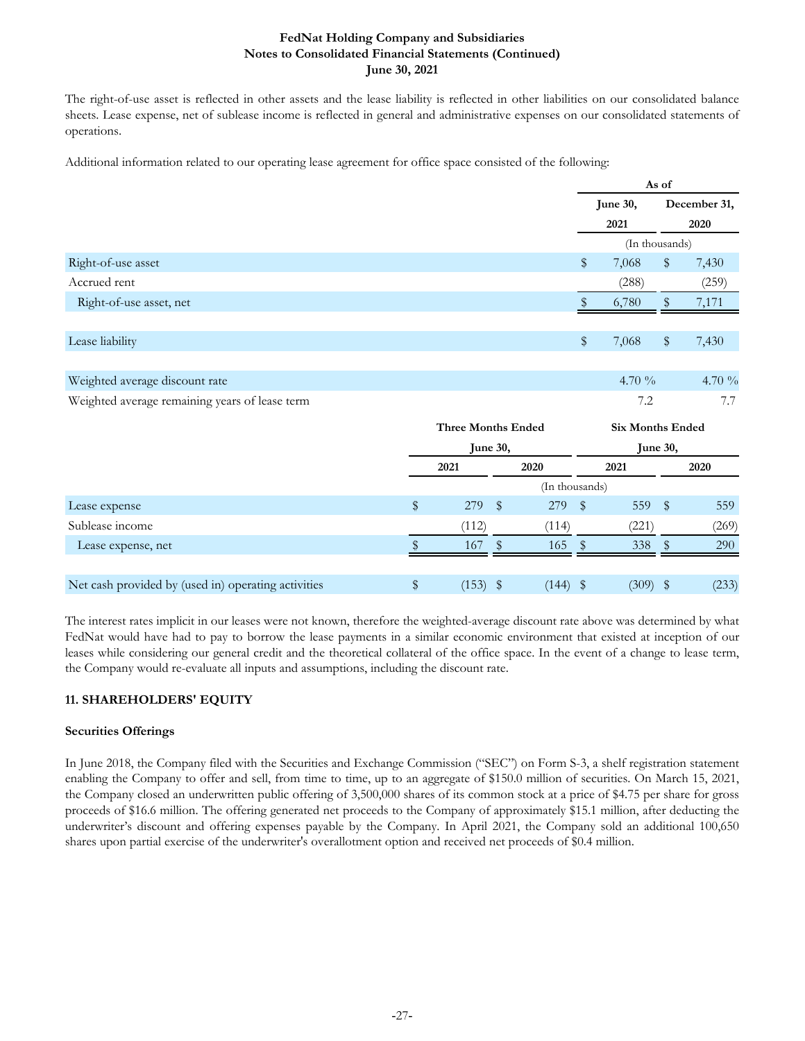The right-of-use asset is reflected in other assets and the lease liability is reflected in other liabilities on our consolidated balance sheets. Lease expense, net of sublease income is reflected in general and administrative expenses on our consolidated statements of operations.

Additional information related to our operating lease agreement for office space consisted of the following:

|                                                |                           |          |           | June 30,                |                | December 31, |  |  |
|------------------------------------------------|---------------------------|----------|-----------|-------------------------|----------------|--------------|--|--|
|                                                |                           |          |           | 2021                    |                | 2020         |  |  |
|                                                |                           |          |           |                         | (In thousands) |              |  |  |
| Right-of-use asset                             |                           |          | \$        | 7,068                   | \$             | 7,430        |  |  |
| Accrued rent                                   |                           |          |           | (288)                   |                | (259)        |  |  |
| Right-of-use asset, net                        |                           |          |           | 6,780                   | \$             | 7,171        |  |  |
|                                                |                           |          |           |                         |                |              |  |  |
| Lease liability                                |                           |          | \$        | 7,068                   | $\$\,$         | 7,430        |  |  |
|                                                |                           |          |           |                         |                |              |  |  |
| Weighted average discount rate                 |                           |          |           | 4.70 $\%$               |                | 4.70 %       |  |  |
| Weighted average remaining years of lease term |                           |          |           |                         |                | 7.7          |  |  |
|                                                | <b>Three Months Ended</b> |          |           | <b>Six Months Ended</b> |                |              |  |  |
|                                                |                           | June 30, |           |                         | June 30,       |              |  |  |
|                                                | 2021                      | 2020     |           | 2021                    |                | 2020         |  |  |
|                                                |                           |          | $(T - 1)$ |                         |                |              |  |  |

|                                                     |       | (In thousands) |       |       |
|-----------------------------------------------------|-------|----------------|-------|-------|
| Lease expense                                       | 279   | 279            | 559   | 559   |
| Sublease income                                     | (112) | ้114)          | 221`  | (269) |
| Lease expense, net                                  | 167   | 165.           | 338   | 290   |
|                                                     |       |                |       |       |
| Net cash provided by (used in) operating activities | (153) | (144)          | (309) | (233) |

The interest rates implicit in our leases were not known, therefore the weighted-average discount rate above was determined by what FedNat would have had to pay to borrow the lease payments in a similar economic environment that existed at inception of our leases while considering our general credit and the theoretical collateral of the office space. In the event of a change to lease term, the Company would re-evaluate all inputs and assumptions, including the discount rate.

## **11. SHAREHOLDERS' EQUITY**

## **Securities Offerings**

In June 2018, the Company filed with the Securities and Exchange Commission ("SEC") on Form S-3, a shelf registration statement enabling the Company to offer and sell, from time to time, up to an aggregate of \$150.0 million of securities. On March 15, 2021, the Company closed an underwritten public offering of 3,500,000 shares of its common stock at a price of \$4.75 per share for gross proceeds of \$16.6 million. The offering generated net proceeds to the Company of approximately \$15.1 million, after deducting the underwriter's discount and offering expenses payable by the Company. In April 2021, the Company sold an additional 100,650 shares upon partial exercise of the underwriter's overallotment option and received net proceeds of \$0.4 million.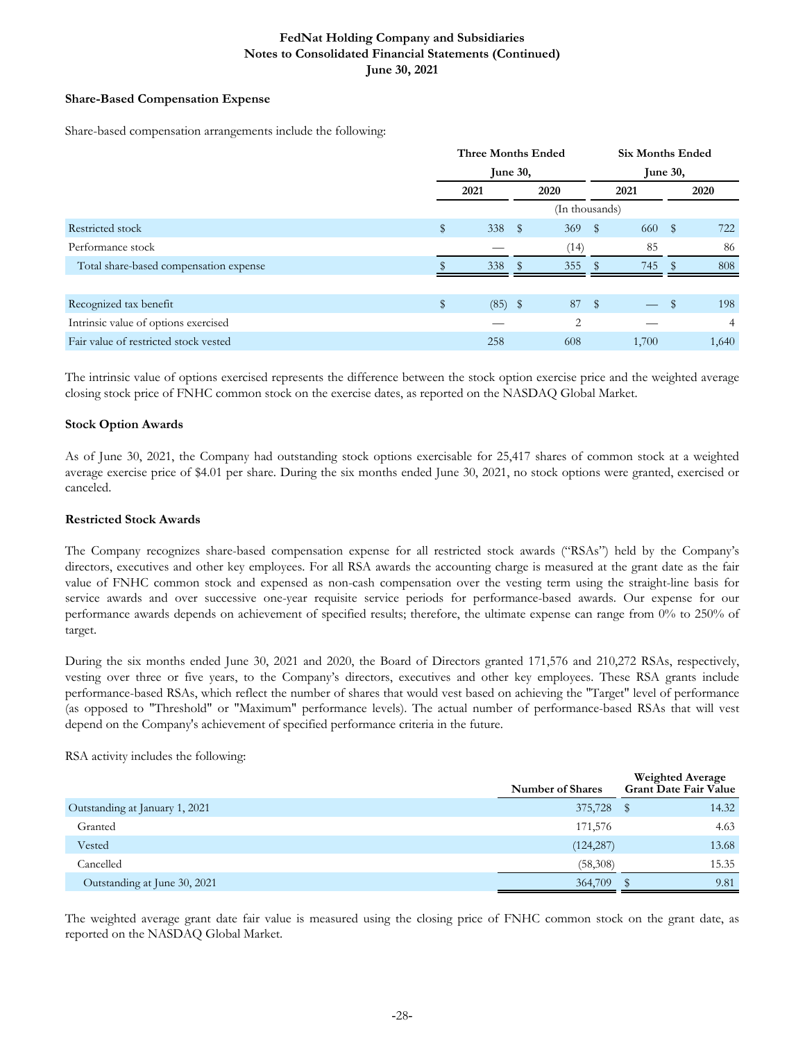## **Share-Based Compensation Expense**

Share-based compensation arrangements include the following:

|                                        | <b>Three Months Ended</b> |               |                | <b>Six Months Ended</b> |       |      |       |  |
|----------------------------------------|---------------------------|---------------|----------------|-------------------------|-------|------|-------|--|
|                                        | June $30$ ,               |               |                | <b>June 30,</b>         |       |      |       |  |
|                                        | 2021                      |               | 2020           |                         | 2021  |      | 2020  |  |
|                                        |                           |               | (In thousands) |                         |       |      |       |  |
| Restricted stock                       | \$<br>338                 | $^{\circ}$    | 369            | $^{\circ}$              | 660   | S    | 722   |  |
| Performance stock                      |                           |               | (14)           |                         | 85    |      | 86    |  |
| Total share-based compensation expense | 338                       | $\mathcal{F}$ | 355            | $\mathbb{S}$            | 745   | - 86 | 808   |  |
|                                        |                           |               |                |                         |       |      |       |  |
| Recognized tax benefit                 | \$<br>$(85)$ \$           |               | 87             | $\sqrt{3}$              |       | \$   | 198   |  |
| Intrinsic value of options exercised   |                           |               | 2              |                         |       |      | 4     |  |
| Fair value of restricted stock vested  | 258                       |               | 608            |                         | 1,700 |      | 1,640 |  |

The intrinsic value of options exercised represents the difference between the stock option exercise price and the weighted average closing stock price of FNHC common stock on the exercise dates, as reported on the NASDAQ Global Market.

#### **Stock Option Awards**

As of June 30, 2021, the Company had outstanding stock options exercisable for 25,417 shares of common stock at a weighted average exercise price of \$4.01 per share. During the six months ended June 30, 2021, no stock options were granted, exercised or canceled.

#### **Restricted Stock Awards**

The Company recognizes share-based compensation expense for all restricted stock awards ("RSAs") held by the Company's directors, executives and other key employees. For all RSA awards the accounting charge is measured at the grant date as the fair value of FNHC common stock and expensed as non-cash compensation over the vesting term using the straight-line basis for service awards and over successive one-year requisite service periods for performance-based awards. Our expense for our performance awards depends on achievement of specified results; therefore, the ultimate expense can range from 0% to 250% of target.

During the six months ended June 30, 2021 and 2020, the Board of Directors granted 171,576 and 210,272 RSAs, respectively, vesting over three or five years, to the Company's directors, executives and other key employees. These RSA grants include performance-based RSAs, which reflect the number of shares that would vest based on achieving the "Target" level of performance (as opposed to "Threshold" or "Maximum" performance levels). The actual number of performance-based RSAs that will vest depend on the Company's achievement of specified performance criteria in the future.

RSA activity includes the following:

|                                | <b>Number of Shares</b> | <b>Weighted Average</b><br><b>Grant Date Fair Value</b> |
|--------------------------------|-------------------------|---------------------------------------------------------|
| Outstanding at January 1, 2021 | 375,728                 | 14.32                                                   |
| Granted                        | 171,576                 | 4.63                                                    |
| Vested                         | (124, 287)              | 13.68                                                   |
| Cancelled                      | (58,308)                | 15.35                                                   |
| Outstanding at June 30, 2021   | 364,709                 | 9.81                                                    |

The weighted average grant date fair value is measured using the closing price of FNHC common stock on the grant date, as reported on the NASDAQ Global Market.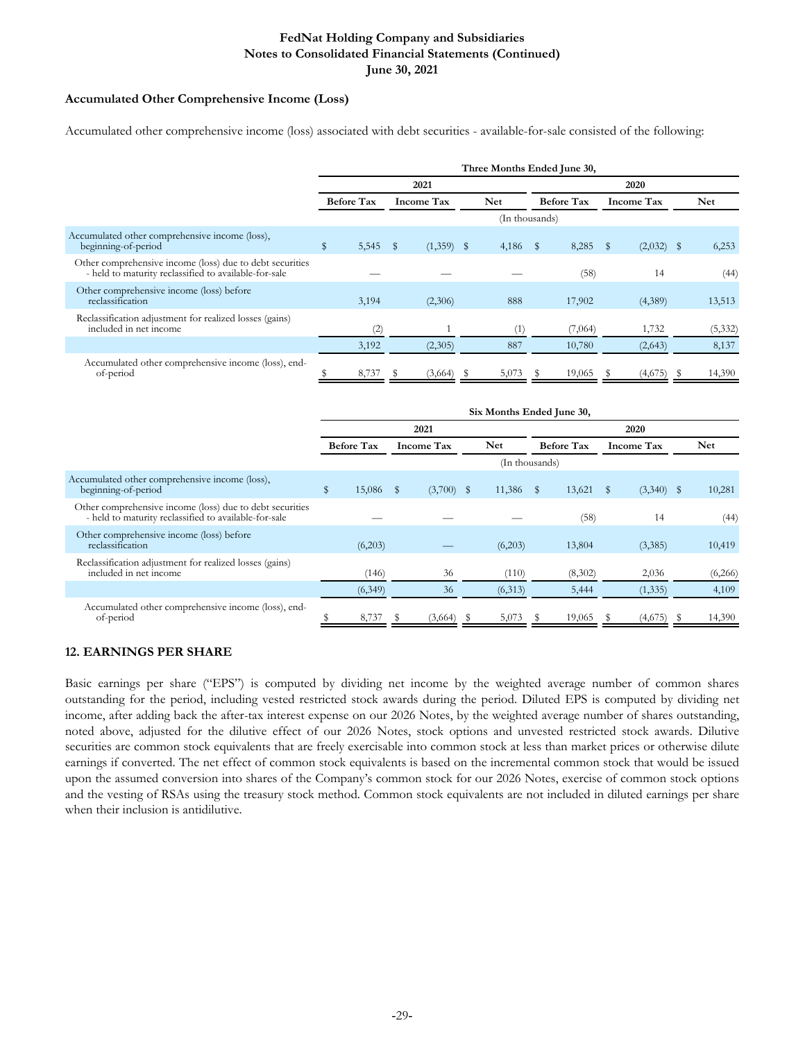## **Accumulated Other Comprehensive Income (Loss)**

Accumulated other comprehensive income (loss) associated with debt securities - available-for-sale consisted of the following:

|                                                                                                                   | Three Months Ended June 30, |                   |      |                   |  |                |              |                   |   |                   |  |            |
|-------------------------------------------------------------------------------------------------------------------|-----------------------------|-------------------|------|-------------------|--|----------------|--------------|-------------------|---|-------------------|--|------------|
|                                                                                                                   |                             |                   |      | 2021              |  |                |              |                   |   | 2020              |  |            |
|                                                                                                                   |                             | <b>Before Tax</b> |      | <b>Income Tax</b> |  | <b>Net</b>     |              | <b>Before Tax</b> |   | <b>Income Tax</b> |  | <b>Net</b> |
|                                                                                                                   |                             |                   |      |                   |  | (In thousands) |              |                   |   |                   |  |            |
| Accumulated other comprehensive income (loss),<br>beginning-of-period                                             | $\mathbb{S}$                | 5,545             | - \$ | $(1,359)$ \$      |  | 4,186          | $\mathbb{S}$ | 8,285             | S | $(2,032)$ \$      |  | 6,253      |
| Other comprehensive income (loss) due to debt securities<br>- held to maturity reclassified to available-for-sale |                             |                   |      |                   |  |                |              | (58)              |   | 14                |  | (44)       |
| Other comprehensive income (loss) before<br>reclassification                                                      |                             | 3,194             |      | (2,306)           |  | 888            |              | 17,902            |   | (4,389)           |  | 13,513     |
| Reclassification adjustment for realized losses (gains)<br>included in net income                                 |                             | (2)               |      |                   |  | (1)            |              | (7,064)           |   | 1,732             |  | (5, 332)   |
|                                                                                                                   |                             | 3,192             |      | (2,305)           |  | 887            |              | 10,780            |   | (2,643)           |  | 8,137      |
| Accumulated other comprehensive income (loss), end-<br>of-period                                                  |                             | 8,737             |      | (3,664)           |  | 5,073          |              | 19,065            |   | (4,675)           |  | 14,390     |

|                                                                                                                   | Six Months Ended June 30, |         |      |                   |  |                |              |                   |                   |              |  |            |
|-------------------------------------------------------------------------------------------------------------------|---------------------------|---------|------|-------------------|--|----------------|--------------|-------------------|-------------------|--------------|--|------------|
|                                                                                                                   | 2021                      |         |      |                   |  |                |              |                   |                   | 2020         |  |            |
|                                                                                                                   | <b>Before Tax</b>         |         |      | <b>Income Tax</b> |  | <b>Net</b>     |              | <b>Before Tax</b> | <b>Income Tax</b> |              |  | <b>Net</b> |
|                                                                                                                   |                           |         |      |                   |  | (In thousands) |              |                   |                   |              |  |            |
| Accumulated other comprehensive income (loss),<br>beginning-of-period                                             | \$                        | 15,086  | - \$ | $(3,700)$ \$      |  | 11,386         | $\mathbb{S}$ | 13,621            | S                 | $(3,340)$ \$ |  | 10,281     |
| Other comprehensive income (loss) due to debt securities<br>- held to maturity reclassified to available-for-sale |                           |         |      |                   |  |                |              | (58)              |                   | 14           |  | (44)       |
| Other comprehensive income (loss) before<br>reclassification                                                      |                           | (6,203) |      |                   |  | (6,203)        |              | 13,804            |                   | (3,385)      |  | 10,419     |
| Reclassification adjustment for realized losses (gains)<br>included in net income                                 |                           | (146)   |      | 36                |  | (110)          |              | (8,302)           |                   | 2,036        |  | (6,266)    |
|                                                                                                                   |                           | (6,349) |      | 36                |  | (6,313)        |              | 5,444             |                   | (1, 335)     |  | 4,109      |
| Accumulated other comprehensive income (loss), end-<br>of-period                                                  |                           | 8,737   |      | (3,664)           |  | 5,073          |              | 19,065            |                   | (4,675)      |  | 14,390     |

## **12. EARNINGS PER SHARE**

Basic earnings per share ("EPS") is computed by dividing net income by the weighted average number of common shares outstanding for the period, including vested restricted stock awards during the period. Diluted EPS is computed by dividing net income, after adding back the after-tax interest expense on our 2026 Notes, by the weighted average number of shares outstanding, noted above, adjusted for the dilutive effect of our 2026 Notes, stock options and unvested restricted stock awards. Dilutive securities are common stock equivalents that are freely exercisable into common stock at less than market prices or otherwise dilute earnings if converted. The net effect of common stock equivalents is based on the incremental common stock that would be issued upon the assumed conversion into shares of the Company's common stock for our 2026 Notes, exercise of common stock options and the vesting of RSAs using the treasury stock method. Common stock equivalents are not included in diluted earnings per share when their inclusion is antidilutive.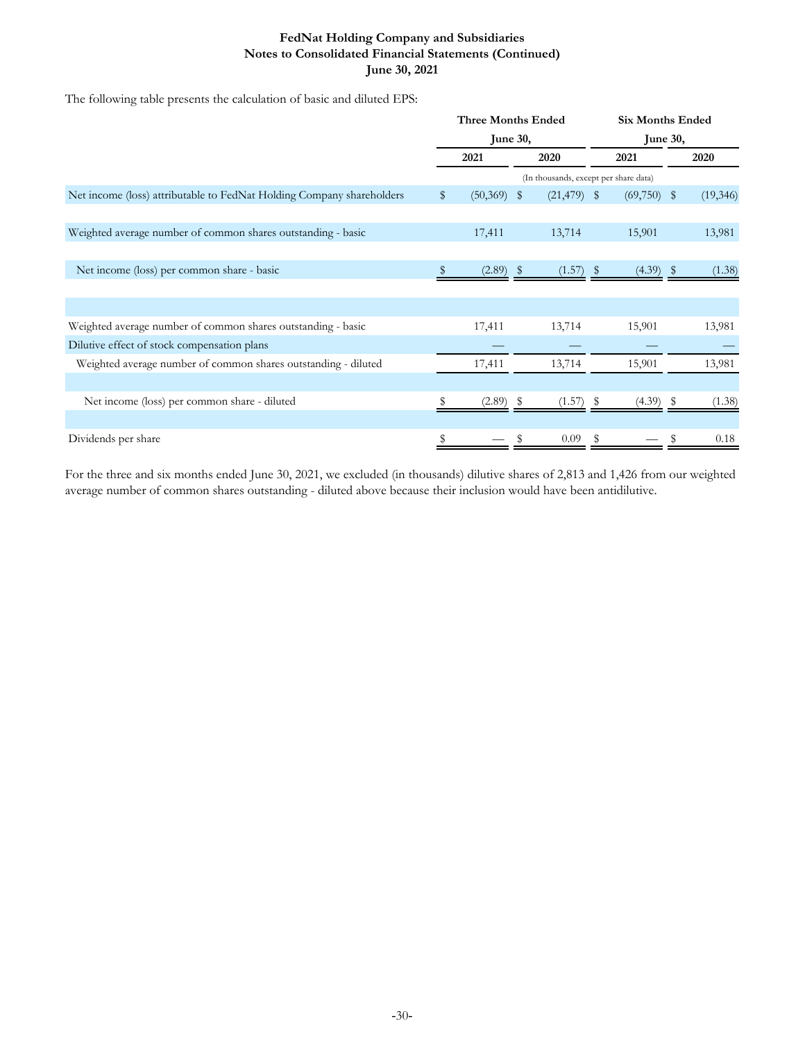The following table presents the calculation of basic and diluted EPS:

|                                                                       | <b>Three Months Ended</b> |             |    |                                       |  | <b>Six Months Ended</b> |    |           |  |  |  |
|-----------------------------------------------------------------------|---------------------------|-------------|----|---------------------------------------|--|-------------------------|----|-----------|--|--|--|
|                                                                       | <b>June 30,</b>           |             |    |                                       |  | <b>June 30,</b>         |    |           |  |  |  |
|                                                                       | 2021                      |             |    | 2020                                  |  | 2021                    |    | 2020      |  |  |  |
|                                                                       |                           |             |    | (In thousands, except per share data) |  |                         |    |           |  |  |  |
| Net income (loss) attributable to FedNat Holding Company shareholders | $\mathbb{S}$              | (50, 369)   | -S | $(21, 479)$ \$                        |  | (69,750)                | \$ | (19, 346) |  |  |  |
|                                                                       |                           |             |    |                                       |  |                         |    |           |  |  |  |
| Weighted average number of common shares outstanding - basic          |                           | 17,411      |    | 13,714                                |  | 15,901                  |    | 13,981    |  |  |  |
|                                                                       |                           |             |    |                                       |  |                         |    |           |  |  |  |
| Net income (loss) per common share - basic                            |                           | $(2.89)$ \$ |    | $(1.57)$ \$                           |  | (4.39)                  |    | (1.38)    |  |  |  |
|                                                                       |                           |             |    |                                       |  |                         |    |           |  |  |  |
|                                                                       |                           |             |    |                                       |  |                         |    |           |  |  |  |
| Weighted average number of common shares outstanding - basic          |                           | 17,411      |    | 13,714                                |  | 15,901                  |    | 13,981    |  |  |  |
| Dilutive effect of stock compensation plans                           |                           |             |    |                                       |  |                         |    |           |  |  |  |
| Weighted average number of common shares outstanding - diluted        |                           | 17,411      |    | 13,714                                |  | 15,901                  |    | 13,981    |  |  |  |
|                                                                       |                           |             |    |                                       |  |                         |    |           |  |  |  |
| Net income (loss) per common share - diluted                          |                           | (2.89)      | S  | (1.57)                                |  | (4.39)                  |    | (1.38)    |  |  |  |
|                                                                       |                           |             |    |                                       |  |                         |    |           |  |  |  |
| Dividends per share                                                   |                           |             |    | 0.09                                  |  |                         |    | 0.18      |  |  |  |

For the three and six months ended June 30, 2021, we excluded (in thousands) dilutive shares of 2,813 and 1,426 from our weighted average number of common shares outstanding - diluted above because their inclusion would have been antidilutive.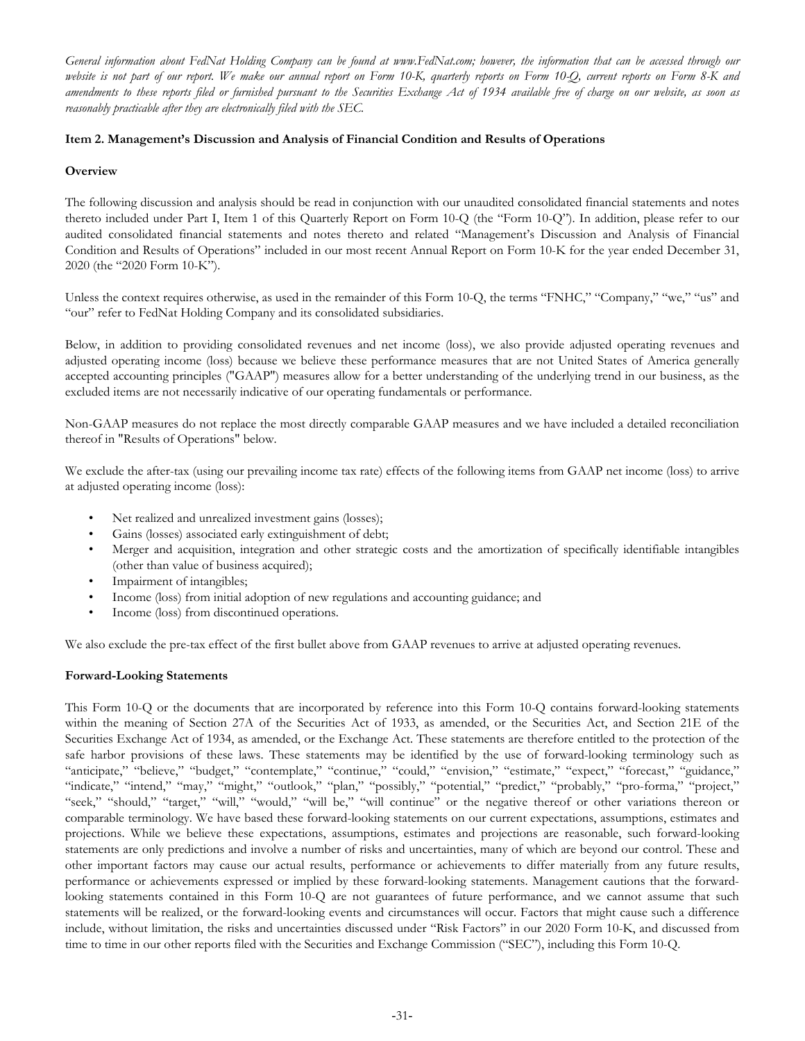*General information about FedNat Holding Company can be found at www.FedNat.com; however, the information that can be accessed through our website is not part of our report. We make our annual report on Form 10-K, quarterly reports on Form 10-Q, current reports on Form 8-K and amendments to these reports filed or furnished pursuant to the Securities Exchange Act of 1934 available free of charge on our website, as soon as reasonably practicable after they are electronically filed with the SEC.*

## **Item 2. Management's Discussion and Analysis of Financial Condition and Results of Operations**

## **Overview**

The following discussion and analysis should be read in conjunction with our unaudited consolidated financial statements and notes thereto included under Part I, Item 1 of this Quarterly Report on Form 10-Q (the "Form 10-Q"). In addition, please refer to our audited consolidated financial statements and notes thereto and related "Management's Discussion and Analysis of Financial Condition and Results of Operations" included in our most recent Annual Report on Form 10-K for the year ended December 31, 2020 (the "2020 Form 10-K").

Unless the context requires otherwise, as used in the remainder of this Form 10-Q, the terms "FNHC," "Company," "we," "us" and "our" refer to FedNat Holding Company and its consolidated subsidiaries.

Below, in addition to providing consolidated revenues and net income (loss), we also provide adjusted operating revenues and adjusted operating income (loss) because we believe these performance measures that are not United States of America generally accepted accounting principles ("GAAP") measures allow for a better understanding of the underlying trend in our business, as the excluded items are not necessarily indicative of our operating fundamentals or performance.

Non-GAAP measures do not replace the most directly comparable GAAP measures and we have included a detailed reconciliation thereof in "Results of Operations" below.

We exclude the after-tax (using our prevailing income tax rate) effects of the following items from GAAP net income (loss) to arrive at adjusted operating income (loss):

- Net realized and unrealized investment gains (losses);
- Gains (losses) associated early extinguishment of debt;
- Merger and acquisition, integration and other strategic costs and the amortization of specifically identifiable intangibles (other than value of business acquired);
- Impairment of intangibles;
- Income (loss) from initial adoption of new regulations and accounting guidance; and
- Income (loss) from discontinued operations.

We also exclude the pre-tax effect of the first bullet above from GAAP revenues to arrive at adjusted operating revenues.

## **Forward-Looking Statements**

This Form 10-Q or the documents that are incorporated by reference into this Form 10-Q contains forward-looking statements within the meaning of Section 27A of the Securities Act of 1933, as amended, or the Securities Act, and Section 21E of the Securities Exchange Act of 1934, as amended, or the Exchange Act. These statements are therefore entitled to the protection of the safe harbor provisions of these laws. These statements may be identified by the use of forward-looking terminology such as "anticipate," "believe," "budget," "contemplate," "continue," "could," "envision," "estimate," "expect," "forecast," "guidance," "indicate," "intend," "may," "might," "outlook," "plan," "possibly," "potential," "predict," "probably," "pro-forma," "project," "seek," "should," "target," "will," "would," "will be," "will continue" or the negative thereof or other variations thereon or comparable terminology. We have based these forward-looking statements on our current expectations, assumptions, estimates and projections. While we believe these expectations, assumptions, estimates and projections are reasonable, such forward-looking statements are only predictions and involve a number of risks and uncertainties, many of which are beyond our control. These and other important factors may cause our actual results, performance or achievements to differ materially from any future results, performance or achievements expressed or implied by these forward-looking statements. Management cautions that the forwardlooking statements contained in this Form 10-Q are not guarantees of future performance, and we cannot assume that such statements will be realized, or the forward-looking events and circumstances will occur. Factors that might cause such a difference include, without limitation, the risks and uncertainties discussed under "Risk Factors" in our 2020 Form 10-K, and discussed from time to time in our other reports filed with the Securities and Exchange Commission ("SEC"), including this Form 10-Q.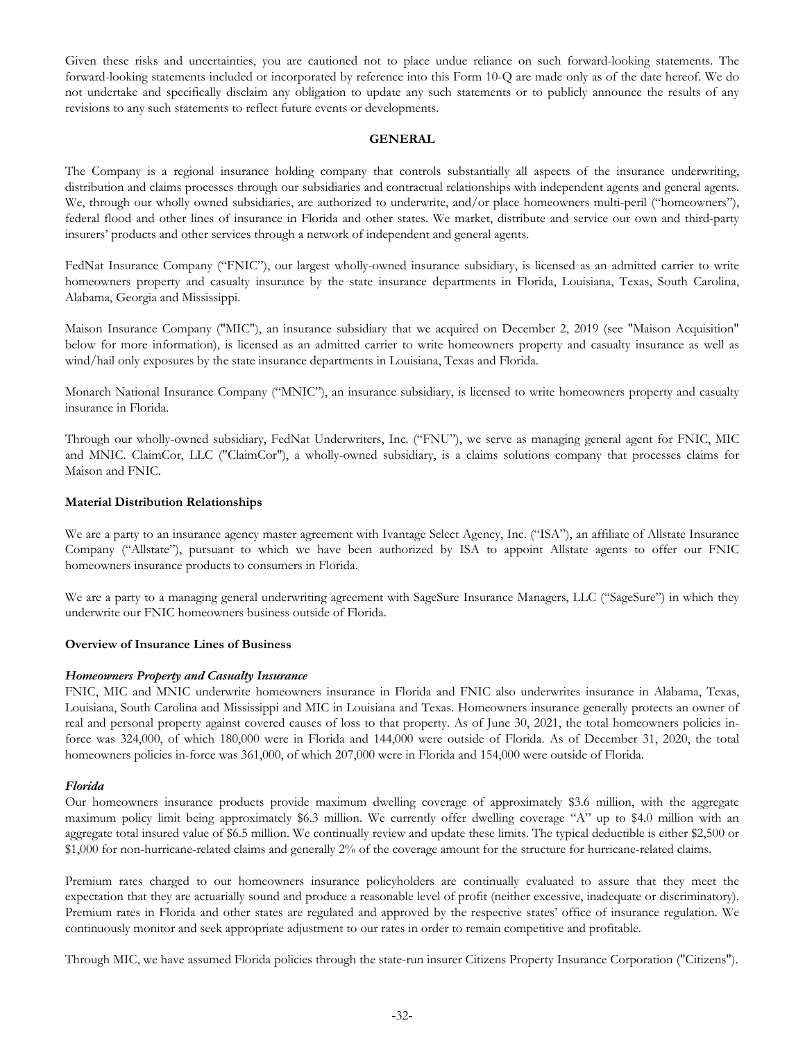Given these risks and uncertainties, you are cautioned not to place undue reliance on such forward-looking statements. The forward-looking statements included or incorporated by reference into this Form 10-Q are made only as of the date hereof. We do not undertake and specifically disclaim any obligation to update any such statements or to publicly announce the results of any revisions to any such statements to reflect future events or developments.

#### **GENERAL**

The Company is a regional insurance holding company that controls substantially all aspects of the insurance underwriting, distribution and claims processes through our subsidiaries and contractual relationships with independent agents and general agents. We, through our wholly owned subsidiaries, are authorized to underwrite, and/or place homeowners multi-peril ("homeowners"), federal flood and other lines of insurance in Florida and other states. We market, distribute and service our own and third-party insurers' products and other services through a network of independent and general agents.

FedNat Insurance Company ("FNIC"), our largest wholly-owned insurance subsidiary, is licensed as an admitted carrier to write homeowners property and casualty insurance by the state insurance departments in Florida, Louisiana, Texas, South Carolina, Alabama, Georgia and Mississippi.

Maison Insurance Company ("MIC"), an insurance subsidiary that we acquired on December 2, 2019 (see "Maison Acquisition" below for more information), is licensed as an admitted carrier to write homeowners property and casualty insurance as well as wind/hail only exposures by the state insurance departments in Louisiana, Texas and Florida.

Monarch National Insurance Company ("MNIC"), an insurance subsidiary, is licensed to write homeowners property and casualty insurance in Florida.

Through our wholly-owned subsidiary, FedNat Underwriters, Inc. ("FNU"), we serve as managing general agent for FNIC, MIC and MNIC. ClaimCor, LLC ("ClaimCor"), a wholly-owned subsidiary, is a claims solutions company that processes claims for Maison and FNIC.

#### **Material Distribution Relationships**

We are a party to an insurance agency master agreement with Ivantage Select Agency, Inc. ("ISA"), an affiliate of Allstate Insurance Company ("Allstate"), pursuant to which we have been authorized by ISA to appoint Allstate agents to offer our FNIC homeowners insurance products to consumers in Florida.

We are a party to a managing general underwriting agreement with SageSure Insurance Managers, LLC ("SageSure") in which they underwrite our FNIC homeowners business outside of Florida.

#### **Overview of Insurance Lines of Business**

#### *Homeowners Property and Casualty Insurance*

FNIC, MIC and MNIC underwrite homeowners insurance in Florida and FNIC also underwrites insurance in Alabama, Texas, Louisiana, South Carolina and Mississippi and MIC in Louisiana and Texas. Homeowners insurance generally protects an owner of real and personal property against covered causes of loss to that property. As of June 30, 2021, the total homeowners policies inforce was 324,000, of which 180,000 were in Florida and 144,000 were outside of Florida. As of December 31, 2020, the total homeowners policies in-force was 361,000, of which 207,000 were in Florida and 154,000 were outside of Florida.

#### *Florida*

Our homeowners insurance products provide maximum dwelling coverage of approximately \$3.6 million, with the aggregate maximum policy limit being approximately \$6.3 million. We currently offer dwelling coverage "A" up to \$4.0 million with an aggregate total insured value of \$6.5 million. We continually review and update these limits. The typical deductible is either \$2,500 or \$1,000 for non-hurricane-related claims and generally 2% of the coverage amount for the structure for hurricane-related claims.

Premium rates charged to our homeowners insurance policyholders are continually evaluated to assure that they meet the expectation that they are actuarially sound and produce a reasonable level of profit (neither excessive, inadequate or discriminatory). Premium rates in Florida and other states are regulated and approved by the respective states' office of insurance regulation. We continuously monitor and seek appropriate adjustment to our rates in order to remain competitive and profitable.

Through MIC, we have assumed Florida policies through the state-run insurer Citizens Property Insurance Corporation ("Citizens").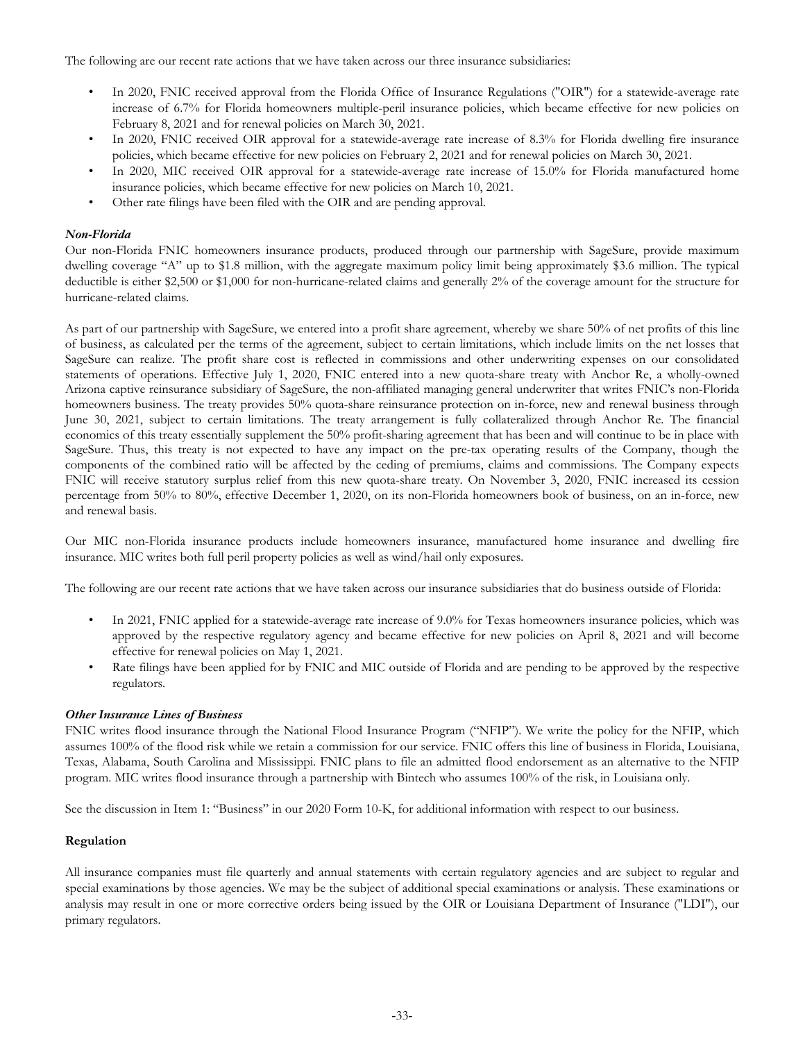The following are our recent rate actions that we have taken across our three insurance subsidiaries:

- In 2020, FNIC received approval from the Florida Office of Insurance Regulations ("OIR") for a statewide-average rate increase of 6.7% for Florida homeowners multiple-peril insurance policies, which became effective for new policies on February 8, 2021 and for renewal policies on March 30, 2021.
- In 2020, FNIC received OIR approval for a statewide-average rate increase of 8.3% for Florida dwelling fire insurance policies, which became effective for new policies on February 2, 2021 and for renewal policies on March 30, 2021.
- In 2020, MIC received OIR approval for a statewide-average rate increase of 15.0% for Florida manufactured home insurance policies, which became effective for new policies on March 10, 2021.
- Other rate filings have been filed with the OIR and are pending approval.

## *Non-Florida*

Our non-Florida FNIC homeowners insurance products, produced through our partnership with SageSure, provide maximum dwelling coverage "A" up to \$1.8 million, with the aggregate maximum policy limit being approximately \$3.6 million. The typical deductible is either \$2,500 or \$1,000 for non-hurricane-related claims and generally 2% of the coverage amount for the structure for hurricane-related claims.

As part of our partnership with SageSure, we entered into a profit share agreement, whereby we share 50% of net profits of this line of business, as calculated per the terms of the agreement, subject to certain limitations, which include limits on the net losses that SageSure can realize. The profit share cost is reflected in commissions and other underwriting expenses on our consolidated statements of operations. Effective July 1, 2020, FNIC entered into a new quota-share treaty with Anchor Re, a wholly-owned Arizona captive reinsurance subsidiary of SageSure, the non-affiliated managing general underwriter that writes FNIC's non-Florida homeowners business. The treaty provides 50% quota-share reinsurance protection on in-force, new and renewal business through June 30, 2021, subject to certain limitations. The treaty arrangement is fully collateralized through Anchor Re. The financial economics of this treaty essentially supplement the 50% profit-sharing agreement that has been and will continue to be in place with SageSure. Thus, this treaty is not expected to have any impact on the pre-tax operating results of the Company, though the components of the combined ratio will be affected by the ceding of premiums, claims and commissions. The Company expects FNIC will receive statutory surplus relief from this new quota-share treaty. On November 3, 2020, FNIC increased its cession percentage from 50% to 80%, effective December 1, 2020, on its non-Florida homeowners book of business, on an in-force, new and renewal basis.

Our MIC non-Florida insurance products include homeowners insurance, manufactured home insurance and dwelling fire insurance. MIC writes both full peril property policies as well as wind/hail only exposures.

The following are our recent rate actions that we have taken across our insurance subsidiaries that do business outside of Florida:

- In 2021, FNIC applied for a statewide-average rate increase of 9.0% for Texas homeowners insurance policies, which was approved by the respective regulatory agency and became effective for new policies on April 8, 2021 and will become effective for renewal policies on May 1, 2021.
- Rate filings have been applied for by FNIC and MIC outside of Florida and are pending to be approved by the respective regulators.

#### *Other Insurance Lines of Business*

FNIC writes flood insurance through the National Flood Insurance Program ("NFIP"). We write the policy for the NFIP, which assumes 100% of the flood risk while we retain a commission for our service. FNIC offers this line of business in Florida, Louisiana, Texas, Alabama, South Carolina and Mississippi. FNIC plans to file an admitted flood endorsement as an alternative to the NFIP program. MIC writes flood insurance through a partnership with Bintech who assumes 100% of the risk, in Louisiana only.

See the discussion in Item 1: "Business" in our 2020 Form 10-K, for additional information with respect to our business.

#### **Regulation**

All insurance companies must file quarterly and annual statements with certain regulatory agencies and are subject to regular and special examinations by those agencies. We may be the subject of additional special examinations or analysis. These examinations or analysis may result in one or more corrective orders being issued by the OIR or Louisiana Department of Insurance ("LDI"), our primary regulators.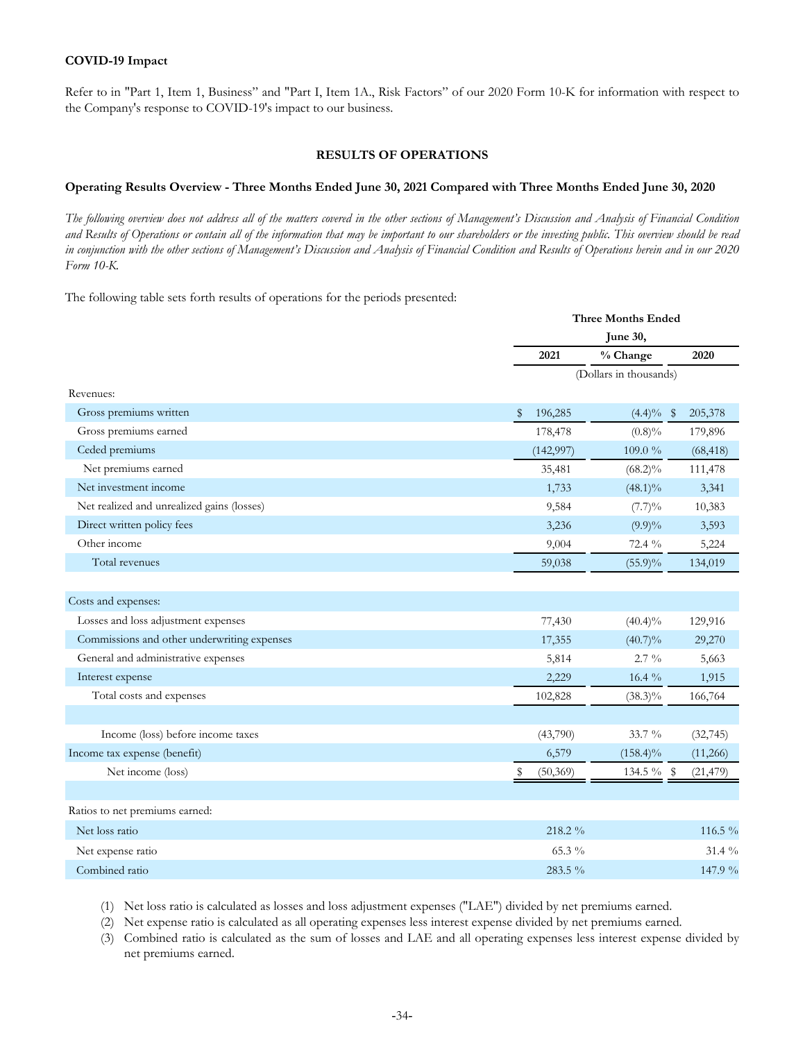Refer to in "Part 1, Item 1, Business" and "Part I, Item 1A., Risk Factors" of our 2020 Form 10-K for information with respect to the Company's response to COVID-19's impact to our business.

## **RESULTS OF OPERATIONS**

#### **Operating Results Overview - Three Months Ended June 30, 2021 Compared with Three Months Ended June 30, 2020**

*The following overview does not address all of the matters covered in the other sections of Management's Discussion and Analysis of Financial Condition and Results of Operations or contain all of the information that may be important to our shareholders or the investing public. This overview should be read in conjunction with the other sections of Management's Discussion and Analysis of Financial Condition and Results of Operations herein and in our 2020 Form 10-K.*

The following table sets forth results of operations for the periods presented:

|                                             |                           | <b>Three Months Ended</b> |  |  |  |  |  |  |  |
|---------------------------------------------|---------------------------|---------------------------|--|--|--|--|--|--|--|
|                                             | June 30,                  |                           |  |  |  |  |  |  |  |
|                                             | % Change<br>2021          | 2020                      |  |  |  |  |  |  |  |
|                                             | (Dollars in thousands)    |                           |  |  |  |  |  |  |  |
| Revenues:                                   |                           |                           |  |  |  |  |  |  |  |
| Gross premiums written                      | 196,285<br>\$             | $(4.4)\%$ \$<br>205,378   |  |  |  |  |  |  |  |
| Gross premiums earned                       | 178,478<br>$(0.8)\%$      | 179,896                   |  |  |  |  |  |  |  |
| Ceded premiums                              | (142, 997)<br>109.0%      | (68, 418)                 |  |  |  |  |  |  |  |
| Net premiums earned                         | 35,481<br>$(68.2)\%$      | 111,478                   |  |  |  |  |  |  |  |
| Net investment income                       | 1,733<br>$(48.1)\%$       | 3,341                     |  |  |  |  |  |  |  |
| Net realized and unrealized gains (losses)  | 9,584<br>(7.7)%           | 10,383                    |  |  |  |  |  |  |  |
| Direct written policy fees                  | 3,236<br>$(9.9)\%$        | 3,593                     |  |  |  |  |  |  |  |
| Other income                                | 9,004<br>72.4 %           | 5,224                     |  |  |  |  |  |  |  |
| Total revenues                              | 59,038<br>$(55.9)\%$      | 134,019                   |  |  |  |  |  |  |  |
|                                             |                           |                           |  |  |  |  |  |  |  |
| Costs and expenses:                         |                           |                           |  |  |  |  |  |  |  |
| Losses and loss adjustment expenses         | 77,430<br>$(40.4)\%$      | 129,916                   |  |  |  |  |  |  |  |
| Commissions and other underwriting expenses | 17,355<br>$(40.7)\%$      | 29,270                    |  |  |  |  |  |  |  |
| General and administrative expenses         | 5,814<br>$2.7\%$          | 5,663                     |  |  |  |  |  |  |  |
| Interest expense                            | 2,229<br>16.4 %           | 1,915                     |  |  |  |  |  |  |  |
| Total costs and expenses                    | 102,828<br>$(38.3)\%$     | 166,764                   |  |  |  |  |  |  |  |
|                                             |                           |                           |  |  |  |  |  |  |  |
| Income (loss) before income taxes           | 33.7 %<br>(43,790)        | (32, 745)                 |  |  |  |  |  |  |  |
| Income tax expense (benefit)                | 6,579<br>$(158.4)\%$      | (11,266)                  |  |  |  |  |  |  |  |
| Net income (loss)                           | (50, 369)<br>$134.5\%$ \$ | (21, 479)                 |  |  |  |  |  |  |  |
|                                             |                           |                           |  |  |  |  |  |  |  |
| Ratios to net premiums earned:              |                           |                           |  |  |  |  |  |  |  |
| Net loss ratio                              | 218.2 %                   | 116.5 %                   |  |  |  |  |  |  |  |
| Net expense ratio                           | 65.3 %                    | $31.4\%$                  |  |  |  |  |  |  |  |
| Combined ratio                              | 283.5 %                   | 147.9 %                   |  |  |  |  |  |  |  |

(1) Net loss ratio is calculated as losses and loss adjustment expenses ("LAE") divided by net premiums earned.

(2) Net expense ratio is calculated as all operating expenses less interest expense divided by net premiums earned.

(3) Combined ratio is calculated as the sum of losses and LAE and all operating expenses less interest expense divided by net premiums earned.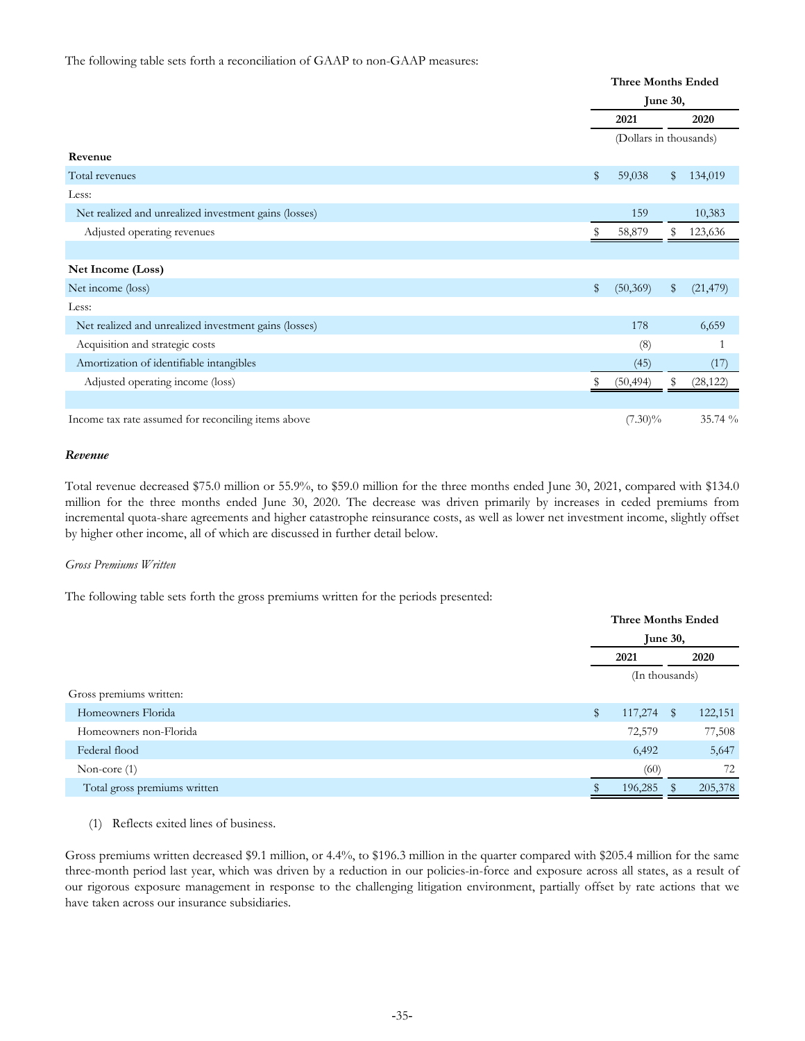#### The following table sets forth a reconciliation of GAAP to non-GAAP measures:

|                                                       | <b>Three Months Ended</b> |    |           |  |
|-------------------------------------------------------|---------------------------|----|-----------|--|
|                                                       | June 30,                  |    |           |  |
|                                                       | 2021                      |    | 2020      |  |
|                                                       | (Dollars in thousands)    |    |           |  |
| Revenue                                               |                           |    |           |  |
| Total revenues                                        | \$<br>59,038              | \$ | 134,019   |  |
| Less:                                                 |                           |    |           |  |
| Net realized and unrealized investment gains (losses) | 159                       |    | 10,383    |  |
| Adjusted operating revenues                           | 58,879                    | S  | 123,636   |  |
|                                                       |                           |    |           |  |
| Net Income (Loss)                                     |                           |    |           |  |
| Net income (loss)                                     | \$<br>(50, 369)           | \$ | (21, 479) |  |
| Less:                                                 |                           |    |           |  |
| Net realized and unrealized investment gains (losses) | 178                       |    | 6,659     |  |
| Acquisition and strategic costs                       | (8)                       |    |           |  |
| Amortization of identifiable intangibles              | (45)                      |    | (17)      |  |
| Adjusted operating income (loss)                      | (50, 494)                 | S  | (28, 122) |  |
|                                                       |                           |    |           |  |
| Income tax rate assumed for reconciling items above   | $(7.30)\%$                |    | 35.74 %   |  |

#### *Revenue*

Total revenue decreased \$75.0 million or 55.9%, to \$59.0 million for the three months ended June 30, 2021, compared with \$134.0 million for the three months ended June 30, 2020. The decrease was driven primarily by increases in ceded premiums from incremental quota-share agreements and higher catastrophe reinsurance costs, as well as lower net investment income, slightly offset by higher other income, all of which are discussed in further detail below.

#### *Gross Premiums Written*

The following table sets forth the gross premiums written for the periods presented:

|                              |               | <b>Three Months Ended</b> |         |  |  |
|------------------------------|---------------|---------------------------|---------|--|--|
|                              |               | <b>June 30,</b>           |         |  |  |
|                              | 2021          |                           | 2020    |  |  |
|                              |               | (In thousands)            |         |  |  |
| Gross premiums written:      |               |                           |         |  |  |
| Homeowners Florida           | \$<br>117,274 | $\mathbb{S}$              | 122,151 |  |  |
| Homeowners non-Florida       | 72,579        |                           | 77,508  |  |  |
| Federal flood                | 6,492         |                           | 5,647   |  |  |
| Non-core $(1)$               | (60)          |                           | 72      |  |  |
| Total gross premiums written | 196,285       | ж                         | 205,378 |  |  |
|                              |               |                           |         |  |  |

(1) Reflects exited lines of business.

Gross premiums written decreased \$9.1 million, or 4.4%, to \$196.3 million in the quarter compared with \$205.4 million for the same three-month period last year, which was driven by a reduction in our policies-in-force and exposure across all states, as a result of our rigorous exposure management in response to the challenging litigation environment, partially offset by rate actions that we have taken across our insurance subsidiaries.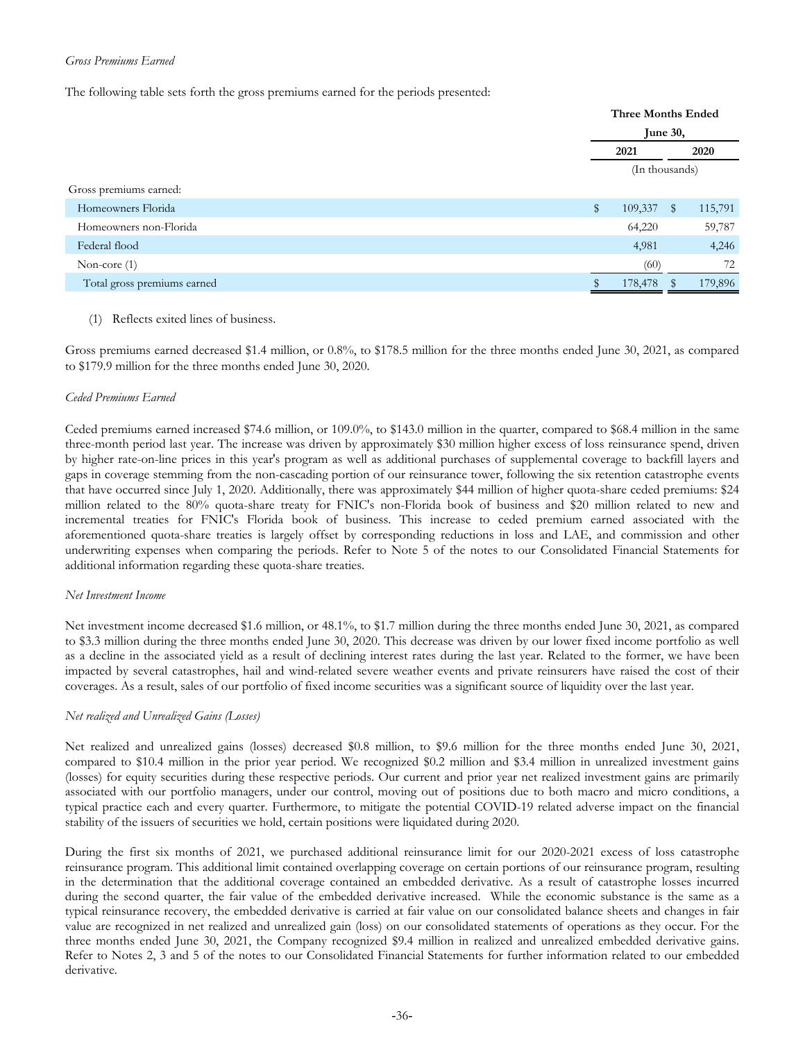## *Gross Premiums Earned*

The following table sets forth the gross premiums earned for the periods presented:

|                             | <b>Three Months Ended</b> |                |      |         |  |  |
|-----------------------------|---------------------------|----------------|------|---------|--|--|
|                             |                           | June 30,       |      |         |  |  |
|                             | 2021                      |                | 2020 |         |  |  |
|                             |                           | (In thousands) |      |         |  |  |
| Gross premiums earned:      |                           |                |      |         |  |  |
| Homeowners Florida          | $\mathbb{S}$              | 109,337        | S    | 115,791 |  |  |
| Homeowners non-Florida      |                           | 64,220         |      | 59,787  |  |  |
| Federal flood               |                           | 4,981          |      | 4,246   |  |  |
| Non-core $(1)$              |                           | (60)           |      | 72      |  |  |
| Total gross premiums earned |                           | 178,478        |      | 179,896 |  |  |

(1) Reflects exited lines of business.

Gross premiums earned decreased \$1.4 million, or 0.8%, to \$178.5 million for the three months ended June 30, 2021, as compared to \$179.9 million for the three months ended June 30, 2020.

#### *Ceded Premiums Earned*

Ceded premiums earned increased \$74.6 million, or 109.0%, to \$143.0 million in the quarter, compared to \$68.4 million in the same three-month period last year. The increase was driven by approximately \$30 million higher excess of loss reinsurance spend, driven by higher rate-on-line prices in this year's program as well as additional purchases of supplemental coverage to backfill layers and gaps in coverage stemming from the non-cascading portion of our reinsurance tower, following the six retention catastrophe events that have occurred since July 1, 2020. Additionally, there was approximately \$44 million of higher quota-share ceded premiums: \$24 million related to the 80% quota-share treaty for FNIC's non-Florida book of business and \$20 million related to new and incremental treaties for FNIC's Florida book of business. This increase to ceded premium earned associated with the aforementioned quota-share treaties is largely offset by corresponding reductions in loss and LAE, and commission and other underwriting expenses when comparing the periods. Refer to Note 5 of the notes to our Consolidated Financial Statements for additional information regarding these quota-share treaties.

#### *Net Investment Income*

Net investment income decreased \$1.6 million, or 48.1%, to \$1.7 million during the three months ended June 30, 2021, as compared to \$3.3 million during the three months ended June 30, 2020. This decrease was driven by our lower fixed income portfolio as well as a decline in the associated yield as a result of declining interest rates during the last year. Related to the former, we have been impacted by several catastrophes, hail and wind-related severe weather events and private reinsurers have raised the cost of their coverages. As a result, sales of our portfolio of fixed income securities was a significant source of liquidity over the last year.

## *Net realized and Unrealized Gains (Losses)*

Net realized and unrealized gains (losses) decreased \$0.8 million, to \$9.6 million for the three months ended June 30, 2021, compared to \$10.4 million in the prior year period. We recognized \$0.2 million and \$3.4 million in unrealized investment gains (losses) for equity securities during these respective periods. Our current and prior year net realized investment gains are primarily associated with our portfolio managers, under our control, moving out of positions due to both macro and micro conditions, a typical practice each and every quarter. Furthermore, to mitigate the potential COVID-19 related adverse impact on the financial stability of the issuers of securities we hold, certain positions were liquidated during 2020.

During the first six months of 2021, we purchased additional reinsurance limit for our 2020-2021 excess of loss catastrophe reinsurance program. This additional limit contained overlapping coverage on certain portions of our reinsurance program, resulting in the determination that the additional coverage contained an embedded derivative. As a result of catastrophe losses incurred during the second quarter, the fair value of the embedded derivative increased. While the economic substance is the same as a typical reinsurance recovery, the embedded derivative is carried at fair value on our consolidated balance sheets and changes in fair value are recognized in net realized and unrealized gain (loss) on our consolidated statements of operations as they occur. For the three months ended June 30, 2021, the Company recognized \$9.4 million in realized and unrealized embedded derivative gains. Refer to Notes 2, 3 and 5 of the notes to our Consolidated Financial Statements for further information related to our embedded derivative.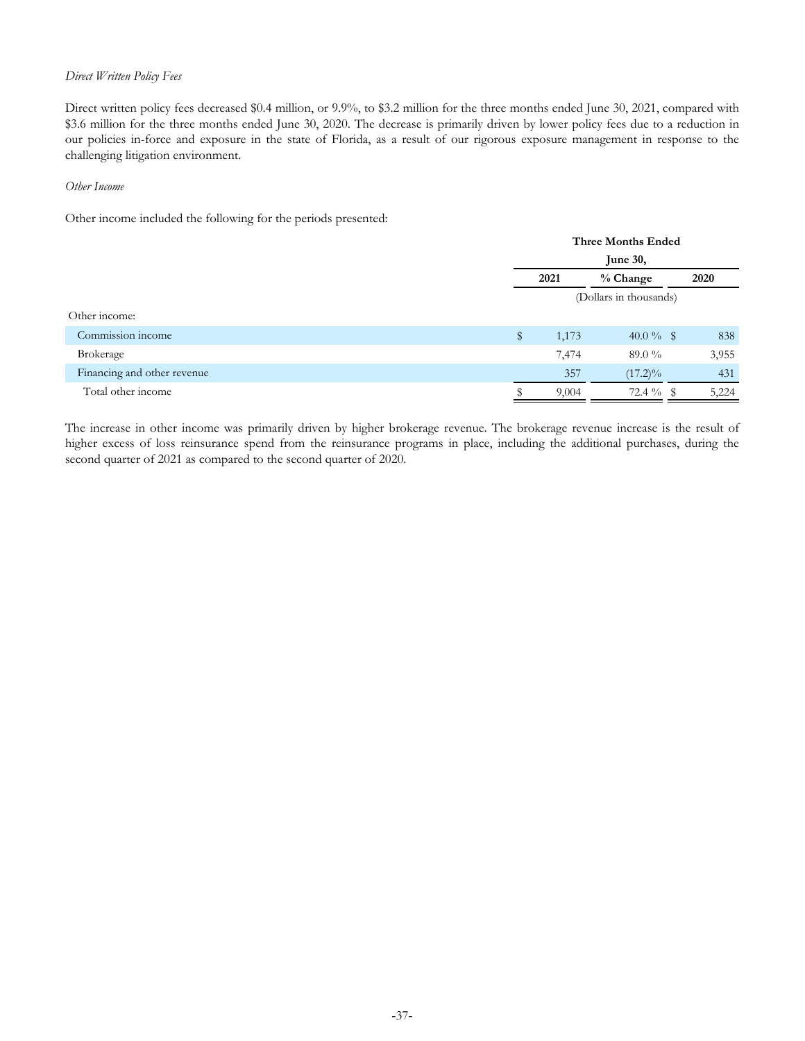## *Direct Written Policy Fees*

Direct written policy fees decreased \$0.4 million, or 9.9%, to \$3.2 million for the three months ended June 30, 2021, compared with \$3.6 million for the three months ended June 30, 2020. The decrease is primarily driven by lower policy fees due to a reduction in our policies in-force and exposure in the state of Florida, as a result of our rigorous exposure management in response to the challenging litigation environment.

#### *Other Income*

Other income included the following for the periods presented:

|                             |                        | <b>Three Months Ended</b> |              |  |       |  |
|-----------------------------|------------------------|---------------------------|--------------|--|-------|--|
|                             | <b>June 30,</b>        |                           |              |  |       |  |
|                             | % Change<br>2021       |                           |              |  | 2020  |  |
|                             | (Dollars in thousands) |                           |              |  |       |  |
| Other income:               |                        |                           |              |  |       |  |
| Commission income           | \$                     | 1,173                     | 40.0 $\%$ \$ |  | 838   |  |
| Brokerage                   |                        | 7,474                     | 89.0 $\%$    |  | 3,955 |  |
| Financing and other revenue |                        | 357                       | $(17.2)\%$   |  | 431   |  |
| Total other income          |                        | 9,004                     | 72.4 %       |  | 5,224 |  |

The increase in other income was primarily driven by higher brokerage revenue. The brokerage revenue increase is the result of higher excess of loss reinsurance spend from the reinsurance programs in place, including the additional purchases, during the second quarter of 2021 as compared to the second quarter of 2020.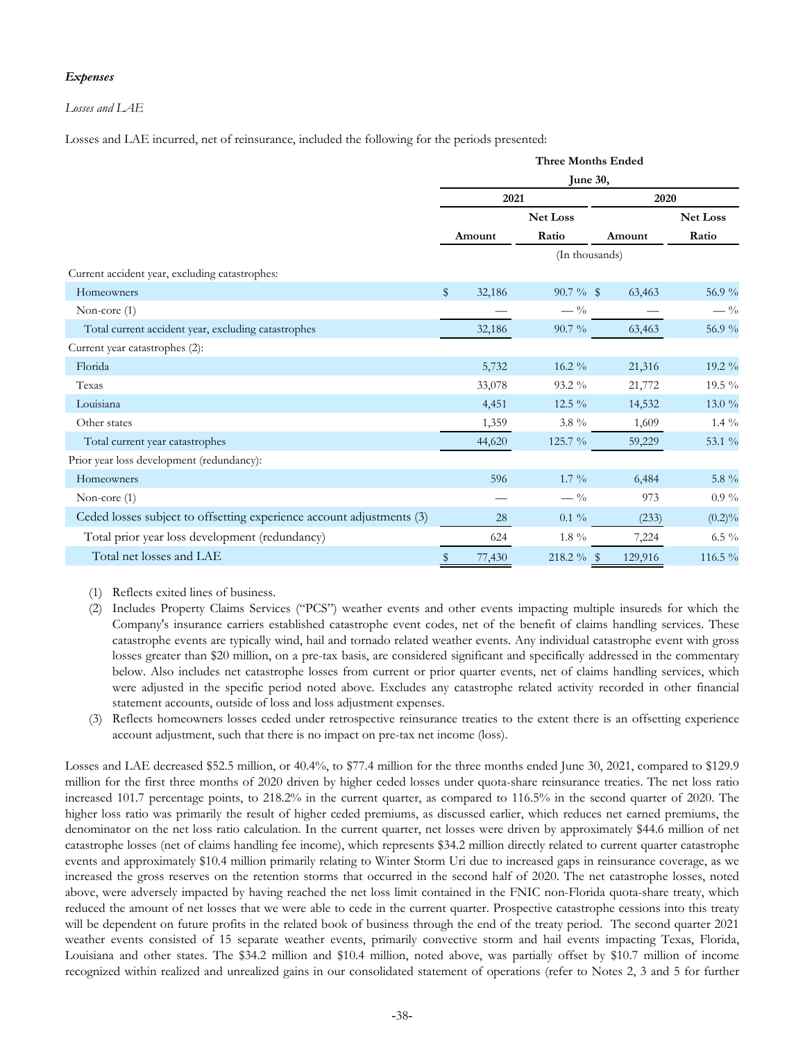## *Expenses*

#### *Losses and LAE*

Losses and LAE incurred, net of reinsurance, included the following for the periods presented:

|                                                                       | <b>Three Months Ended</b> |        |                 |                |                 |  |  |
|-----------------------------------------------------------------------|---------------------------|--------|-----------------|----------------|-----------------|--|--|
|                                                                       | June 30,                  |        |                 |                |                 |  |  |
|                                                                       |                           | 2021   |                 | 2020           |                 |  |  |
|                                                                       |                           |        | <b>Net Loss</b> |                | <b>Net Loss</b> |  |  |
|                                                                       |                           | Amount | Ratio           | Amount         | Ratio           |  |  |
|                                                                       |                           |        |                 | (In thousands) |                 |  |  |
| Current accident year, excluding catastrophes:                        |                           |        |                 |                |                 |  |  |
| Homeowners                                                            | \$                        | 32,186 | $90.7 \%$ \$    | 63,463         | 56.9 %          |  |  |
| Non-core $(1)$                                                        |                           |        | $-$ %           |                | $- \frac{0}{0}$ |  |  |
| Total current accident year, excluding catastrophes                   |                           | 32,186 | $90.7\%$        | 63,463         | 56.9 %          |  |  |
| Current year catastrophes (2):                                        |                           |        |                 |                |                 |  |  |
| Florida                                                               |                           | 5,732  | $16.2\%$        | 21,316         | 19.2 %          |  |  |
| Texas                                                                 |                           | 33,078 | $93.2\%$        | 21,772         | $19.5\%$        |  |  |
| Louisiana                                                             |                           | 4,451  | 12.5 $\%$       | 14,532         | $13.0\%$        |  |  |
| Other states                                                          |                           | 1,359  | 3.8 %           | 1,609          | $1.4\%$         |  |  |
| Total current year catastrophes                                       |                           | 44,620 | 125.7 %         | 59,229         | 53.1 %          |  |  |
| Prior year loss development (redundancy):                             |                           |        |                 |                |                 |  |  |
| Homeowners                                                            |                           | 596    | $1.7\%$         | 6,484          | 5.8 %           |  |  |
| Non-core $(1)$                                                        |                           |        | $-$ %           | 973            | $0.9\%$         |  |  |
| Ceded losses subject to offsetting experience account adjustments (3) |                           | 28     | $0.1\%$         | (233)          | $(0.2)\%$       |  |  |
| Total prior year loss development (redundancy)                        |                           | 624    | $1.8\%$         | 7,224          | $6.5\%$         |  |  |
| Total net losses and LAE                                              | \$                        | 77,430 | 218.2 % \$      | 129,916        | 116.5 %         |  |  |

(1) Reflects exited lines of business.

- (2) Includes Property Claims Services ("PCS") weather events and other events impacting multiple insureds for which the Company's insurance carriers established catastrophe event codes, net of the benefit of claims handling services. These catastrophe events are typically wind, hail and tornado related weather events. Any individual catastrophe event with gross losses greater than \$20 million, on a pre-tax basis, are considered significant and specifically addressed in the commentary below. Also includes net catastrophe losses from current or prior quarter events, net of claims handling services, which were adjusted in the specific period noted above. Excludes any catastrophe related activity recorded in other financial statement accounts, outside of loss and loss adjustment expenses.
- (3) Reflects homeowners losses ceded under retrospective reinsurance treaties to the extent there is an offsetting experience account adjustment, such that there is no impact on pre-tax net income (loss).

Losses and LAE decreased \$52.5 million, or 40.4%, to \$77.4 million for the three months ended June 30, 2021, compared to \$129.9 million for the first three months of 2020 driven by higher ceded losses under quota-share reinsurance treaties. The net loss ratio increased 101.7 percentage points, to 218.2% in the current quarter, as compared to 116.5% in the second quarter of 2020. The higher loss ratio was primarily the result of higher ceded premiums, as discussed earlier, which reduces net earned premiums, the denominator on the net loss ratio calculation. In the current quarter, net losses were driven by approximately \$44.6 million of net catastrophe losses (net of claims handling fee income), which represents \$34.2 million directly related to current quarter catastrophe events and approximately \$10.4 million primarily relating to Winter Storm Uri due to increased gaps in reinsurance coverage, as we increased the gross reserves on the retention storms that occurred in the second half of 2020. The net catastrophe losses, noted above, were adversely impacted by having reached the net loss limit contained in the FNIC non-Florida quota-share treaty, which reduced the amount of net losses that we were able to cede in the current quarter. Prospective catastrophe cessions into this treaty will be dependent on future profits in the related book of business through the end of the treaty period. The second quarter 2021 weather events consisted of 15 separate weather events, primarily convective storm and hail events impacting Texas, Florida, Louisiana and other states. The \$34.2 million and \$10.4 million, noted above, was partially offset by \$10.7 million of income recognized within realized and unrealized gains in our consolidated statement of operations (refer to Notes 2, 3 and 5 for further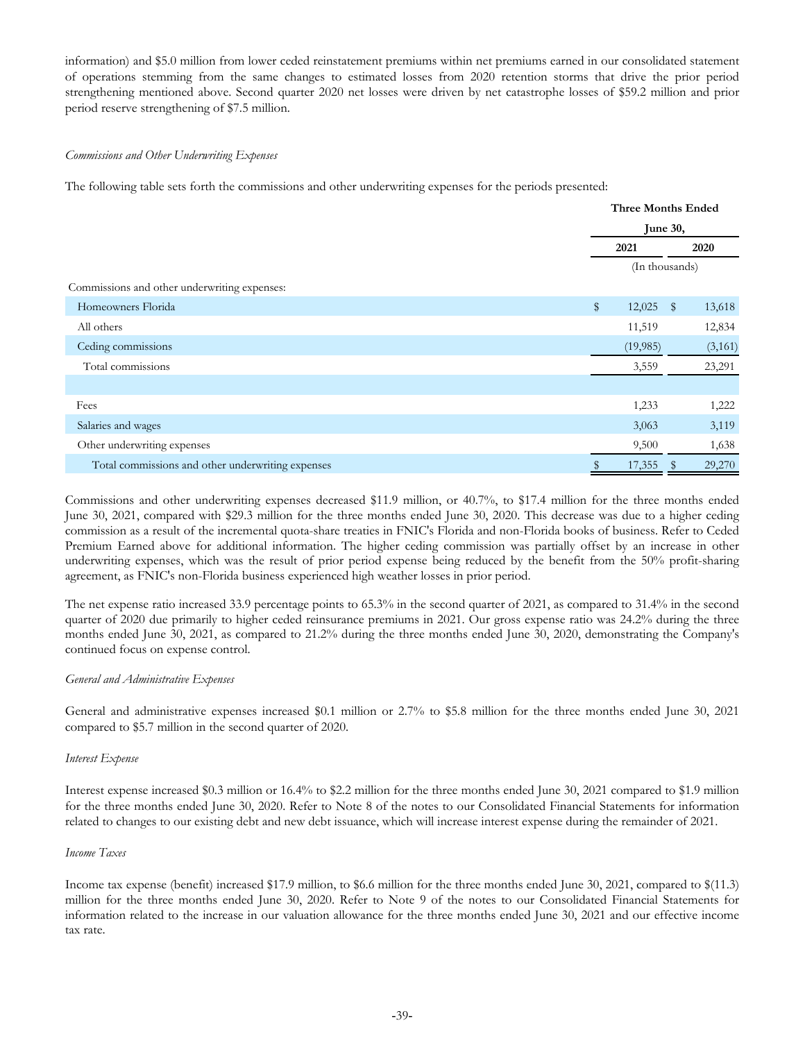information) and \$5.0 million from lower ceded reinstatement premiums within net premiums earned in our consolidated statement of operations stemming from the same changes to estimated losses from 2020 retention storms that drive the prior period strengthening mentioned above. Second quarter 2020 net losses were driven by net catastrophe losses of \$59.2 million and prior period reserve strengthening of \$7.5 million.

#### *Commissions and Other Underwriting Expenses*

The following table sets forth the commissions and other underwriting expenses for the periods presented:

|                                                   | <b>Three Months Ended</b> |                |              |         |  |
|---------------------------------------------------|---------------------------|----------------|--------------|---------|--|
|                                                   |                           | June 30,       |              |         |  |
|                                                   |                           | 2020<br>2021   |              |         |  |
|                                                   |                           | (In thousands) |              |         |  |
| Commissions and other underwriting expenses:      |                           |                |              |         |  |
| Homeowners Florida                                | $\$\$                     | 12,025         | $\mathbb{S}$ | 13,618  |  |
| All others                                        |                           | 11,519         |              | 12,834  |  |
| Ceding commissions                                |                           | (19,985)       |              | (3,161) |  |
| Total commissions                                 |                           | 3,559          |              | 23,291  |  |
|                                                   |                           |                |              |         |  |
| Fees                                              |                           | 1,233          |              | 1,222   |  |
| Salaries and wages                                |                           | 3,063          |              | 3,119   |  |
| Other underwriting expenses                       |                           | 9,500          |              | 1,638   |  |
| Total commissions and other underwriting expenses |                           | 17,355         |              | 29,270  |  |

Commissions and other underwriting expenses decreased \$11.9 million, or 40.7%, to \$17.4 million for the three months ended June 30, 2021, compared with \$29.3 million for the three months ended June 30, 2020. This decrease was due to a higher ceding commission as a result of the incremental quota-share treaties in FNIC's Florida and non-Florida books of business. Refer to Ceded Premium Earned above for additional information. The higher ceding commission was partially offset by an increase in other underwriting expenses, which was the result of prior period expense being reduced by the benefit from the 50% profit-sharing agreement, as FNIC's non-Florida business experienced high weather losses in prior period.

The net expense ratio increased 33.9 percentage points to 65.3% in the second quarter of 2021, as compared to 31.4% in the second quarter of 2020 due primarily to higher ceded reinsurance premiums in 2021. Our gross expense ratio was 24.2% during the three months ended June 30, 2021, as compared to 21.2% during the three months ended June 30, 2020, demonstrating the Company's continued focus on expense control.

## *General and Administrative Expenses*

General and administrative expenses increased \$0.1 million or 2.7% to \$5.8 million for the three months ended June 30, 2021 compared to \$5.7 million in the second quarter of 2020.

## *Interest Expense*

Interest expense increased \$0.3 million or 16.4% to \$2.2 million for the three months ended June 30, 2021 compared to \$1.9 million for the three months ended June 30, 2020. Refer to Note 8 of the notes to our Consolidated Financial Statements for information related to changes to our existing debt and new debt issuance, which will increase interest expense during the remainder of 2021.

#### *Income Taxes*

Income tax expense (benefit) increased \$17.9 million, to \$6.6 million for the three months ended June 30, 2021, compared to \$(11.3) million for the three months ended June 30, 2020. Refer to Note 9 of the notes to our Consolidated Financial Statements for information related to the increase in our valuation allowance for the three months ended June 30, 2021 and our effective income tax rate.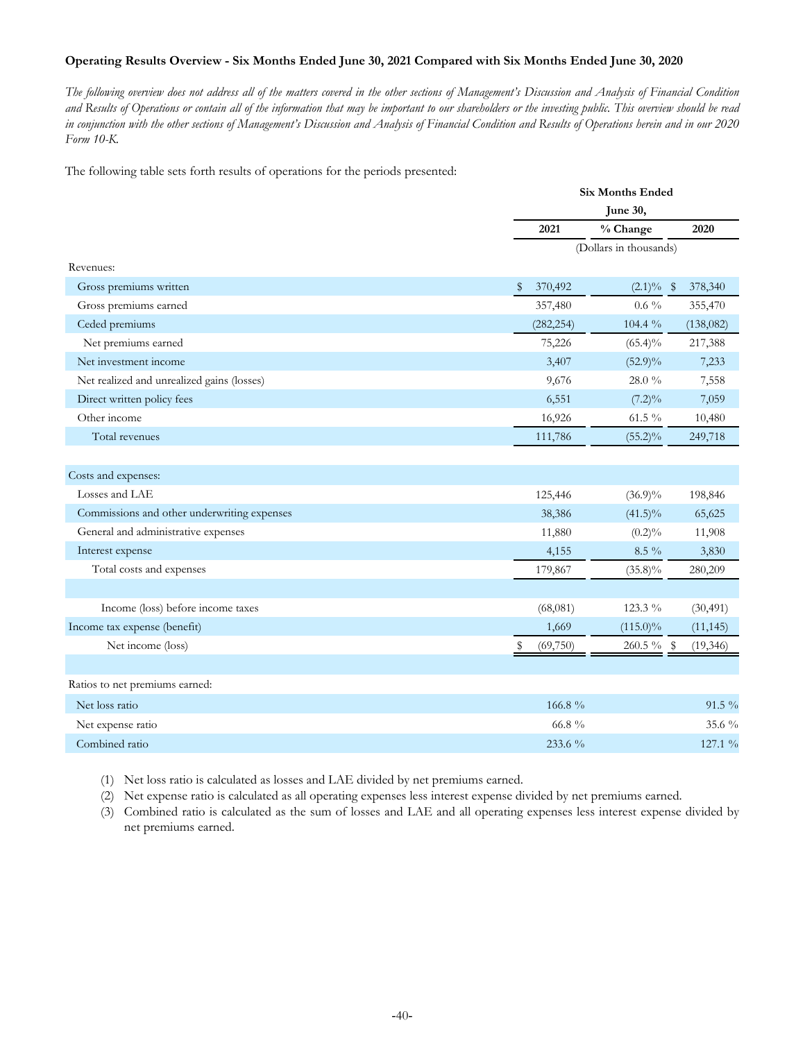## **Operating Results Overview - Six Months Ended June 30, 2021 Compared with Six Months Ended June 30, 2020**

*The following overview does not address all of the matters covered in the other sections of Management's Discussion and Analysis of Financial Condition and Results of Operations or contain all of the information that may be important to our shareholders or the investing public. This overview should be read in conjunction with the other sections of Management's Discussion and Analysis of Financial Condition and Results of Operations herein and in our 2020 Form 10-K.*

The following table sets forth results of operations for the periods presented:

|                                             |               | <b>Six Months Ended</b>    |
|---------------------------------------------|---------------|----------------------------|
|                                             |               | June 30,                   |
|                                             | 2021          | % Change<br>2020           |
|                                             |               | (Dollars in thousands)     |
| Revenues:                                   |               |                            |
| Gross premiums written                      | \$<br>370,492 | $(2.1)\%$ \$<br>378,340    |
| Gross premiums earned                       | 357,480       | $0.6\%$<br>355,470         |
| Ceded premiums                              | (282, 254)    | 104.4 %<br>(138, 082)      |
| Net premiums earned                         | 75,226        | $(65.4)\%$<br>217,388      |
| Net investment income                       | 3,407         | $(52.9)\%$<br>7,233        |
| Net realized and unrealized gains (losses)  | 9,676         | 28.0 %<br>7,558            |
| Direct written policy fees                  | 6,551         | $(7.2)\%$<br>7,059         |
| Other income                                | 16,926        | 61.5 %<br>10,480           |
| Total revenues                              | 111,786       | $(55.2)\%$<br>249,718      |
|                                             |               |                            |
| Costs and expenses:                         |               |                            |
| Losses and LAE                              | 125,446       | $(36.9)\%$<br>198,846      |
| Commissions and other underwriting expenses | 38,386        | $(41.5)\%$<br>65,625       |
| General and administrative expenses         | 11,880        | $(0.2)\%$<br>11,908        |
| Interest expense                            | 4,155         | $8.5\%$<br>3,830           |
| Total costs and expenses                    | 179,867       | $(35.8)\%$<br>280,209      |
|                                             |               |                            |
| Income (loss) before income taxes           | (68,081)      | 123.3 %<br>(30, 491)       |
| Income tax expense (benefit)                | 1,669         | $(115.0)\%$<br>(11, 145)   |
| Net income (loss)                           | (69,750)      | $260.5 \%$ \$<br>(19, 346) |
|                                             |               |                            |
| Ratios to net premiums earned:              |               |                            |
| Net loss ratio                              | 166.8%        | $91.5\%$                   |
| Net expense ratio                           | 66.8 $\%$     | 35.6 $\%$                  |
| Combined ratio                              | 233.6 %       | 127.1 %                    |

(1) Net loss ratio is calculated as losses and LAE divided by net premiums earned.

(2) Net expense ratio is calculated as all operating expenses less interest expense divided by net premiums earned.

(3) Combined ratio is calculated as the sum of losses and LAE and all operating expenses less interest expense divided by net premiums earned.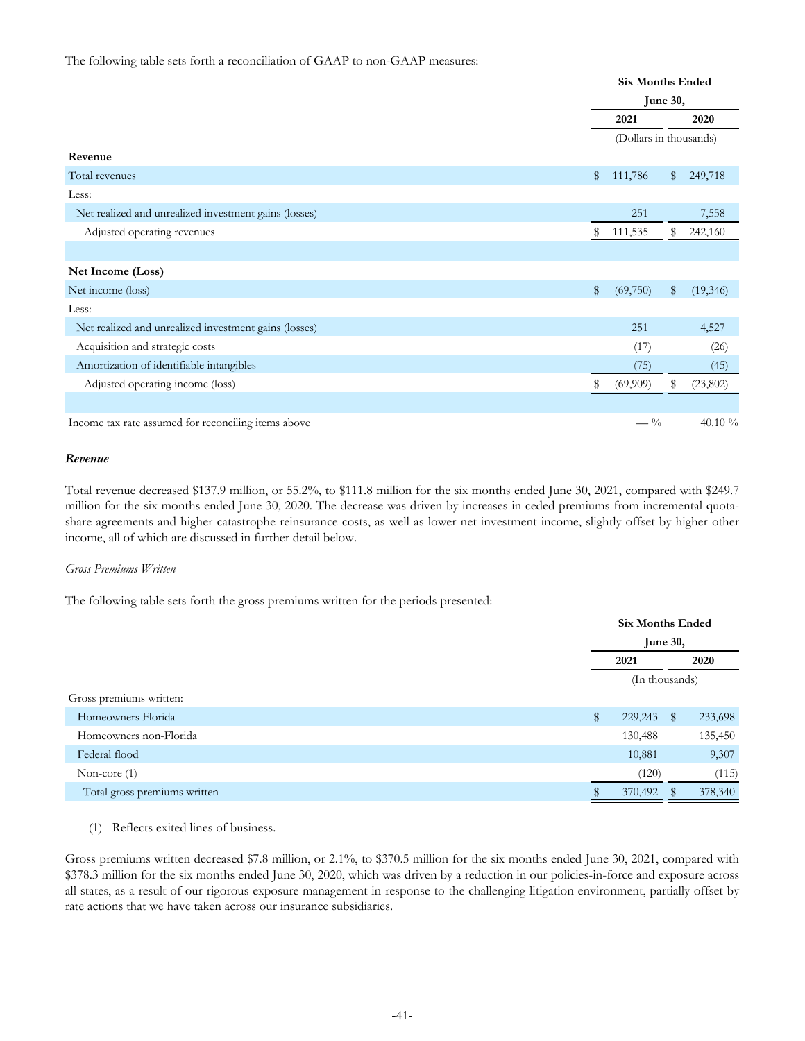#### The following table sets forth a reconciliation of GAAP to non-GAAP measures:

|                                                       |              | <b>Six Months Ended</b> |    |          |  |
|-------------------------------------------------------|--------------|-------------------------|----|----------|--|
|                                                       |              | June 30,                |    |          |  |
|                                                       |              | 2021                    |    | 2020     |  |
|                                                       |              | (Dollars in thousands)  |    |          |  |
| Revenue                                               |              |                         |    |          |  |
| Total revenues                                        | $\mathbb{S}$ | 111,786                 | \$ | 249,718  |  |
| Less:                                                 |              |                         |    |          |  |
| Net realized and unrealized investment gains (losses) |              | 251                     |    | 7,558    |  |
| Adjusted operating revenues                           | S            | 111,535                 | S  | 242,160  |  |
|                                                       |              |                         |    |          |  |
| Net Income (Loss)                                     |              |                         |    |          |  |
| Net income (loss)                                     | \$           | (69,750)                | \$ | (19,346) |  |
| Less:                                                 |              |                         |    |          |  |
| Net realized and unrealized investment gains (losses) |              | 251                     |    | 4,527    |  |
| Acquisition and strategic costs                       |              | (17)                    |    | (26)     |  |
| Amortization of identifiable intangibles              |              | (75)                    |    | (45)     |  |
| Adjusted operating income (loss)                      |              | (69,909)                | S  | (23,802) |  |
|                                                       |              |                         |    |          |  |
| Income tax rate assumed for reconciling items above   |              | $- \frac{0}{0}$         |    | 40.10 %  |  |

#### *Revenue*

Total revenue decreased \$137.9 million, or 55.2%, to \$111.8 million for the six months ended June 30, 2021, compared with \$249.7 million for the six months ended June 30, 2020. The decrease was driven by increases in ceded premiums from incremental quotashare agreements and higher catastrophe reinsurance costs, as well as lower net investment income, slightly offset by higher other income, all of which are discussed in further detail below.

#### *Gross Premiums Written*

The following table sets forth the gross premiums written for the periods presented:

|                              |              | <b>Six Months Ended</b> |              |         |  |
|------------------------------|--------------|-------------------------|--------------|---------|--|
|                              |              | June 30,                |              |         |  |
|                              |              | 2021                    |              | 2020    |  |
|                              |              | (In thousands)          |              |         |  |
| Gross premiums written:      |              |                         |              |         |  |
| Homeowners Florida           | $\mathbb{S}$ | 229,243                 | $\mathbb{S}$ | 233,698 |  |
| Homeowners non-Florida       |              | 130,488                 |              | 135,450 |  |
| Federal flood                |              | 10,881                  |              | 9,307   |  |
| Non-core $(1)$               |              | (120)                   |              | (115)   |  |
| Total gross premiums written |              | 370,492                 |              | 378,340 |  |
|                              |              |                         |              |         |  |

(1) Reflects exited lines of business.

Gross premiums written decreased \$7.8 million, or 2.1%, to \$370.5 million for the six months ended June 30, 2021, compared with \$378.3 million for the six months ended June 30, 2020, which was driven by a reduction in our policies-in-force and exposure across all states, as a result of our rigorous exposure management in response to the challenging litigation environment, partially offset by rate actions that we have taken across our insurance subsidiaries.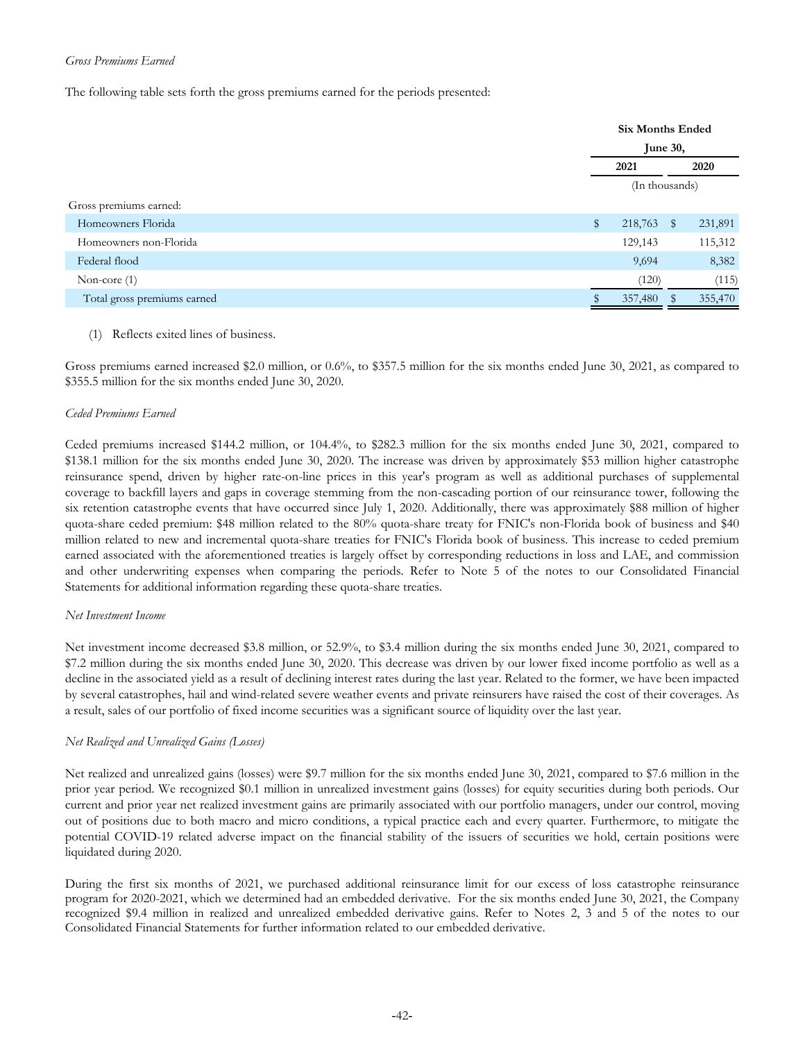## *Gross Premiums Earned*

The following table sets forth the gross premiums earned for the periods presented:

|                             | <b>Six Months Ended</b> |              |         |  |
|-----------------------------|-------------------------|--------------|---------|--|
|                             | June 30,                |              |         |  |
|                             | 2021                    |              | 2020    |  |
|                             | (In thousands)          |              |         |  |
| Gross premiums earned:      |                         |              |         |  |
| Homeowners Florida          | \$<br>218,763           | $\mathbb{S}$ | 231,891 |  |
| Homeowners non-Florida      | 129,143                 |              | 115,312 |  |
| Federal flood               | 9,694                   |              | 8,382   |  |
| Non-core $(1)$              | (120)                   |              | (115)   |  |
| Total gross premiums earned | 357,480                 |              | 355,470 |  |

## (1) Reflects exited lines of business.

Gross premiums earned increased \$2.0 million, or 0.6%, to \$357.5 million for the six months ended June 30, 2021, as compared to \$355.5 million for the six months ended June 30, 2020.

## *Ceded Premiums Earned*

Ceded premiums increased \$144.2 million, or 104.4%, to \$282.3 million for the six months ended June 30, 2021, compared to \$138.1 million for the six months ended June 30, 2020. The increase was driven by approximately \$53 million higher catastrophe reinsurance spend, driven by higher rate-on-line prices in this year's program as well as additional purchases of supplemental coverage to backfill layers and gaps in coverage stemming from the non-cascading portion of our reinsurance tower, following the six retention catastrophe events that have occurred since July 1, 2020. Additionally, there was approximately \$88 million of higher quota-share ceded premium: \$48 million related to the 80% quota-share treaty for FNIC's non-Florida book of business and \$40 million related to new and incremental quota-share treaties for FNIC's Florida book of business. This increase to ceded premium earned associated with the aforementioned treaties is largely offset by corresponding reductions in loss and LAE, and commission and other underwriting expenses when comparing the periods. Refer to Note 5 of the notes to our Consolidated Financial Statements for additional information regarding these quota-share treaties.

#### *Net Investment Income*

Net investment income decreased \$3.8 million, or 52.9%, to \$3.4 million during the six months ended June 30, 2021, compared to \$7.2 million during the six months ended June 30, 2020. This decrease was driven by our lower fixed income portfolio as well as a decline in the associated yield as a result of declining interest rates during the last year. Related to the former, we have been impacted by several catastrophes, hail and wind-related severe weather events and private reinsurers have raised the cost of their coverages. As a result, sales of our portfolio of fixed income securities was a significant source of liquidity over the last year.

## *Net Realized and Unrealized Gains (Losses)*

Net realized and unrealized gains (losses) were \$9.7 million for the six months ended June 30, 2021, compared to \$7.6 million in the prior year period. We recognized \$0.1 million in unrealized investment gains (losses) for equity securities during both periods. Our current and prior year net realized investment gains are primarily associated with our portfolio managers, under our control, moving out of positions due to both macro and micro conditions, a typical practice each and every quarter. Furthermore, to mitigate the potential COVID-19 related adverse impact on the financial stability of the issuers of securities we hold, certain positions were liquidated during 2020.

During the first six months of 2021, we purchased additional reinsurance limit for our excess of loss catastrophe reinsurance program for 2020-2021, which we determined had an embedded derivative. For the six months ended June 30, 2021, the Company recognized \$9.4 million in realized and unrealized embedded derivative gains. Refer to Notes 2, 3 and 5 of the notes to our Consolidated Financial Statements for further information related to our embedded derivative.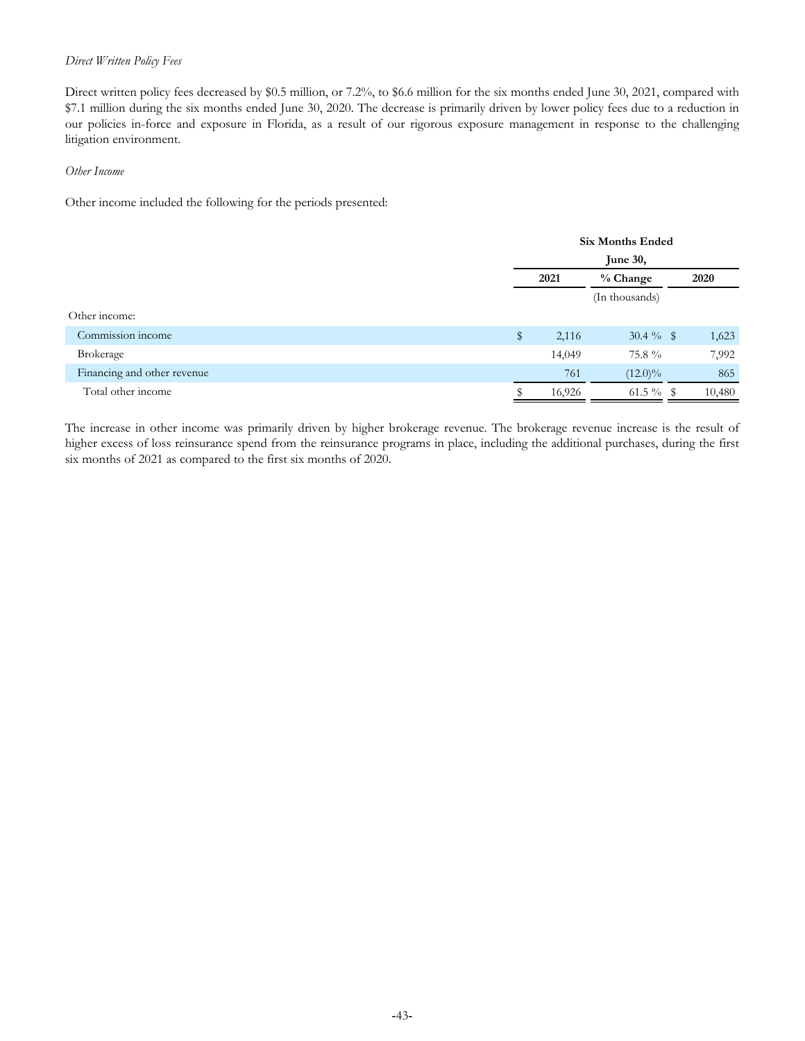### *Direct Written Policy Fees*

Direct written policy fees decreased by \$0.5 million, or 7.2%, to \$6.6 million for the six months ended June 30, 2021, compared with \$7.1 million during the six months ended June 30, 2020. The decrease is primarily driven by lower policy fees due to a reduction in our policies in-force and exposure in Florida, as a result of our rigorous exposure management in response to the challenging litigation environment.

#### *Other Income*

Other income included the following for the periods presented:

|                             | <b>Six Months Ended</b> |        |                |      |        |
|-----------------------------|-------------------------|--------|----------------|------|--------|
|                             | June 30,                |        |                |      |        |
|                             | 2021<br>% Change        |        |                | 2020 |        |
|                             |                         |        | (In thousands) |      |        |
| Other income:               |                         |        |                |      |        |
| Commission income           | \$                      | 2,116  | $30.4 \%$ \$   |      | 1,623  |
| Brokerage                   |                         | 14,049 | 75.8 %         |      | 7,992  |
| Financing and other revenue |                         | 761    | $(12.0)\%$     |      | 865    |
| Total other income          |                         | 16,926 | 61.5 $\%$ \$   |      | 10,480 |

The increase in other income was primarily driven by higher brokerage revenue. The brokerage revenue increase is the result of higher excess of loss reinsurance spend from the reinsurance programs in place, including the additional purchases, during the first six months of 2021 as compared to the first six months of 2020.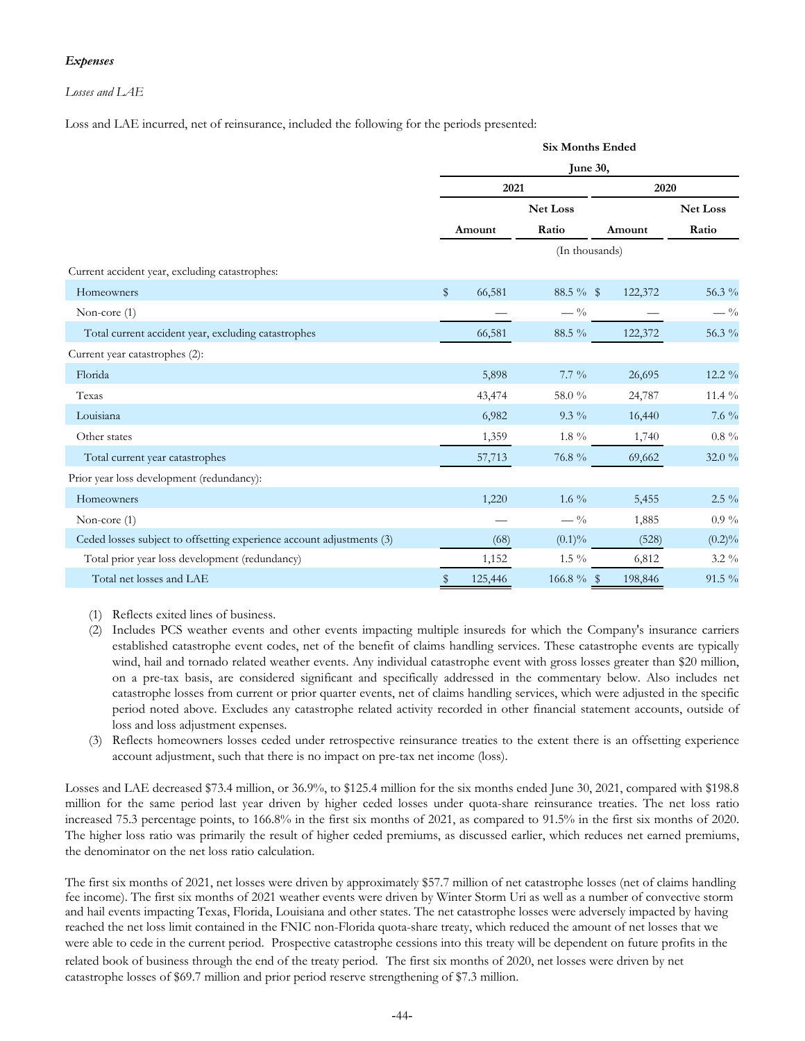## *Expenses*

## *Losses and LAE*

Loss and LAE incurred, net of reinsurance, included the following for the periods presented:

|                                                                       | <b>Six Months Ended</b><br>June 30, |         |                 |                |                 |  |  |
|-----------------------------------------------------------------------|-------------------------------------|---------|-----------------|----------------|-----------------|--|--|
|                                                                       |                                     |         |                 |                |                 |  |  |
|                                                                       |                                     | 2021    |                 | 2020           |                 |  |  |
|                                                                       |                                     |         | <b>Net Loss</b> |                | <b>Net Loss</b> |  |  |
|                                                                       |                                     | Amount  | Ratio           | Amount         | Ratio           |  |  |
|                                                                       |                                     |         |                 | (In thousands) |                 |  |  |
| Current accident year, excluding catastrophes:                        |                                     |         |                 |                |                 |  |  |
| Homeowners                                                            | $\mathbb{S}$                        | 66,581  | $88.5\%$ \$     | 122,372        | 56.3 %          |  |  |
| Non-core $(1)$                                                        |                                     |         | $- \frac{0}{0}$ |                | $-$ %           |  |  |
| Total current accident year, excluding catastrophes                   |                                     | 66,581  | 88.5 %          | 122,372        | 56.3 %          |  |  |
| Current year catastrophes (2):                                        |                                     |         |                 |                |                 |  |  |
| Florida                                                               |                                     | 5,898   | $7.7\%$         | 26,695         | $12.2\%$        |  |  |
| Texas                                                                 |                                     | 43,474  | 58.0 %          | 24,787         | 11.4 $\%$       |  |  |
| Louisiana                                                             |                                     | 6,982   | $9.3\%$         | 16,440         | $7.6\%$         |  |  |
| Other states                                                          |                                     | 1,359   | $1.8\ \%$       | 1,740          | $0.8~\%$        |  |  |
| Total current year catastrophes                                       |                                     | 57,713  | 76.8 %          | 69,662         | $32.0\%$        |  |  |
| Prior year loss development (redundancy):                             |                                     |         |                 |                |                 |  |  |
| Homeowners                                                            |                                     | 1,220   | 1.6 $\%$        | 5,455          | $2.5\%$         |  |  |
| Non-core (1)                                                          |                                     |         | $-$ %           | 1,885          | $0.9\%$         |  |  |
| Ceded losses subject to offsetting experience account adjustments (3) |                                     | (68)    | $(0.1)\%$       | (528)          | $(0.2)\%$       |  |  |
| Total prior year loss development (redundancy)                        |                                     | 1,152   | $1.5\%$         | 6,812          | $3.2\%$         |  |  |
| Total net losses and LAE                                              | \$                                  | 125,446 |                 | 198,846        | 91.5 %          |  |  |

- (1) Reflects exited lines of business.
- (2) Includes PCS weather events and other events impacting multiple insureds for which the Company's insurance carriers established catastrophe event codes, net of the benefit of claims handling services. These catastrophe events are typically wind, hail and tornado related weather events. Any individual catastrophe event with gross losses greater than \$20 million, on a pre-tax basis, are considered significant and specifically addressed in the commentary below. Also includes net catastrophe losses from current or prior quarter events, net of claims handling services, which were adjusted in the specific period noted above. Excludes any catastrophe related activity recorded in other financial statement accounts, outside of loss and loss adjustment expenses.
- (3) Reflects homeowners losses ceded under retrospective reinsurance treaties to the extent there is an offsetting experience account adjustment, such that there is no impact on pre-tax net income (loss).

Losses and LAE decreased \$73.4 million, or 36.9%, to \$125.4 million for the six months ended June 30, 2021, compared with \$198.8 million for the same period last year driven by higher ceded losses under quota-share reinsurance treaties. The net loss ratio increased 75.3 percentage points, to 166.8% in the first six months of 2021, as compared to 91.5% in the first six months of 2020. The higher loss ratio was primarily the result of higher ceded premiums, as discussed earlier, which reduces net earned premiums, the denominator on the net loss ratio calculation.

The first six months of 2021, net losses were driven by approximately \$57.7 million of net catastrophe losses (net of claims handling fee income). The first six months of 2021 weather events were driven by Winter Storm Uri as well as a number of convective storm and hail events impacting Texas, Florida, Louisiana and other states. The net catastrophe losses were adversely impacted by having reached the net loss limit contained in the FNIC non-Florida quota-share treaty, which reduced the amount of net losses that we were able to cede in the current period. Prospective catastrophe cessions into this treaty will be dependent on future profits in the related book of business through the end of the treaty period. The first six months of 2020, net losses were driven by net catastrophe losses of \$69.7 million and prior period reserve strengthening of \$7.3 million.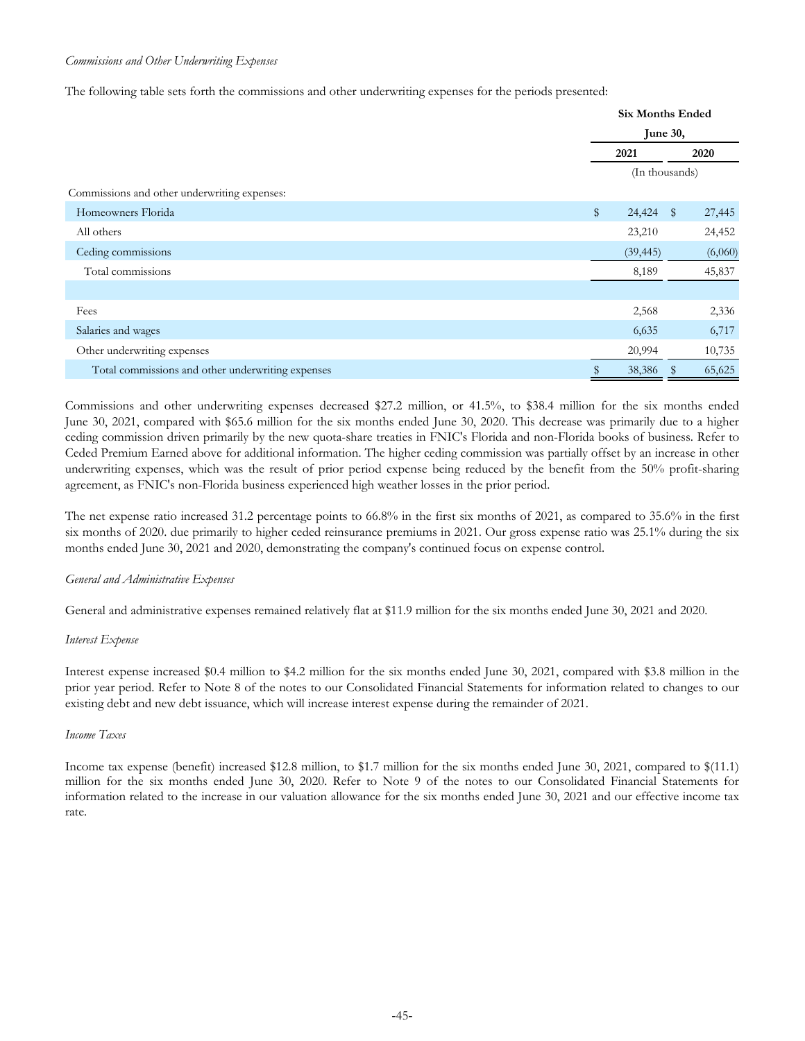#### *Commissions and Other Underwriting Expenses*

The following table sets forth the commissions and other underwriting expenses for the periods presented:

|                                                   | <b>Six Months Ended</b><br>June 30, |                |              |         |
|---------------------------------------------------|-------------------------------------|----------------|--------------|---------|
|                                                   |                                     |                |              |         |
|                                                   |                                     | 2021<br>2020   |              |         |
|                                                   |                                     | (In thousands) |              |         |
| Commissions and other underwriting expenses:      |                                     |                |              |         |
| Homeowners Florida                                | $\mathbb{S}$                        | 24,424         | $\mathbb{S}$ | 27,445  |
| All others                                        |                                     | 23,210         |              | 24,452  |
| Ceding commissions                                |                                     | (39, 445)      |              | (6,060) |
| Total commissions                                 |                                     | 8,189          |              | 45,837  |
|                                                   |                                     |                |              |         |
| Fees                                              |                                     | 2,568          |              | 2,336   |
| Salaries and wages                                |                                     | 6,635          |              | 6,717   |
| Other underwriting expenses                       |                                     | 20,994         |              | 10,735  |
| Total commissions and other underwriting expenses |                                     | 38,386         |              | 65,625  |

Commissions and other underwriting expenses decreased \$27.2 million, or 41.5%, to \$38.4 million for the six months ended June 30, 2021, compared with \$65.6 million for the six months ended June 30, 2020. This decrease was primarily due to a higher ceding commission driven primarily by the new quota-share treaties in FNIC's Florida and non-Florida books of business. Refer to Ceded Premium Earned above for additional information. The higher ceding commission was partially offset by an increase in other underwriting expenses, which was the result of prior period expense being reduced by the benefit from the 50% profit-sharing agreement, as FNIC's non-Florida business experienced high weather losses in the prior period.

The net expense ratio increased 31.2 percentage points to 66.8% in the first six months of 2021, as compared to 35.6% in the first six months of 2020. due primarily to higher ceded reinsurance premiums in 2021. Our gross expense ratio was 25.1% during the six months ended June 30, 2021 and 2020, demonstrating the company's continued focus on expense control.

#### *General and Administrative Expenses*

General and administrative expenses remained relatively flat at \$11.9 million for the six months ended June 30, 2021 and 2020.

#### *Interest Expense*

Interest expense increased \$0.4 million to \$4.2 million for the six months ended June 30, 2021, compared with \$3.8 million in the prior year period. Refer to Note 8 of the notes to our Consolidated Financial Statements for information related to changes to our existing debt and new debt issuance, which will increase interest expense during the remainder of 2021.

#### *Income Taxes*

Income tax expense (benefit) increased \$12.8 million, to \$1.7 million for the six months ended June 30, 2021, compared to \$(11.1) million for the six months ended June 30, 2020. Refer to Note 9 of the notes to our Consolidated Financial Statements for information related to the increase in our valuation allowance for the six months ended June 30, 2021 and our effective income tax rate.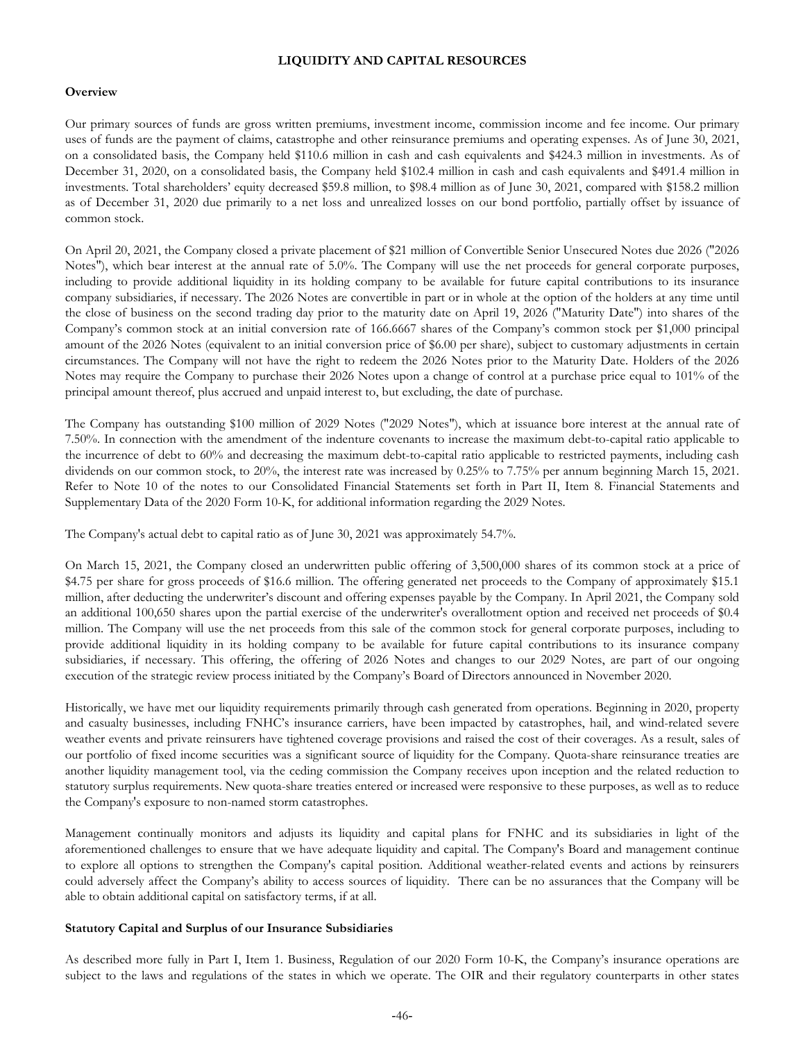#### **LIQUIDITY AND CAPITAL RESOURCES**

#### **Overview**

Our primary sources of funds are gross written premiums, investment income, commission income and fee income. Our primary uses of funds are the payment of claims, catastrophe and other reinsurance premiums and operating expenses. As of June 30, 2021, on a consolidated basis, the Company held \$110.6 million in cash and cash equivalents and \$424.3 million in investments. As of December 31, 2020, on a consolidated basis, the Company held \$102.4 million in cash and cash equivalents and \$491.4 million in investments. Total shareholders' equity decreased \$59.8 million, to \$98.4 million as of June 30, 2021, compared with \$158.2 million as of December 31, 2020 due primarily to a net loss and unrealized losses on our bond portfolio, partially offset by issuance of common stock.

On April 20, 2021, the Company closed a private placement of \$21 million of Convertible Senior Unsecured Notes due 2026 ("2026 Notes"), which bear interest at the annual rate of 5.0%. The Company will use the net proceeds for general corporate purposes, including to provide additional liquidity in its holding company to be available for future capital contributions to its insurance company subsidiaries, if necessary. The 2026 Notes are convertible in part or in whole at the option of the holders at any time until the close of business on the second trading day prior to the maturity date on April 19, 2026 ("Maturity Date") into shares of the Company's common stock at an initial conversion rate of 166.6667 shares of the Company's common stock per \$1,000 principal amount of the 2026 Notes (equivalent to an initial conversion price of \$6.00 per share), subject to customary adjustments in certain circumstances. The Company will not have the right to redeem the 2026 Notes prior to the Maturity Date. Holders of the 2026 Notes may require the Company to purchase their 2026 Notes upon a change of control at a purchase price equal to 101% of the principal amount thereof, plus accrued and unpaid interest to, but excluding, the date of purchase.

The Company has outstanding \$100 million of 2029 Notes ("2029 Notes"), which at issuance bore interest at the annual rate of 7.50%. In connection with the amendment of the indenture covenants to increase the maximum debt-to-capital ratio applicable to the incurrence of debt to 60% and decreasing the maximum debt-to-capital ratio applicable to restricted payments, including cash dividends on our common stock, to 20%, the interest rate was increased by 0.25% to 7.75% per annum beginning March 15, 2021. Refer to Note 10 of the notes to our Consolidated Financial Statements set forth in Part II, Item 8. Financial Statements and Supplementary Data of the 2020 Form 10-K, for additional information regarding the 2029 Notes.

The Company's actual debt to capital ratio as of June 30, 2021 was approximately 54.7%.

On March 15, 2021, the Company closed an underwritten public offering of 3,500,000 shares of its common stock at a price of \$4.75 per share for gross proceeds of \$16.6 million. The offering generated net proceeds to the Company of approximately \$15.1 million, after deducting the underwriter's discount and offering expenses payable by the Company. In April 2021, the Company sold an additional 100,650 shares upon the partial exercise of the underwriter's overallotment option and received net proceeds of \$0.4 million. The Company will use the net proceeds from this sale of the common stock for general corporate purposes, including to provide additional liquidity in its holding company to be available for future capital contributions to its insurance company subsidiaries, if necessary. This offering, the offering of 2026 Notes and changes to our 2029 Notes, are part of our ongoing execution of the strategic review process initiated by the Company's Board of Directors announced in November 2020.

Historically, we have met our liquidity requirements primarily through cash generated from operations. Beginning in 2020, property and casualty businesses, including FNHC's insurance carriers, have been impacted by catastrophes, hail, and wind-related severe weather events and private reinsurers have tightened coverage provisions and raised the cost of their coverages. As a result, sales of our portfolio of fixed income securities was a significant source of liquidity for the Company. Quota-share reinsurance treaties are another liquidity management tool, via the ceding commission the Company receives upon inception and the related reduction to statutory surplus requirements. New quota-share treaties entered or increased were responsive to these purposes, as well as to reduce the Company's exposure to non-named storm catastrophes.

Management continually monitors and adjusts its liquidity and capital plans for FNHC and its subsidiaries in light of the aforementioned challenges to ensure that we have adequate liquidity and capital. The Company's Board and management continue to explore all options to strengthen the Company's capital position. Additional weather-related events and actions by reinsurers could adversely affect the Company's ability to access sources of liquidity. There can be no assurances that the Company will be able to obtain additional capital on satisfactory terms, if at all.

## **Statutory Capital and Surplus of our Insurance Subsidiaries**

As described more fully in Part I, Item 1. Business, Regulation of our 2020 Form 10-K, the Company's insurance operations are subject to the laws and regulations of the states in which we operate. The OIR and their regulatory counterparts in other states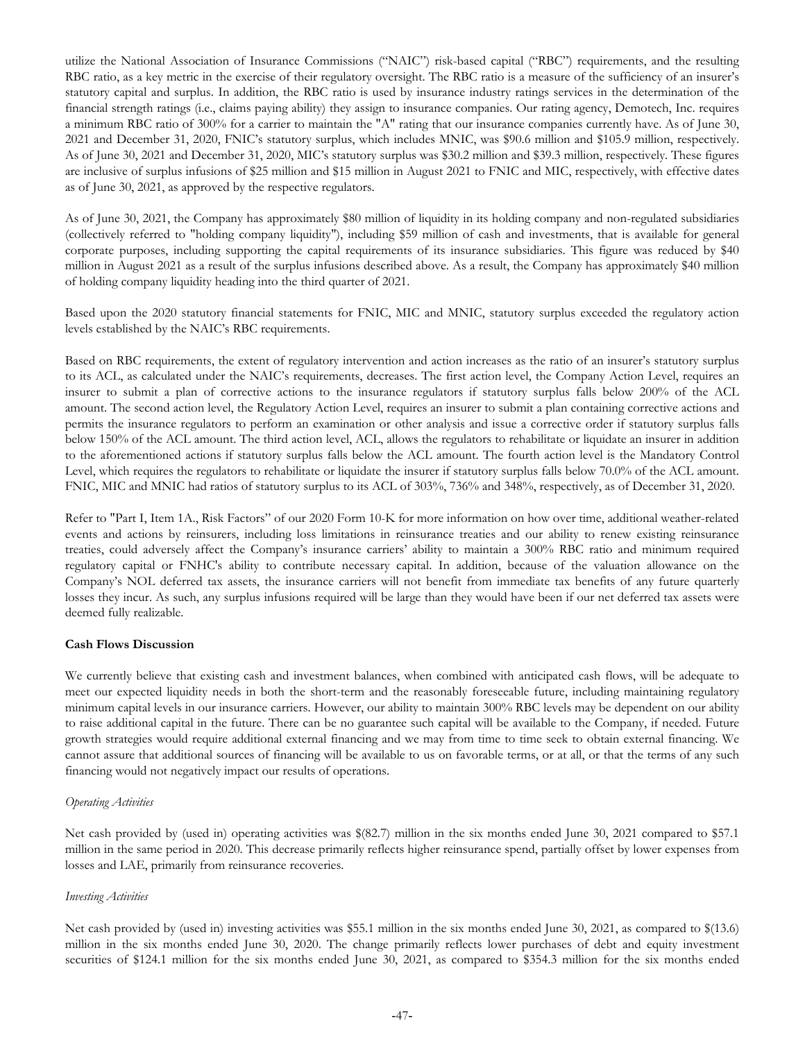utilize the National Association of Insurance Commissions ("NAIC") risk-based capital ("RBC") requirements, and the resulting RBC ratio, as a key metric in the exercise of their regulatory oversight. The RBC ratio is a measure of the sufficiency of an insurer's statutory capital and surplus. In addition, the RBC ratio is used by insurance industry ratings services in the determination of the financial strength ratings (i.e., claims paying ability) they assign to insurance companies. Our rating agency, Demotech, Inc. requires a minimum RBC ratio of 300% for a carrier to maintain the "A" rating that our insurance companies currently have. As of June 30, 2021 and December 31, 2020, FNIC's statutory surplus, which includes MNIC, was \$90.6 million and \$105.9 million, respectively. As of June 30, 2021 and December 31, 2020, MIC's statutory surplus was \$30.2 million and \$39.3 million, respectively. These figures are inclusive of surplus infusions of \$25 million and \$15 million in August 2021 to FNIC and MIC, respectively, with effective dates as of June 30, 2021, as approved by the respective regulators.

As of June 30, 2021, the Company has approximately \$80 million of liquidity in its holding company and non-regulated subsidiaries (collectively referred to "holding company liquidity"), including \$59 million of cash and investments, that is available for general corporate purposes, including supporting the capital requirements of its insurance subsidiaries. This figure was reduced by \$40 million in August 2021 as a result of the surplus infusions described above. As a result, the Company has approximately \$40 million of holding company liquidity heading into the third quarter of 2021.

Based upon the 2020 statutory financial statements for FNIC, MIC and MNIC, statutory surplus exceeded the regulatory action levels established by the NAIC's RBC requirements.

Based on RBC requirements, the extent of regulatory intervention and action increases as the ratio of an insurer's statutory surplus to its ACL, as calculated under the NAIC's requirements, decreases. The first action level, the Company Action Level, requires an insurer to submit a plan of corrective actions to the insurance regulators if statutory surplus falls below 200% of the ACL amount. The second action level, the Regulatory Action Level, requires an insurer to submit a plan containing corrective actions and permits the insurance regulators to perform an examination or other analysis and issue a corrective order if statutory surplus falls below 150% of the ACL amount. The third action level, ACL, allows the regulators to rehabilitate or liquidate an insurer in addition to the aforementioned actions if statutory surplus falls below the ACL amount. The fourth action level is the Mandatory Control Level, which requires the regulators to rehabilitate or liquidate the insurer if statutory surplus falls below 70.0% of the ACL amount. FNIC, MIC and MNIC had ratios of statutory surplus to its ACL of 303%, 736% and 348%, respectively, as of December 31, 2020.

Refer to "Part I, Item 1A., Risk Factors" of our 2020 Form 10-K for more information on how over time, additional weather-related events and actions by reinsurers, including loss limitations in reinsurance treaties and our ability to renew existing reinsurance treaties, could adversely affect the Company's insurance carriers' ability to maintain a 300% RBC ratio and minimum required regulatory capital or FNHC's ability to contribute necessary capital. In addition, because of the valuation allowance on the Company's NOL deferred tax assets, the insurance carriers will not benefit from immediate tax benefits of any future quarterly losses they incur. As such, any surplus infusions required will be large than they would have been if our net deferred tax assets were deemed fully realizable.

#### **Cash Flows Discussion**

We currently believe that existing cash and investment balances, when combined with anticipated cash flows, will be adequate to meet our expected liquidity needs in both the short-term and the reasonably foreseeable future, including maintaining regulatory minimum capital levels in our insurance carriers. However, our ability to maintain 300% RBC levels may be dependent on our ability to raise additional capital in the future. There can be no guarantee such capital will be available to the Company, if needed. Future growth strategies would require additional external financing and we may from time to time seek to obtain external financing. We cannot assure that additional sources of financing will be available to us on favorable terms, or at all, or that the terms of any such financing would not negatively impact our results of operations.

#### *Operating Activities*

Net cash provided by (used in) operating activities was \$(82.7) million in the six months ended June 30, 2021 compared to \$57.1 million in the same period in 2020. This decrease primarily reflects higher reinsurance spend, partially offset by lower expenses from losses and LAE, primarily from reinsurance recoveries.

#### *Investing Activities*

Net cash provided by (used in) investing activities was \$55.1 million in the six months ended June 30, 2021, as compared to \$(13.6) million in the six months ended June 30, 2020. The change primarily reflects lower purchases of debt and equity investment securities of \$124.1 million for the six months ended June 30, 2021, as compared to \$354.3 million for the six months ended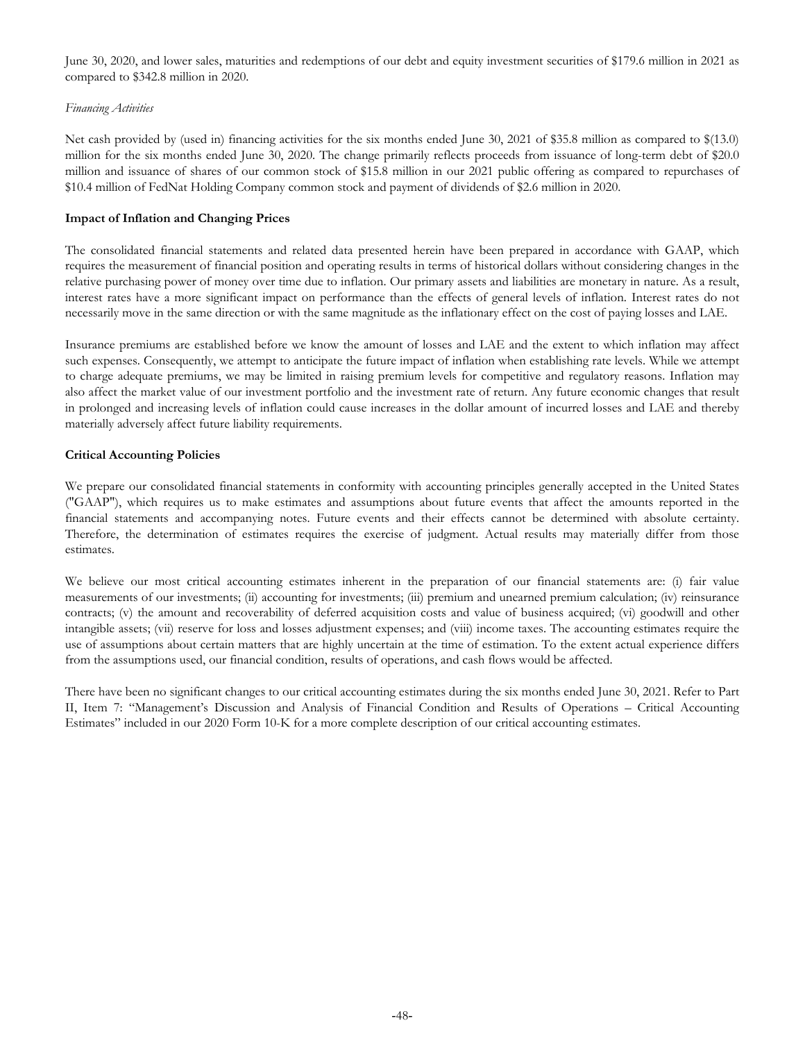June 30, 2020, and lower sales, maturities and redemptions of our debt and equity investment securities of \$179.6 million in 2021 as compared to \$342.8 million in 2020.

#### *Financing Activities*

Net cash provided by (used in) financing activities for the six months ended June 30, 2021 of \$35.8 million as compared to \$(13.0) million for the six months ended June 30, 2020. The change primarily reflects proceeds from issuance of long-term debt of \$20.0 million and issuance of shares of our common stock of \$15.8 million in our 2021 public offering as compared to repurchases of \$10.4 million of FedNat Holding Company common stock and payment of dividends of \$2.6 million in 2020.

## **Impact of Inflation and Changing Prices**

The consolidated financial statements and related data presented herein have been prepared in accordance with GAAP, which requires the measurement of financial position and operating results in terms of historical dollars without considering changes in the relative purchasing power of money over time due to inflation. Our primary assets and liabilities are monetary in nature. As a result, interest rates have a more significant impact on performance than the effects of general levels of inflation. Interest rates do not necessarily move in the same direction or with the same magnitude as the inflationary effect on the cost of paying losses and LAE.

Insurance premiums are established before we know the amount of losses and LAE and the extent to which inflation may affect such expenses. Consequently, we attempt to anticipate the future impact of inflation when establishing rate levels. While we attempt to charge adequate premiums, we may be limited in raising premium levels for competitive and regulatory reasons. Inflation may also affect the market value of our investment portfolio and the investment rate of return. Any future economic changes that result in prolonged and increasing levels of inflation could cause increases in the dollar amount of incurred losses and LAE and thereby materially adversely affect future liability requirements.

## **Critical Accounting Policies**

We prepare our consolidated financial statements in conformity with accounting principles generally accepted in the United States ("GAAP"), which requires us to make estimates and assumptions about future events that affect the amounts reported in the financial statements and accompanying notes. Future events and their effects cannot be determined with absolute certainty. Therefore, the determination of estimates requires the exercise of judgment. Actual results may materially differ from those estimates.

We believe our most critical accounting estimates inherent in the preparation of our financial statements are: (i) fair value measurements of our investments; (ii) accounting for investments; (iii) premium and unearned premium calculation; (iv) reinsurance contracts; (v) the amount and recoverability of deferred acquisition costs and value of business acquired; (vi) goodwill and other intangible assets; (vii) reserve for loss and losses adjustment expenses; and (viii) income taxes. The accounting estimates require the use of assumptions about certain matters that are highly uncertain at the time of estimation. To the extent actual experience differs from the assumptions used, our financial condition, results of operations, and cash flows would be affected.

There have been no significant changes to our critical accounting estimates during the six months ended June 30, 2021. Refer to Part II, Item 7: "Management's Discussion and Analysis of Financial Condition and Results of Operations – Critical Accounting Estimates" included in our 2020 Form 10-K for a more complete description of our critical accounting estimates.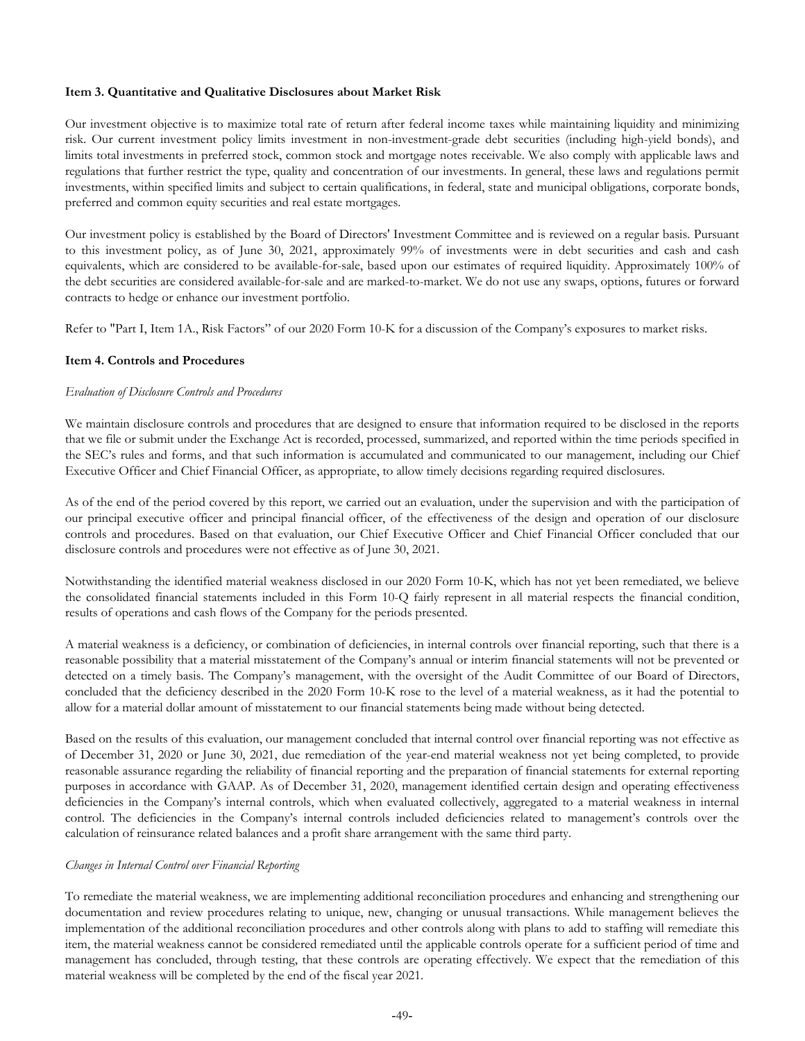## **Item 3. Quantitative and Qualitative Disclosures about Market Risk**

Our investment objective is to maximize total rate of return after federal income taxes while maintaining liquidity and minimizing risk. Our current investment policy limits investment in non-investment-grade debt securities (including high-yield bonds), and limits total investments in preferred stock, common stock and mortgage notes receivable. We also comply with applicable laws and regulations that further restrict the type, quality and concentration of our investments. In general, these laws and regulations permit investments, within specified limits and subject to certain qualifications, in federal, state and municipal obligations, corporate bonds, preferred and common equity securities and real estate mortgages.

Our investment policy is established by the Board of Directors' Investment Committee and is reviewed on a regular basis. Pursuant to this investment policy, as of June 30, 2021, approximately 99% of investments were in debt securities and cash and cash equivalents, which are considered to be available-for-sale, based upon our estimates of required liquidity. Approximately 100% of the debt securities are considered available-for-sale and are marked-to-market. We do not use any swaps, options, futures or forward contracts to hedge or enhance our investment portfolio.

Refer to "Part I, Item 1A., Risk Factors" of our 2020 Form 10-K for a discussion of the Company's exposures to market risks.

#### **Item 4. Controls and Procedures**

#### *Evaluation of Disclosure Controls and Procedures*

We maintain disclosure controls and procedures that are designed to ensure that information required to be disclosed in the reports that we file or submit under the Exchange Act is recorded, processed, summarized, and reported within the time periods specified in the SEC's rules and forms, and that such information is accumulated and communicated to our management, including our Chief Executive Officer and Chief Financial Officer, as appropriate, to allow timely decisions regarding required disclosures.

As of the end of the period covered by this report, we carried out an evaluation, under the supervision and with the participation of our principal executive officer and principal financial officer, of the effectiveness of the design and operation of our disclosure controls and procedures. Based on that evaluation, our Chief Executive Officer and Chief Financial Officer concluded that our disclosure controls and procedures were not effective as of June 30, 2021.

Notwithstanding the identified material weakness disclosed in our 2020 Form 10-K, which has not yet been remediated, we believe the consolidated financial statements included in this Form 10-Q fairly represent in all material respects the financial condition, results of operations and cash flows of the Company for the periods presented.

A material weakness is a deficiency, or combination of deficiencies, in internal controls over financial reporting, such that there is a reasonable possibility that a material misstatement of the Company's annual or interim financial statements will not be prevented or detected on a timely basis. The Company's management, with the oversight of the Audit Committee of our Board of Directors, concluded that the deficiency described in the 2020 Form 10-K rose to the level of a material weakness, as it had the potential to allow for a material dollar amount of misstatement to our financial statements being made without being detected.

Based on the results of this evaluation, our management concluded that internal control over financial reporting was not effective as of December 31, 2020 or June 30, 2021, due remediation of the year-end material weakness not yet being completed, to provide reasonable assurance regarding the reliability of financial reporting and the preparation of financial statements for external reporting purposes in accordance with GAAP. As of December 31, 2020, management identified certain design and operating effectiveness deficiencies in the Company's internal controls, which when evaluated collectively, aggregated to a material weakness in internal control. The deficiencies in the Company's internal controls included deficiencies related to management's controls over the calculation of reinsurance related balances and a profit share arrangement with the same third party.

## *Changes in Internal Control over Financial Reporting*

To remediate the material weakness, we are implementing additional reconciliation procedures and enhancing and strengthening our documentation and review procedures relating to unique, new, changing or unusual transactions. While management believes the implementation of the additional reconciliation procedures and other controls along with plans to add to staffing will remediate this item, the material weakness cannot be considered remediated until the applicable controls operate for a sufficient period of time and management has concluded, through testing, that these controls are operating effectively. We expect that the remediation of this material weakness will be completed by the end of the fiscal year 2021.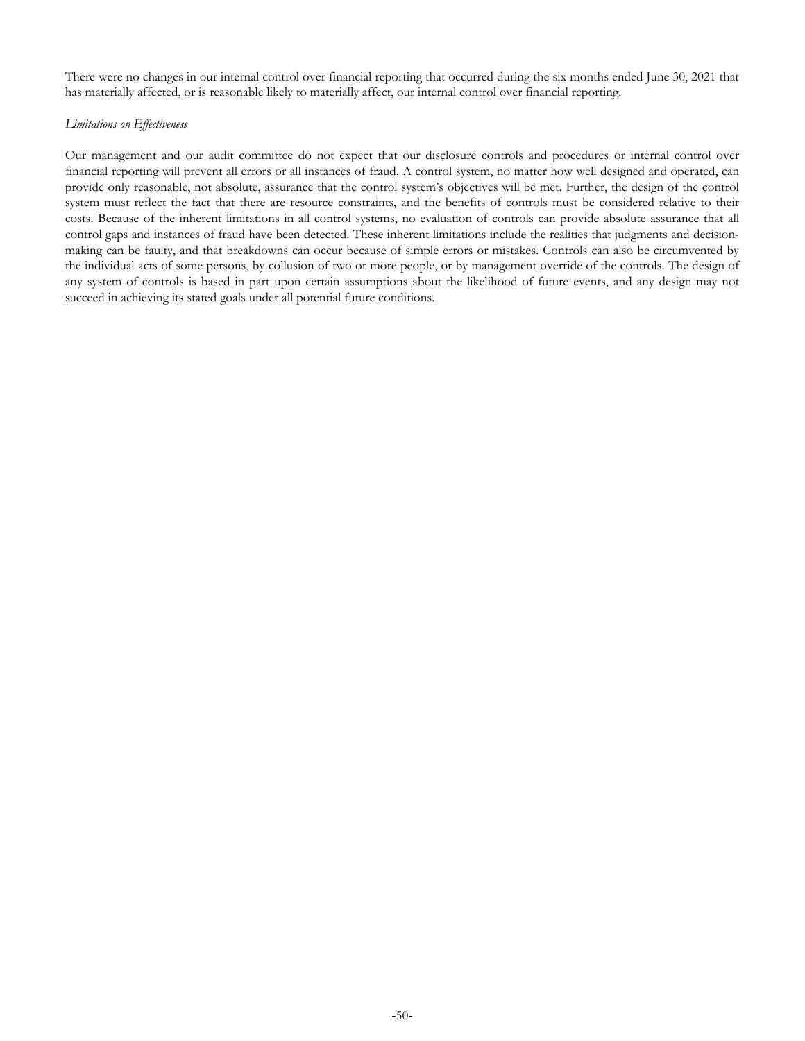There were no changes in our internal control over financial reporting that occurred during the six months ended June 30, 2021 that has materially affected, or is reasonable likely to materially affect, our internal control over financial reporting.

## *Limitations on Effectiveness*

Our management and our audit committee do not expect that our disclosure controls and procedures or internal control over financial reporting will prevent all errors or all instances of fraud. A control system, no matter how well designed and operated, can provide only reasonable, not absolute, assurance that the control system's objectives will be met. Further, the design of the control system must reflect the fact that there are resource constraints, and the benefits of controls must be considered relative to their costs. Because of the inherent limitations in all control systems, no evaluation of controls can provide absolute assurance that all control gaps and instances of fraud have been detected. These inherent limitations include the realities that judgments and decisionmaking can be faulty, and that breakdowns can occur because of simple errors or mistakes. Controls can also be circumvented by the individual acts of some persons, by collusion of two or more people, or by management override of the controls. The design of any system of controls is based in part upon certain assumptions about the likelihood of future events, and any design may not succeed in achieving its stated goals under all potential future conditions.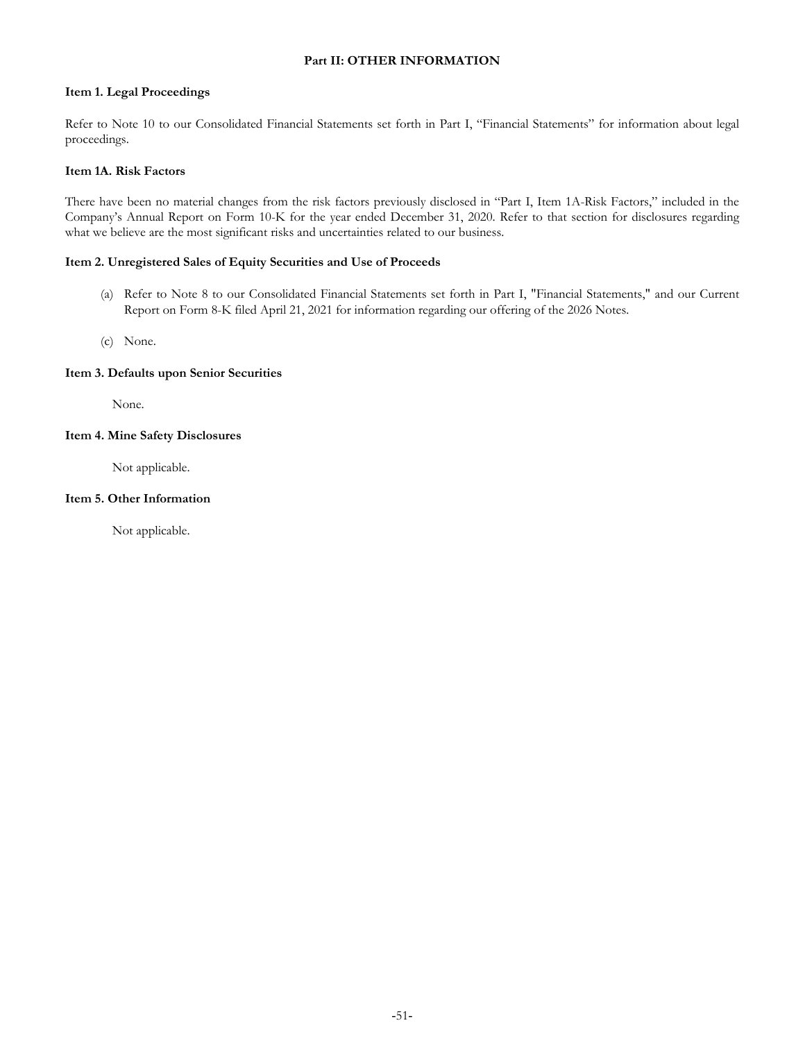## **Part II: OTHER INFORMATION**

#### **Item 1. Legal Proceedings**

Refer to Note 10 to our Consolidated Financial Statements set forth in Part I, "Financial Statements" for information about legal proceedings.

## **Item 1A. Risk Factors**

There have been no material changes from the risk factors previously disclosed in "Part I, Item 1A-Risk Factors," included in the Company's Annual Report on Form 10-K for the year ended December 31, 2020. Refer to that section for disclosures regarding what we believe are the most significant risks and uncertainties related to our business.

## **Item 2. Unregistered Sales of Equity Securities and Use of Proceeds**

- (a) Refer to Note 8 to our Consolidated Financial Statements set forth in Part I, "Financial Statements," and our Current Report on Form 8-K filed April 21, 2021 for information regarding our offering of the 2026 Notes.
- (c) None.

## **Item 3. Defaults upon Senior Securities**

None.

## **Item 4. Mine Safety Disclosures**

Not applicable.

## **Item 5. Other Information**

Not applicable.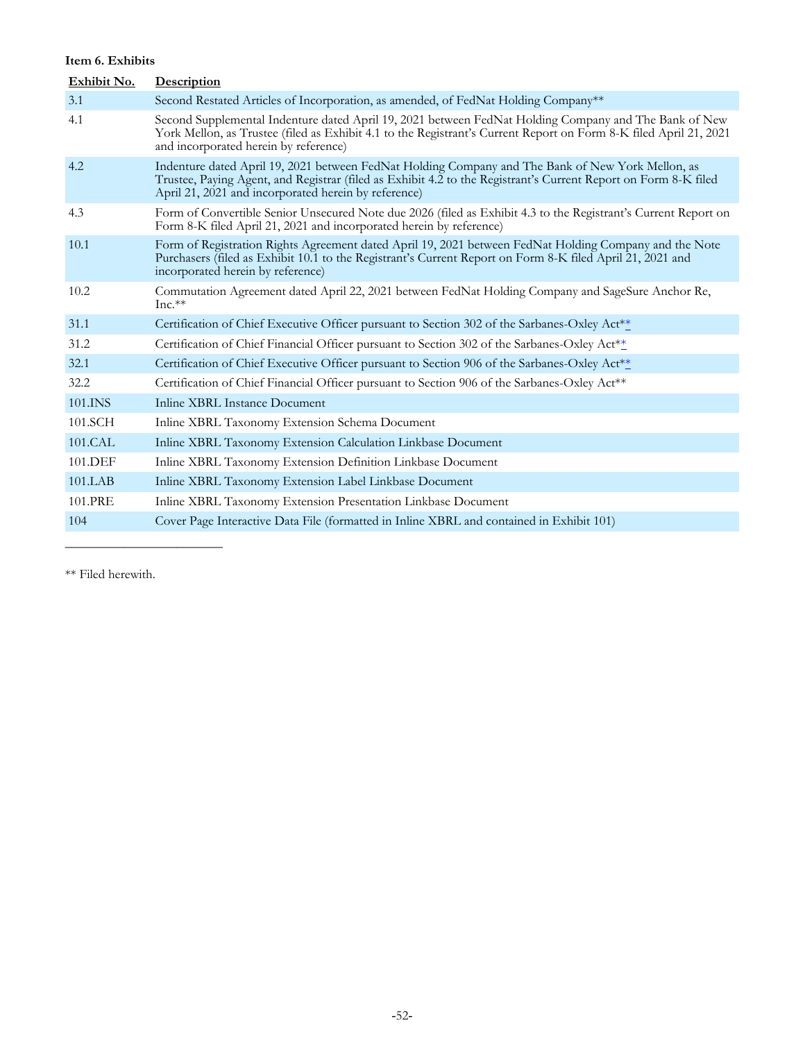## **Item 6. Exhibits**

| Exhibit No. | Description                                                                                                                                                                                                                                                                  |
|-------------|------------------------------------------------------------------------------------------------------------------------------------------------------------------------------------------------------------------------------------------------------------------------------|
| 3.1         | Second Restated Articles of Incorporation, as amended, of FedNat Holding Company**                                                                                                                                                                                           |
| 4.1         | Second Supplemental Indenture dated April 19, 2021 between FedNat Holding Company and The Bank of New<br>York Mellon, as Trustee (filed as Exhibit 4.1 to the Registrant's Current Report on Form 8-K filed April 21, 2021<br>and incorporated herein by reference)          |
| 4.2         | Indenture dated April 19, 2021 between FedNat Holding Company and The Bank of New York Mellon, as<br>Trustee, Paying Agent, and Registrar (filed as Exhibit 4.2 to the Registrant's Current Report on Form 8-K filed<br>April 21, 2021 and incorporated herein by reference) |
| 4.3         | Form of Convertible Senior Unsecured Note due 2026 (filed as Exhibit 4.3 to the Registrant's Current Report on<br>Form 8-K filed April 21, 2021 and incorporated herein by reference)                                                                                        |
| 10.1        | Form of Registration Rights Agreement dated April 19, 2021 between FedNat Holding Company and the Note<br>Purchasers (filed as Exhibit 10.1 to the Registrant's Current Report on Form 8-K filed April 21, 2021 and<br>incorporated herein by reference)                     |
| 10.2        | Commutation Agreement dated April 22, 2021 between FedNat Holding Company and SageSure Anchor Re,<br>$Inc.**$                                                                                                                                                                |
| 31.1        | Certification of Chief Executive Officer pursuant to Section 302 of the Sarbanes-Oxley Act <sup>**</sup>                                                                                                                                                                     |
| 31.2        | Certification of Chief Financial Officer pursuant to Section 302 of the Sarbanes-Oxley Act**                                                                                                                                                                                 |
| 32.1        | Certification of Chief Executive Officer pursuant to Section 906 of the Sarbanes-Oxley Act**                                                                                                                                                                                 |
| 32.2        | Certification of Chief Financial Officer pursuant to Section 906 of the Sarbanes-Oxley Act**                                                                                                                                                                                 |
| 101.INS     | Inline XBRL Instance Document                                                                                                                                                                                                                                                |
| 101.SCH     | Inline XBRL Taxonomy Extension Schema Document                                                                                                                                                                                                                               |
| 101.CAL     | Inline XBRL Taxonomy Extension Calculation Linkbase Document                                                                                                                                                                                                                 |
| 101.DEF     | Inline XBRL Taxonomy Extension Definition Linkbase Document                                                                                                                                                                                                                  |
| 101.LAB     | Inline XBRL Taxonomy Extension Label Linkbase Document                                                                                                                                                                                                                       |
| 101.PRE     | Inline XBRL Taxonomy Extension Presentation Linkbase Document                                                                                                                                                                                                                |
| 104         | Cover Page Interactive Data File (formatted in Inline XBRL and contained in Exhibit 101)                                                                                                                                                                                     |
|             |                                                                                                                                                                                                                                                                              |

\*\* Filed herewith.

 $\overline{\phantom{a}}$  , where  $\overline{\phantom{a}}$  , where  $\overline{\phantom{a}}$  , where  $\overline{\phantom{a}}$